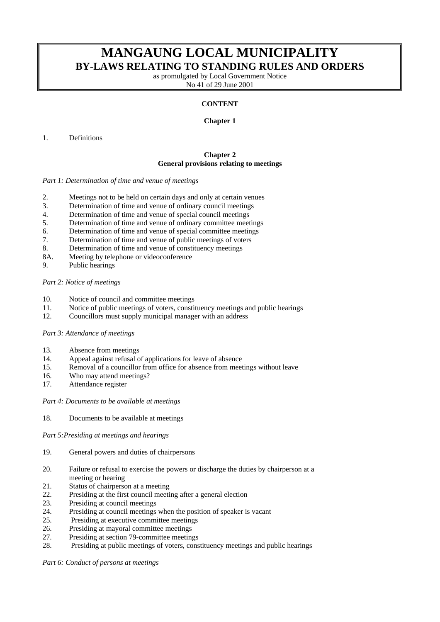# **MANGAUNG LOCAL MUNICIPALITY BY-LAWS RELATING TO STANDING RULES AND ORDERS**

as promulgated by Local Government Notice No 41 of 29 June 2001

# **CONTENT**

# **Chapter 1**

# 1. Definitions

# **Chapter 2 General provisions relating to meetings**

#### *Part 1: Determination of time and venue of meetings*

- 2. Meetings not to be held on certain days and only at certain venues
- 3. Determination of time and venue of ordinary council meetings
- 4. Determination of time and venue of special council meetings
- 5. Determination of time and venue of ordinary committee meetings
- 6. Determination of time and venue of special committee meetings
- 7. Determination of time and venue of public meetings of voters
- 8. Determination of time and venue of constituency meetings
- 8A. Meeting by telephone or videoconference
- 9. Public hearings

# *Part 2: Notice of meetings*

- 10. Notice of council and committee meetings
- 11. Notice of public meetings of voters, constituency meetings and public hearings
- 12. Councillors must supply municipal manager with an address

# *Part 3: Attendance of meetings*

- 13. Absence from meetings
- 14. Appeal against refusal of applications for leave of absence
- 15. Removal of a councillor from office for absence from meetings without leave
- 16. Who may attend meetings?
- 17. Attendance register

#### *Part 4: Documents to be available at meetings*

18. Documents to be available at meetings

#### *Part 5:Presiding at meetings and hearings*

- 19. General powers and duties of chairpersons
- 20. Failure or refusal to exercise the powers or discharge the duties by chairperson at a meeting or hearing
- 21. Status of chairperson at a meeting
- 22. Presiding at the first council meeting after a general election
- 23. Presiding at council meetings
- 24. Presiding at council meetings when the position of speaker is vacant
- 25. Presiding at executive committee meetings
- 26. Presiding at mayoral committee meetings
- 27. Presiding at section 79-committee meetings
- 28. Presiding at public meetings of voters, constituency meetings and public hearings

*Part 6: Conduct of persons at meetings*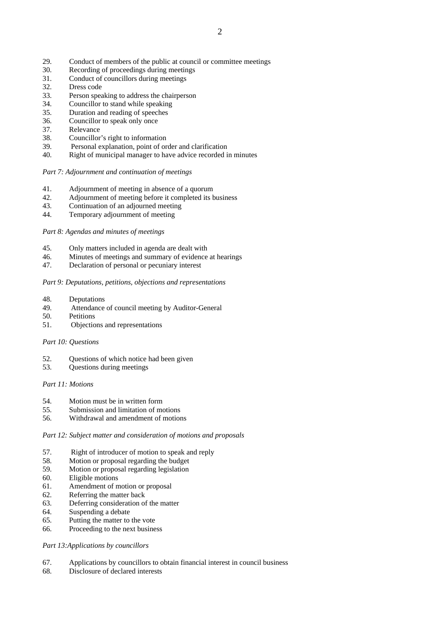- 29. Conduct of members of the public at council or committee meetings
- 30. Recording of proceedings during meetings
- 31. Conduct of councillors during meetings
- 32. Dress code
- 33. Person speaking to address the chairperson
- 34. Councillor to stand while speaking
- 35. Duration and reading of speeches
- 36. Councillor to speak only once
- 37. Relevance
- 38. Councillor's right to information
- 39. Personal explanation, point of order and clarification
- 40. Right of municipal manager to have advice recorded in minutes

*Part 7: Adjournment and continuation of meetings* 

- 41. Adjournment of meeting in absence of a quorum
- 42. Adjournment of meeting before it completed its business
- 43. Continuation of an adjourned meeting
- 44. Temporary adjournment of meeting

*Part 8: Agendas and minutes of meetings* 

- 45. Only matters included in agenda are dealt with
- 46. Minutes of meetings and summary of evidence at hearings
- 47. Declaration of personal or pecuniary interest

# *Part 9: Deputations, petitions, objections and representations*

- 48. Deputations
- 49. Attendance of council meeting by Auditor-General
- 50. Petitions
- 51. Objections and representations

#### *Part 10: Questions*

- 52. Questions of which notice had been given
- 53. Questions during meetings

#### *Part 11: Motions*

- 54. Motion must be in written form<br>55. Submission and limitation of mo
- Submission and limitation of motions
- 56. Withdrawal and amendment of motions

### *Part 12: Subject matter and consideration of motions and proposals*

- 57. Right of introducer of motion to speak and reply
- 58. Motion or proposal regarding the budget
- 59. Motion or proposal regarding legislation
- 60. Eligible motions
- 61. Amendment of motion or proposal
- 62. Referring the matter back
- 63. Deferring consideration of the matter
- 64. Suspending a debate
- 65. Putting the matter to the vote
- 66. Proceeding to the next business

# *Part 13:Applications by councillors*

- 67. Applications by councillors to obtain financial interest in council business
- 68. Disclosure of declared interests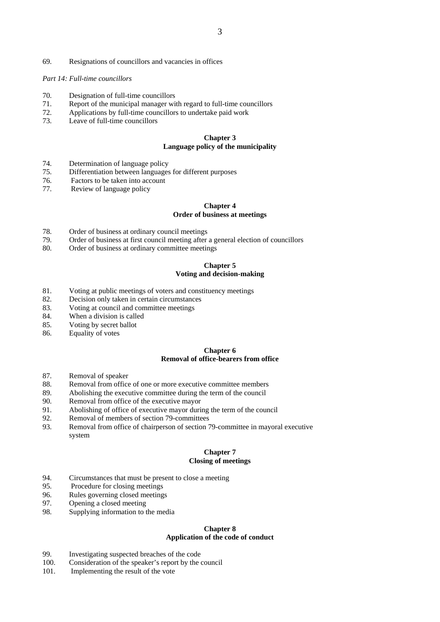69. Resignations of councillors and vacancies in offices

#### *Part 14: Full-time councillors*

- 70. Designation of full-time councillors
- 71. Report of the municipal manager with regard to full-time councillors
- 72. Applications by full-time councillors to undertake paid work
- 73. Leave of full-time councillors

# **Chapter 3 Language policy of the municipality**

- 74. Determination of language policy
- 75. Differentiation between languages for different purposes
- 76. Factors to be taken into account
- 77. Review of language policy

# **Chapter 4 Order of business at meetings**

- 78. Order of business at ordinary council meetings
- 79. Order of business at first council meeting after a general election of councillors
- 80. Order of business at ordinary committee meetings

# **Chapter 5 Voting and decision-making**

- 81. Voting at public meetings of voters and constituency meetings
- 82. Decision only taken in certain circumstances
- 83. Voting at council and committee meetings
- 84. When a division is called
- 85. Voting by secret ballot
- 86. Equality of votes

# **Chapter 6 Removal of office-bearers from office**

- 87. Removal of speaker
- 88. Removal from office of one or more executive committee members
- 89. Abolishing the executive committee during the term of the council 90. Removal from office of the executive mayor
- 90. Removal from office of the executive mayor<br>91 Abolishing of office of executive mayor during
- Abolishing of office of executive mayor during the term of the council
- 92. Removal of members of section 79-committees
- 93. Removal from office of chairperson of section 79-committee in mayoral executive system

# **Chapter 7 Closing of meetings**

- 94. Circumstances that must be present to close a meeting
- 95. Procedure for closing meetings
- 96. Rules governing closed meetings
- 97. Opening a closed meeting
- 98. Supplying information to the media

# **Chapter 8 Application of the code of conduct**

- 99. Investigating suspected breaches of the code
- 100. Consideration of the speaker's report by the council
- 101. Implementing the result of the vote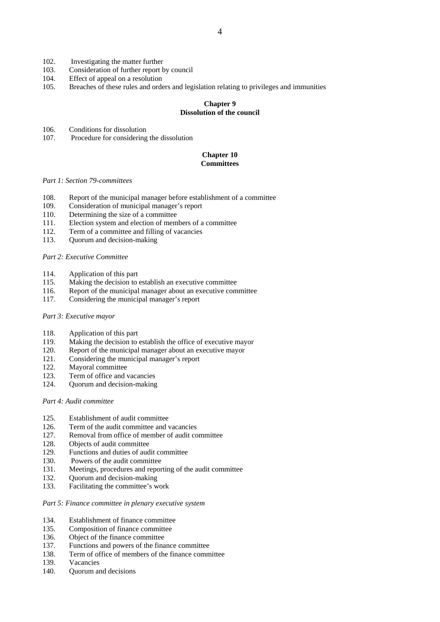- 102. Investigating the matter further
- 103. Consideration of further report by council
- 104. Effect of appeal on a resolution
- 105. Breaches of these rules and orders and legislation relating to privileges and immunities

# **Chapter 9 Dissolution of the council**

- 106. Conditions for dissolution
- 107. Procedure for considering the dissolution

# **Chapter 10 Committees**

#### *Part 1: Section 79-committees*

- 108. Report of the municipal manager before establishment of a committee
- 109. Consideration of municipal manager's report
- 110. Determining the size of a committee
- 111. Election system and election of members of a committee
- 112. Term of a committee and filling of vacancies
- 113. Quorum and decision-making

#### *Part 2: Executive Committee*

- 114. Application of this part
- 115. Making the decision to establish an executive committee
- 116. Report of the municipal manager about an executive committee
- 117. Considering the municipal manager's report

#### *Part 3: Executive mayor*

- 118. Application of this part
- 119. Making the decision to establish the office of executive mayor
- 120. Report of the municipal manager about an executive mayor
- 121. Considering the municipal manager's report
- 122. Mayoral committee
- 123. Term of office and vacancies
- 124. Quorum and decision-making

### *Part 4: Audit committee*

- 125. Establishment of audit committee
- 126. Term of the audit committee and vacancies
- 127. Removal from office of member of audit committee
- 128. Objects of audit committee
- 129. Functions and duties of audit committee
- 130. Powers of the audit committee
- 131. Meetings, procedures and reporting of the audit committee
- 132. Quorum and decision-making
- 133. Facilitating the committee's work

#### *Part 5: Finance committee in plenary executive system*

- 134. Establishment of finance committee
- 135. Composition of finance committee
- 136. Object of the finance committee
- 137. Functions and powers of the finance committee
- 138. Term of office of members of the finance committee
- 139. Vacancies
- 140. Quorum and decisions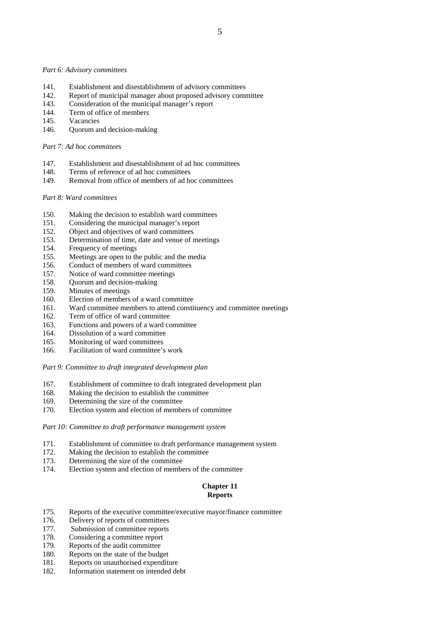#### *Part 6: Advisory committees*

- 141. Establishment and disestablishment of advisory committees
- 142. Report of municipal manager about proposed advisory committee
- 143. Consideration of the municipal manager's report
- 144. Term of office of members
- 145. Vacancies
- 146. Quorum and decision-making

#### *Part 7: Ad hoc committees*

- 147. Establishment and disestablishment of ad hoc committees
- 148. Terms of reference of ad hoc committees
- 149. Removal from office of members of ad hoc committees

# *Part 8: Ward committees*

- 150. Making the decision to establish ward committees 151. Considering the municipal manager's report
- 151. Considering the municipal manager's report<br>152. Object and objectives of ward committees
- Object and objectives of ward committees
- 153. Determination of time, date and venue of meetings
- 154. Frequency of meetings
- 155. Meetings are open to the public and the media
- 156. Conduct of members of ward committees
- 157. Notice of ward committee meetings
- 158. Quorum and decision-making
- 159. Minutes of meetings
- 160. Election of members of a ward committee
- 161. Ward committee members to attend constituency and committee meetings
- 162. Term of office of ward committee
- 163. Functions and powers of a ward committee
- 164. Dissolution of a ward committee
- 165. Monitoring of ward committees
- 166. Facilitation of ward committee's work

*Part 9: Committee to draft integrated development plan* 

- 167. Establishment of committee to draft integrated development plan
- 168. Making the decision to establish the committee 169. Determining the size of the committee
- 169. Determining the size of the committee<br>170. Election system and election of member
- Election system and election of members of committee

*Part 10: Committee to draft performance management system* 

- 171. Establishment of committee to draft performance management system
- 172. Making the decision to establish the committee
- 173. Determining the size of the committee
- 174. Election system and election of members of the committee

# **Chapter 11 Reports**

- 175. Reports of the executive committee/executive mayor/finance committee
- 176. Delivery of reports of committees
- 177. Submission of committee reports
- 178. Considering a committee report
- 179. Reports of the audit committee
- 180. Reports on the state of the budget
- 181. Reports on unauthorised expenditure
- 182. Information statement on intended debt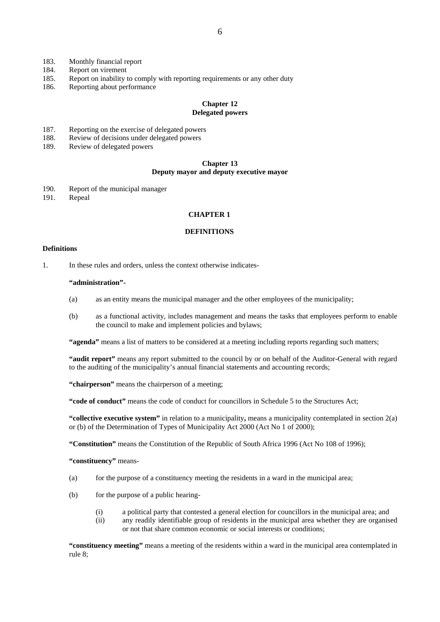- 183. Monthly financial report
- 184. Report on virement
- 185. Report on inability to comply with reporting requirements or any other duty
- 186. Reporting about performance

# **Chapter 12 Delegated powers**

### 187. Reporting on the exercise of delegated powers

- 188. Review of decisions under delegated powers
- 189. Review of delegated powers

#### **Chapter 13 Deputy mayor and deputy executive mayor**

190. Report of the municipal manager 191. Repeal

# **CHAPTER 1**

# **DEFINITIONS**

### **Definitions**

1. In these rules and orders, unless the context otherwise indicates-

#### **"administration"-**

- (a) as an entity means the municipal manager and the other employees of the municipality;
- (b) as a functional activity, includes management and means the tasks that employees perform to enable the council to make and implement policies and bylaws;

 **"agenda"** means a list of matters to be considered at a meeting including reports regarding such matters;

 **"audit report"** means any report submitted to the council by or on behalf of the Auditor-General with regard to the auditing of the municipality's annual financial statements and accounting records;

 **"chairperson"** means the chairperson of a meeting;

**"code of conduct"** means the code of conduct for councillors in Schedule 5 to the Structures Act;

**"collective executive system"** in relation to a municipality**,** means a municipality contemplated in section 2(a) or (b) of the Determination of Types of Municipality Act 2000 (Act No 1 of 2000);

**"Constitution"** means the Constitution of the Republic of South Africa 1996 (Act No 108 of 1996);

**"constituency"** means-

- (a) for the purpose of a constituency meeting the residents in a ward in the municipal area;
- (b) for the purpose of a public hearing-
	- (i) a political party that contested a general election for councillors in the municipal area; and
	- (ii) any readily identifiable group of residents in the municipal area whether they are organised or not that share common economic or social interests or conditions;

**"constituency meeting"** means a meeting of the residents within a ward in the municipal area contemplated in rule 8;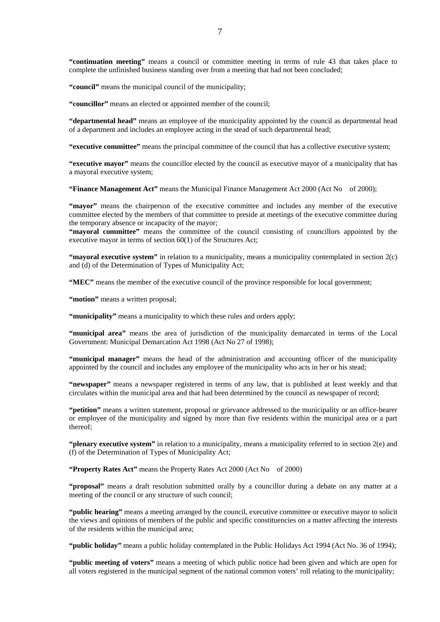**"continuation meeting"** means a council or committee meeting in terms of rule 43 that takes place to complete the unfinished business standing over from a meeting that had not been concluded;

**"council"** means the municipal council of the municipality;

**"councillor"** means an elected or appointed member of the council;

**"departmental head"** means an employee of the municipality appointed by the council as departmental head of a department and includes an employee acting in the stead of such departmental head;

**"executive committee"** means the principal committee of the council that has a collective executive system;

**"executive mayor"** means the councillor elected by the council as executive mayor of a municipality that has a mayoral executive system;

**"Finance Management Act"** means the Municipal Finance Management Act 2000 (Act No of 2000);

"mayor" means the chairperson of the executive committee and includes any member of the executive committee elected by the members of that committee to preside at meetings of the executive committee during the temporary absence or incapacity of the mayor;

**"mayoral committee"** means the committee of the council consisting of councillors appointed by the executive mayor in terms of section 60(1) of the Structures Act;

**"mayoral executive system"** in relation to a municipality, means a municipality contemplated in section 2(c) and (d) of the Determination of Types of Municipality Act;

**"MEC"** means the member of the executive council of the province responsible for local government;

"motion" means a written proposal;

**"municipality"** means a municipality to which these rules and orders apply;

**"municipal area"** means the area of jurisdiction of the municipality demarcated in terms of the Local Government: Municipal Demarcation Act 1998 (Act No 27 of 1998);

**"municipal manager"** means the head of the administration and accounting officer of the municipality appointed by the council and includes any employee of the municipality who acts in her or his stead;

**"newspaper"** means a newspaper registered in terms of any law, that is published at least weekly and that circulates within the municipal area and that had been determined by the council as newspaper of record;

**"petition"** means a written statement, proposal or grievance addressed to the municipality or an office-bearer or employee of the municipality and signed by more than five residents within the municipal area or a part thereof;

**"plenary executive system"** in relation to a municipality, means a municipality referred to in section 2(e) and (f) of the Determination of Types of Municipality Act;

**"Property Rates Act"** means the Property Rates Act 2000 (Act No of 2000)

**"proposal"** means a draft resolution submitted orally by a councillor during a debate on any matter at a meeting of the council or any structure of such council;

**"public hearing"** means a meeting arranged by the council, executive committee or executive mayor to solicit the views and opinions of members of the public and specific constituencies on a matter affecting the interests of the residents within the municipal area;

**"public holiday"** means a public holiday contemplated in the Public Holidays Act 1994 (Act No. 36 of 1994);

**"public meeting of voters"** means a meeting of which public notice had been given and which are open for all voters registered in the municipal segment of the national common voters' roll relating to the municipality;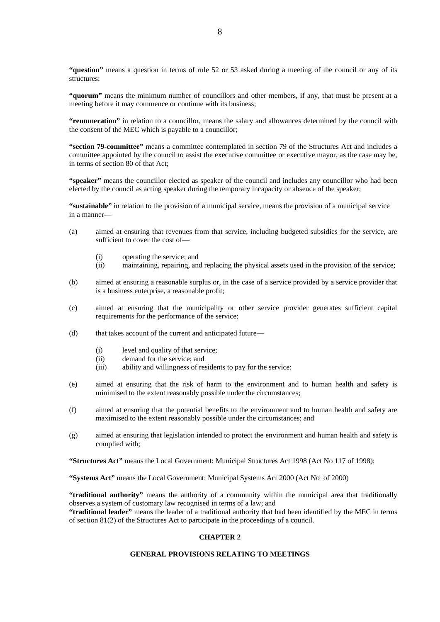**"question"** means a question in terms of rule 52 or 53 asked during a meeting of the council or any of its structures;

**"quorum"** means the minimum number of councillors and other members, if any, that must be present at a meeting before it may commence or continue with its business;

**"remuneration"** in relation to a councillor, means the salary and allowances determined by the council with the consent of the MEC which is payable to a councillor;

**"section 79-committee"** means a committee contemplated in section 79 of the Structures Act and includes a committee appointed by the council to assist the executive committee or executive mayor, as the case may be, in terms of section 80 of that Act;

**"speaker"** means the councillor elected as speaker of the council and includes any councillor who had been elected by the council as acting speaker during the temporary incapacity or absence of the speaker;

**"sustainable"** in relation to the provision of a municipal service, means the provision of a municipal service in a manner—

- (a) aimed at ensuring that revenues from that service, including budgeted subsidies for the service, are sufficient to cover the cost of—
	- (i) operating the service; and
	- (ii) maintaining, repairing, and replacing the physical assets used in the provision of the service;
- (b) aimed at ensuring a reasonable surplus or, in the case of a service provided by a service provider that is a business enterprise, a reasonable profit;
- (c) aimed at ensuring that the municipality or other service provider generates sufficient capital requirements for the performance of the service;
- (d) that takes account of the current and anticipated future—
	- (i) level and quality of that service;
	- (ii) demand for the service; and
	- (iii) ability and willingness of residents to pay for the service;
- (e) aimed at ensuring that the risk of harm to the environment and to human health and safety is minimised to the extent reasonably possible under the circumstances;
- (f) aimed at ensuring that the potential benefits to the environment and to human health and safety are maximised to the extent reasonably possible under the circumstances; and
- (g) aimed at ensuring that legislation intended to protect the environment and human health and safety is complied with;

**"Structures Act"** means the Local Government: Municipal Structures Act 1998 (Act No 117 of 1998);

**"Systems Act"** means the Local Government: Municipal Systems Act 2000 (Act No of 2000)

**"traditional authority"** means the authority of a community within the municipal area that traditionally observes a system of customary law recognised in terms of a law; and

**"traditional leader"** means the leader of a traditional authority that had been identified by the MEC in terms of section 81(2) of the Structures Act to participate in the proceedings of a council.

# **CHAPTER 2**

# **GENERAL PROVISIONS RELATING TO MEETINGS**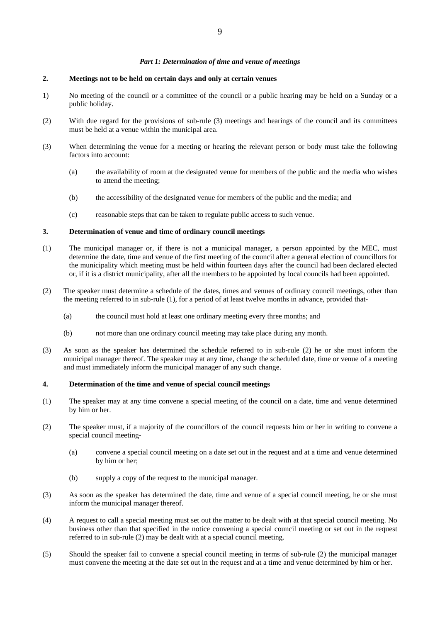# *Part 1: Determination of time and venue of meetings*

# **2. Meetings not to be held on certain days and only at certain venues**

- 1) No meeting of the council or a committee of the council or a public hearing may be held on a Sunday or a public holiday.
- (2) With due regard for the provisions of sub-rule (3) meetings and hearings of the council and its committees must be held at a venue within the municipal area.
- (3) When determining the venue for a meeting or hearing the relevant person or body must take the following factors into account:
	- (a) the availability of room at the designated venue for members of the public and the media who wishes to attend the meeting;
	- (b) the accessibility of the designated venue for members of the public and the media; and
	- (c) reasonable steps that can be taken to regulate public access to such venue.

# **3. Determination of venue and time of ordinary council meetings**

- (1) The municipal manager or, if there is not a municipal manager, a person appointed by the MEC, must determine the date, time and venue of the first meeting of the council after a general election of councillors for the municipality which meeting must be held within fourteen days after the council had been declared elected or, if it is a district municipality, after all the members to be appointed by local councils had been appointed.
- (2) The speaker must determine a schedule of the dates, times and venues of ordinary council meetings, other than the meeting referred to in sub-rule (1), for a period of at least twelve months in advance, provided that-
	- (a) the council must hold at least one ordinary meeting every three months; and
	- (b) not more than one ordinary council meeting may take place during any month.
- (3) As soon as the speaker has determined the schedule referred to in sub-rule (2) he or she must inform the municipal manager thereof. The speaker may at any time, change the scheduled date, time or venue of a meeting and must immediately inform the municipal manager of any such change.

# **4. Determination of the time and venue of special council meetings**

- (1) The speaker may at any time convene a special meeting of the council on a date, time and venue determined by him or her.
- (2) The speaker must, if a majority of the councillors of the council requests him or her in writing to convene a special council meeting-
	- (a) convene a special council meeting on a date set out in the request and at a time and venue determined by him or her;
	- (b) supply a copy of the request to the municipal manager.
- (3) As soon as the speaker has determined the date, time and venue of a special council meeting, he or she must inform the municipal manager thereof.
- (4) A request to call a special meeting must set out the matter to be dealt with at that special council meeting. No business other than that specified in the notice convening a special council meeting or set out in the request referred to in sub-rule (2) may be dealt with at a special council meeting.
- (5) Should the speaker fail to convene a special council meeting in terms of sub-rule (2) the municipal manager must convene the meeting at the date set out in the request and at a time and venue determined by him or her.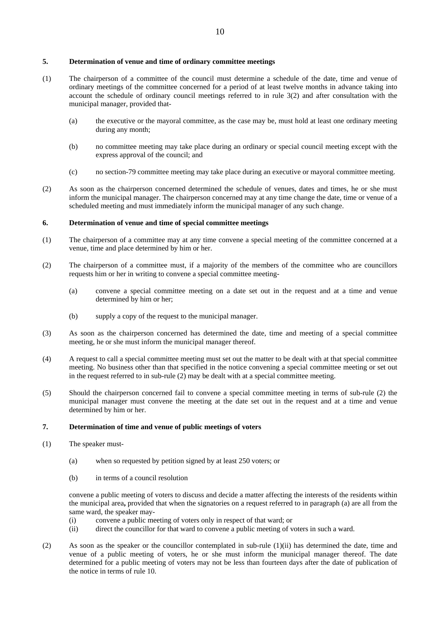# **5. Determination of venue and time of ordinary committee meetings**

- (1) The chairperson of a committee of the council must determine a schedule of the date, time and venue of ordinary meetings of the committee concerned for a period of at least twelve months in advance taking into account the schedule of ordinary council meetings referred to in rule 3(2) and after consultation with the municipal manager, provided that-
	- (a) the executive or the mayoral committee, as the case may be, must hold at least one ordinary meeting during any month;
	- (b) no committee meeting may take place during an ordinary or special council meeting except with the express approval of the council; and
	- (c) no section-79 committee meeting may take place during an executive or mayoral committee meeting.
- (2) As soon as the chairperson concerned determined the schedule of venues, dates and times, he or she must inform the municipal manager. The chairperson concerned may at any time change the date, time or venue of a scheduled meeting and must immediately inform the municipal manager of any such change.

# **6. Determination of venue and time of special committee meetings**

- (1) The chairperson of a committee may at any time convene a special meeting of the committee concerned at a venue, time and place determined by him or her.
- (2) The chairperson of a committee must, if a majority of the members of the committee who are councillors requests him or her in writing to convene a special committee meeting-
	- (a) convene a special committee meeting on a date set out in the request and at a time and venue determined by him or her;
	- (b) supply a copy of the request to the municipal manager.
- (3) As soon as the chairperson concerned has determined the date, time and meeting of a special committee meeting, he or she must inform the municipal manager thereof.
- (4) A request to call a special committee meeting must set out the matter to be dealt with at that special committee meeting. No business other than that specified in the notice convening a special committee meeting or set out in the request referred to in sub-rule (2) may be dealt with at a special committee meeting.
- (5) Should the chairperson concerned fail to convene a special committee meeting in terms of sub-rule (2) the municipal manager must convene the meeting at the date set out in the request and at a time and venue determined by him or her.

# **7. Determination of time and venue of public meetings of voters**

- (1) The speaker must-
	- (a) when so requested by petition signed by at least 250 voters; or
	- (b) in terms of a council resolution

convene a public meeting of voters to discuss and decide a matter affecting the interests of the residents within the municipal area**,** provided that when the signatories on a request referred to in paragraph (a) are all from the same ward, the speaker may-

- (i) convene a public meeting of voters only in respect of that ward; or
- (ii) direct the councillor for that ward to convene a public meeting of voters in such a ward.
- (2) As soon as the speaker or the councillor contemplated in sub-rule (1)(ii) has determined the date, time and venue of a public meeting of voters, he or she must inform the municipal manager thereof. The date determined for a public meeting of voters may not be less than fourteen days after the date of publication of the notice in terms of rule 10.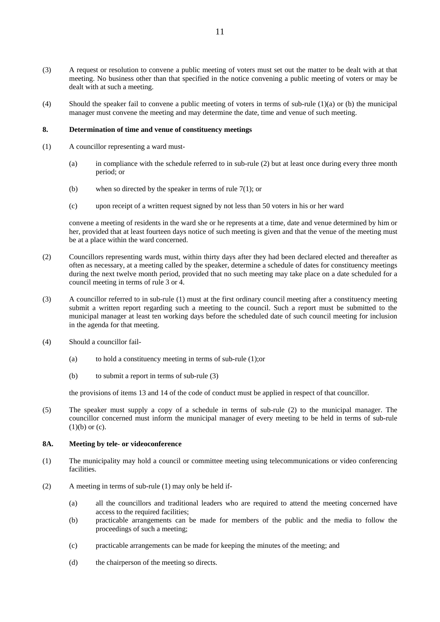- (3) A request or resolution to convene a public meeting of voters must set out the matter to be dealt with at that meeting. No business other than that specified in the notice convening a public meeting of voters or may be dealt with at such a meeting.
- (4) Should the speaker fail to convene a public meeting of voters in terms of sub-rule (1)(a) or (b) the municipal manager must convene the meeting and may determine the date, time and venue of such meeting.

# **8. Determination of time and venue of constituency meetings**

- (1) A councillor representing a ward must-
	- (a) in compliance with the schedule referred to in sub-rule (2) but at least once during every three month period; or
	- (b) when so directed by the speaker in terms of rule 7(1); or
	- (c) upon receipt of a written request signed by not less than 50 voters in his or her ward

convene a meeting of residents in the ward she or he represents at a time, date and venue determined by him or her, provided that at least fourteen days notice of such meeting is given and that the venue of the meeting must be at a place within the ward concerned.

- (2) Councillors representing wards must, within thirty days after they had been declared elected and thereafter as often as necessary, at a meeting called by the speaker, determine a schedule of dates for constituency meetings during the next twelve month period, provided that no such meeting may take place on a date scheduled for a council meeting in terms of rule 3 or 4.
- (3) A councillor referred to in sub-rule (1) must at the first ordinary council meeting after a constituency meeting submit a written report regarding such a meeting to the council. Such a report must be submitted to the municipal manager at least ten working days before the scheduled date of such council meeting for inclusion in the agenda for that meeting.
- (4) Should a councillor fail-
	- (a) to hold a constituency meeting in terms of sub-rule (1);or
	- (b) to submit a report in terms of sub-rule (3)

the provisions of items 13 and 14 of the code of conduct must be applied in respect of that councillor.

(5) The speaker must supply a copy of a schedule in terms of sub-rule (2) to the municipal manager. The councillor concerned must inform the municipal manager of every meeting to be held in terms of sub-rule  $(1)(b)$  or  $(c)$ .

#### **8A. Meeting by tele- or videoconference**

- (1) The municipality may hold a council or committee meeting using telecommunications or video conferencing facilities.
- (2) A meeting in terms of sub-rule (1) may only be held if-
	- (a) all the councillors and traditional leaders who are required to attend the meeting concerned have access to the required facilities;
	- (b) practicable arrangements can be made for members of the public and the media to follow the proceedings of such a meeting;
	- (c) practicable arrangements can be made for keeping the minutes of the meeting; and
	- (d) the chairperson of the meeting so directs.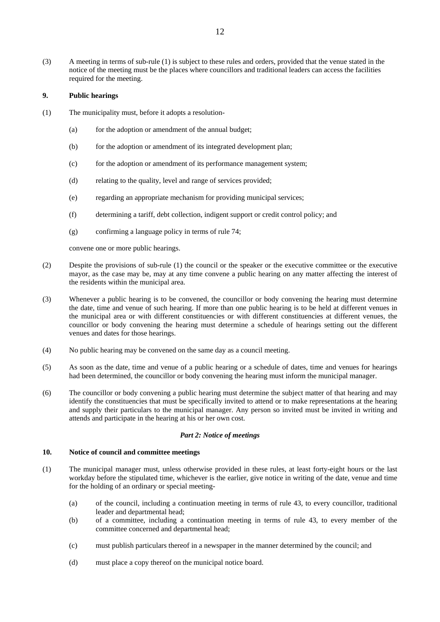(3) A meeting in terms of sub-rule (1) is subject to these rules and orders, provided that the venue stated in the notice of the meeting must be the places where councillors and traditional leaders can access the facilities required for the meeting.

# **9. Public hearings**

- (1) The municipality must, before it adopts a resolution-
	- (a) for the adoption or amendment of the annual budget;
	- (b) for the adoption or amendment of its integrated development plan;
	- (c) for the adoption or amendment of its performance management system;
	- (d) relating to the quality, level and range of services provided;
	- (e) regarding an appropriate mechanism for providing municipal services;
	- (f) determining a tariff, debt collection, indigent support or credit control policy; and
	- (g) confirming a language policy in terms of rule 74;

convene one or more public hearings.

- (2) Despite the provisions of sub-rule (1) the council or the speaker or the executive committee or the executive mayor, as the case may be, may at any time convene a public hearing on any matter affecting the interest of the residents within the municipal area.
- (3) Whenever a public hearing is to be convened, the councillor or body convening the hearing must determine the date, time and venue of such hearing. If more than one public hearing is to be held at different venues in the municipal area or with different constituencies or with different constituencies at different venues, the councillor or body convening the hearing must determine a schedule of hearings setting out the different venues and dates for those hearings.
- (4) No public hearing may be convened on the same day as a council meeting.
- (5) As soon as the date, time and venue of a public hearing or a schedule of dates, time and venues for hearings had been determined, the councillor or body convening the hearing must inform the municipal manager.
- (6) The councillor or body convening a public hearing must determine the subject matter of that hearing and may identify the constituencies that must be specifically invited to attend or to make representations at the hearing and supply their particulars to the municipal manager. Any person so invited must be invited in writing and attends and participate in the hearing at his or her own cost.

# *Part 2: Notice of meetings*

# **10. Notice of council and committee meetings**

- (1) The municipal manager must, unless otherwise provided in these rules, at least forty-eight hours or the last workday before the stipulated time, whichever is the earlier, give notice in writing of the date, venue and time for the holding of an ordinary or special meeting-
	- (a) of the council, including a continuation meeting in terms of rule 43, to every councillor, traditional leader and departmental head;
	- (b) of a committee, including a continuation meeting in terms of rule 43, to every member of the committee concerned and departmental head;
	- (c) must publish particulars thereof in a newspaper in the manner determined by the council; and
	- (d) must place a copy thereof on the municipal notice board.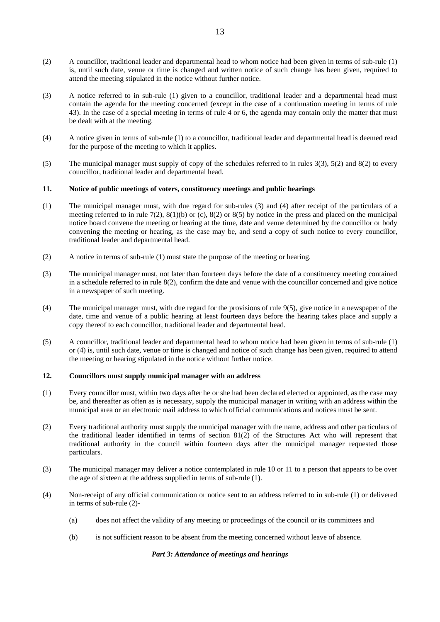- (2) A councillor, traditional leader and departmental head to whom notice had been given in terms of sub-rule (1) is, until such date, venue or time is changed and written notice of such change has been given, required to attend the meeting stipulated in the notice without further notice.
- (3) A notice referred to in sub-rule (1) given to a councillor, traditional leader and a departmental head must contain the agenda for the meeting concerned (except in the case of a continuation meeting in terms of rule 43). In the case of a special meeting in terms of rule 4 or 6, the agenda may contain only the matter that must be dealt with at the meeting.
- (4) A notice given in terms of sub-rule (1) to a councillor, traditional leader and departmental head is deemed read for the purpose of the meeting to which it applies.
- (5) The municipal manager must supply of copy of the schedules referred to in rules 3(3), 5(2) and 8(2) to every councillor, traditional leader and departmental head.

# **11. Notice of public meetings of voters, constituency meetings and public hearings**

- (1) The municipal manager must, with due regard for sub-rules (3) and (4) after receipt of the particulars of a meeting referred to in rule  $7(2)$ ,  $8(1)(b)$  or  $(c)$ ,  $8(2)$  or  $8(5)$  by notice in the press and placed on the municipal notice board convene the meeting or hearing at the time, date and venue determined by the councillor or body convening the meeting or hearing, as the case may be, and send a copy of such notice to every councillor, traditional leader and departmental head.
- $(2)$  A notice in terms of sub-rule  $(1)$  must state the purpose of the meeting or hearing.
- (3) The municipal manager must, not later than fourteen days before the date of a constituency meeting contained in a schedule referred to in rule 8(2), confirm the date and venue with the councillor concerned and give notice in a newspaper of such meeting.
- (4) The municipal manager must, with due regard for the provisions of rule 9(5), give notice in a newspaper of the date, time and venue of a public hearing at least fourteen days before the hearing takes place and supply a copy thereof to each councillor, traditional leader and departmental head.
- (5) A councillor, traditional leader and departmental head to whom notice had been given in terms of sub-rule (1) or (4) is, until such date, venue or time is changed and notice of such change has been given, required to attend the meeting or hearing stipulated in the notice without further notice.

# **12. Councillors must supply municipal manager with an address**

- (1) Every councillor must, within two days after he or she had been declared elected or appointed, as the case may be, and thereafter as often as is necessary, supply the municipal manager in writing with an address within the municipal area or an electronic mail address to which official communications and notices must be sent.
- (2) Every traditional authority must supply the municipal manager with the name, address and other particulars of the traditional leader identified in terms of section 81(2) of the Structures Act who will represent that traditional authority in the council within fourteen days after the municipal manager requested those particulars.
- (3) The municipal manager may deliver a notice contemplated in rule 10 or 11 to a person that appears to be over the age of sixteen at the address supplied in terms of sub-rule (1).
- (4) Non-receipt of any official communication or notice sent to an address referred to in sub-rule (1) or delivered in terms of sub-rule (2)-
	- (a) does not affect the validity of any meeting or proceedings of the council or its committees and
	- (b) is not sufficient reason to be absent from the meeting concerned without leave of absence.

#### *Part 3: Attendance of meetings and hearings*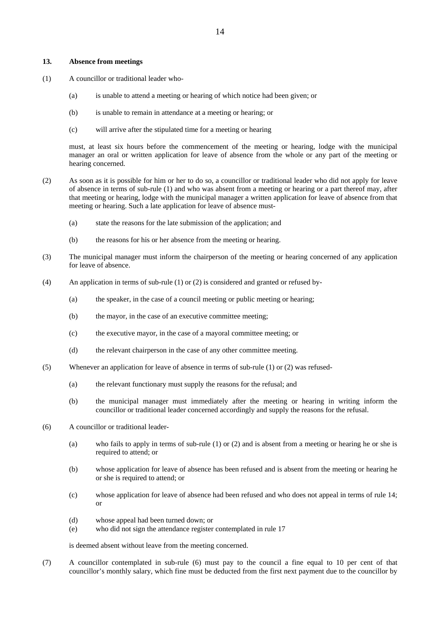#### **13. Absence from meetings**

- (1) A councillor or traditional leader who-
	- (a) is unable to attend a meeting or hearing of which notice had been given; or
	- (b) is unable to remain in attendance at a meeting or hearing; or
	- (c) will arrive after the stipulated time for a meeting or hearing

must, at least six hours before the commencement of the meeting or hearing, lodge with the municipal manager an oral or written application for leave of absence from the whole or any part of the meeting or hearing concerned.

- (2) As soon as it is possible for him or her to do so, a councillor or traditional leader who did not apply for leave of absence in terms of sub-rule (1) and who was absent from a meeting or hearing or a part thereof may, after that meeting or hearing, lodge with the municipal manager a written application for leave of absence from that meeting or hearing. Such a late application for leave of absence must-
	- (a) state the reasons for the late submission of the application; and
	- (b) the reasons for his or her absence from the meeting or hearing.
- (3) The municipal manager must inform the chairperson of the meeting or hearing concerned of any application for leave of absence.
- (4) An application in terms of sub-rule (1) or (2) is considered and granted or refused by-
	- (a) the speaker, in the case of a council meeting or public meeting or hearing;
	- (b) the mayor, in the case of an executive committee meeting;
	- (c) the executive mayor, in the case of a mayoral committee meeting; or
	- (d) the relevant chairperson in the case of any other committee meeting.
- (5) Whenever an application for leave of absence in terms of sub-rule (1) or (2) was refused-
	- (a) the relevant functionary must supply the reasons for the refusal; and
	- (b) the municipal manager must immediately after the meeting or hearing in writing inform the councillor or traditional leader concerned accordingly and supply the reasons for the refusal.
- (6) A councillor or traditional leader-
	- (a) who fails to apply in terms of sub-rule (1) or (2) and is absent from a meeting or hearing he or she is required to attend; or
	- (b) whose application for leave of absence has been refused and is absent from the meeting or hearing he or she is required to attend; or
	- (c) whose application for leave of absence had been refused and who does not appeal in terms of rule 14; or
	- (d) whose appeal had been turned down; or
	- (e) who did not sign the attendance register contemplated in rule 17

is deemed absent without leave from the meeting concerned.

(7) A councillor contemplated in sub-rule (6) must pay to the council a fine equal to 10 per cent of that councillor's monthly salary, which fine must be deducted from the first next payment due to the councillor by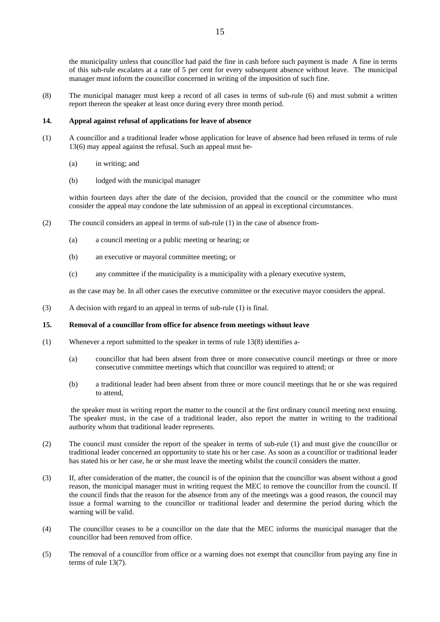the municipality unless that councillor had paid the fine in cash before such payment is made A fine in terms of this sub-rule escalates at a rate of 5 per cent for every subsequent absence without leave. The municipal manager must inform the councillor concerned in writing of the imposition of such fine.

(8) The municipal manager must keep a record of all cases in terms of sub-rule (6) and must submit a written report thereon the speaker at least once during every three month period.

#### **14. Appeal against refusal of applications for leave of absence**

- (1) A councillor and a traditional leader whose application for leave of absence had been refused in terms of rule 13(6) may appeal against the refusal. Such an appeal must be-
	- (a) in writing; and
	- (b) lodged with the municipal manager

within fourteen days after the date of the decision, provided that the council or the committee who must consider the appeal may condone the late submission of an appeal in exceptional circumstances.

- (2) The council considers an appeal in terms of sub-rule (1) in the case of absence from-
	- (a) a council meeting or a public meeting or hearing; or
	- (b) an executive or mayoral committee meeting; or
	- (c) any committee if the municipality is a municipality with a plenary executive system,

as the case may be. In all other cases the executive committee or the executive mayor considers the appeal.

(3) A decision with regard to an appeal in terms of sub-rule (1) is final.

#### **15. Removal of a councillor from office for absence from meetings without leave**

- (1) Whenever a report submitted to the speaker in terms of rule 13(8) identifies a-
	- (a) councillor that had been absent from three or more consecutive council meetings or three or more consecutive committee meetings which that councillor was required to attend; or
	- (b) a traditional leader had been absent from three or more council meetings that he or she was required to attend,

the speaker must in writing report the matter to the council at the first ordinary council meeting next ensuing. The speaker must, in the case of a traditional leader, also report the matter in writing to the traditional authority whom that traditional leader represents.

- (2) The council must consider the report of the speaker in terms of sub-rule (1) and must give the councillor or traditional leader concerned an opportunity to state his or her case. As soon as a councillor or traditional leader has stated his or her case, he or she must leave the meeting whilst the council considers the matter.
- (3) If, after consideration of the matter, the council is of the opinion that the councillor was absent without a good reason, the municipal manager must in writing request the MEC to remove the councillor from the council. If the council finds that the reason for the absence from any of the meetings was a good reason, the council may issue a formal warning to the councillor or traditional leader and determine the period during which the warning will be valid.
- (4) The councillor ceases to be a councillor on the date that the MEC informs the municipal manager that the councillor had been removed from office.
- (5) The removal of a councillor from office or a warning does not exempt that councillor from paying any fine in terms of rule 13(7).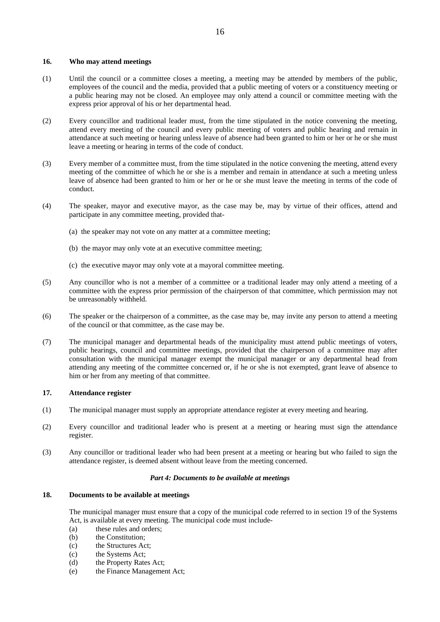# **16. Who may attend meetings**

- (1) Until the council or a committee closes a meeting, a meeting may be attended by members of the public, employees of the council and the media, provided that a public meeting of voters or a constituency meeting or a public hearing may not be closed. An employee may only attend a council or committee meeting with the express prior approval of his or her departmental head.
- (2) Every councillor and traditional leader must, from the time stipulated in the notice convening the meeting, attend every meeting of the council and every public meeting of voters and public hearing and remain in attendance at such meeting or hearing unless leave of absence had been granted to him or her or he or she must leave a meeting or hearing in terms of the code of conduct.
- (3) Every member of a committee must, from the time stipulated in the notice convening the meeting, attend every meeting of the committee of which he or she is a member and remain in attendance at such a meeting unless leave of absence had been granted to him or her or he or she must leave the meeting in terms of the code of conduct.
- (4) The speaker, mayor and executive mayor, as the case may be, may by virtue of their offices, attend and participate in any committee meeting, provided that-
	- (a) the speaker may not vote on any matter at a committee meeting;
	- (b) the mayor may only vote at an executive committee meeting;
	- (c) the executive mayor may only vote at a mayoral committee meeting.
- (5) Any councillor who is not a member of a committee or a traditional leader may only attend a meeting of a committee with the express prior permission of the chairperson of that committee, which permission may not be unreasonably withheld.
- (6) The speaker or the chairperson of a committee, as the case may be, may invite any person to attend a meeting of the council or that committee, as the case may be.
- (7) The municipal manager and departmental heads of the municipality must attend public meetings of voters, public hearings, council and committee meetings, provided that the chairperson of a committee may after consultation with the municipal manager exempt the municipal manager or any departmental head from attending any meeting of the committee concerned or, if he or she is not exempted, grant leave of absence to him or her from any meeting of that committee.

# **17. Attendance register**

- (1) The municipal manager must supply an appropriate attendance register at every meeting and hearing.
- (2) Every councillor and traditional leader who is present at a meeting or hearing must sign the attendance register.
- (3) Any councillor or traditional leader who had been present at a meeting or hearing but who failed to sign the attendance register, is deemed absent without leave from the meeting concerned.

#### *Part 4: Documents to be available at meetings*

#### **18. Documents to be available at meetings**

 The municipal manager must ensure that a copy of the municipal code referred to in section 19 of the Systems Act, is available at every meeting. The municipal code must include-

- (a) these rules and orders;
- (b) the Constitution;
- (c) the Structures Act;
- (c) the Systems Act;
- (d) the Property Rates Act;
- (e) the Finance Management Act;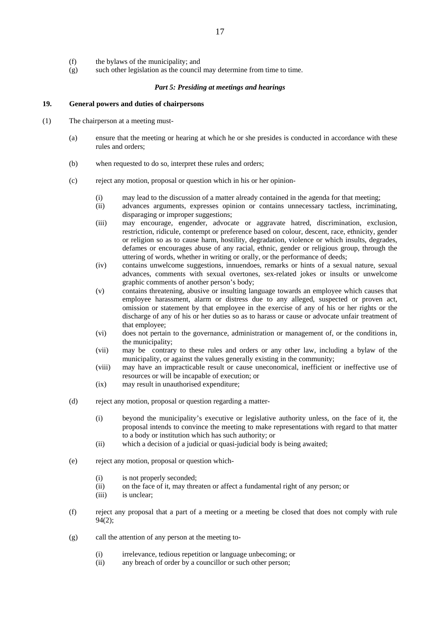- (f) the bylaws of the municipality; and
- (g) such other legislation as the council may determine from time to time.

# *Part 5: Presiding at meetings and hearings*

# **19. General powers and duties of chairpersons**

- (1) The chairperson at a meeting must-
	- (a) ensure that the meeting or hearing at which he or she presides is conducted in accordance with these rules and orders;
	- (b) when requested to do so, interpret these rules and orders;
	- (c) reject any motion, proposal or question which in his or her opinion-
		- (i) may lead to the discussion of a matter already contained in the agenda for that meeting;
		- (ii) advances arguments, expresses opinion or contains unnecessary tactless, incriminating, disparaging or improper suggestions;
		- (iii) may encourage, engender, advocate or aggravate hatred, discrimination, exclusion, restriction, ridicule, contempt or preference based on colour, descent, race, ethnicity, gender or religion so as to cause harm, hostility, degradation, violence or which insults, degrades, defames or encourages abuse of any racial, ethnic, gender or religious group, through the uttering of words, whether in writing or orally, or the performance of deeds;
		- (iv) contains unwelcome suggestions, innuendoes, remarks or hints of a sexual nature, sexual advances, comments with sexual overtones, sex-related jokes or insults or unwelcome graphic comments of another person's body;
		- (v) contains threatening, abusive or insulting language towards an employee which causes that employee harassment, alarm or distress due to any alleged, suspected or proven act, omission or statement by that employee in the exercise of any of his or her rights or the discharge of any of his or her duties so as to harass or cause or advocate unfair treatment of that employee;
		- (vi) does not pertain to the governance, administration or management of, or the conditions in, the municipality;
		- (vii) may be contrary to these rules and orders or any other law, including a bylaw of the municipality, or against the values generally existing in the community;
		- (viii) may have an impracticable result or cause uneconomical, inefficient or ineffective use of resources or will be incapable of execution; or
		- (ix) may result in unauthorised expenditure;
	- (d) reject any motion, proposal or question regarding a matter-
		- (i) beyond the municipality's executive or legislative authority unless, on the face of it, the proposal intends to convince the meeting to make representations with regard to that matter to a body or institution which has such authority; or
		- (ii) which a decision of a judicial or quasi-judicial body is being awaited;
	- (e) reject any motion, proposal or question which-
		- (i) is not properly seconded;
		- (ii) on the face of it, may threaten or affect a fundamental right of any person; or
		- (iii) is unclear;
	- (f) reject any proposal that a part of a meeting or a meeting be closed that does not comply with rule 94(2);
	- (g) call the attention of any person at the meeting to-
		- (i) irrelevance, tedious repetition or language unbecoming; or
		- (ii) any breach of order by a councillor or such other person;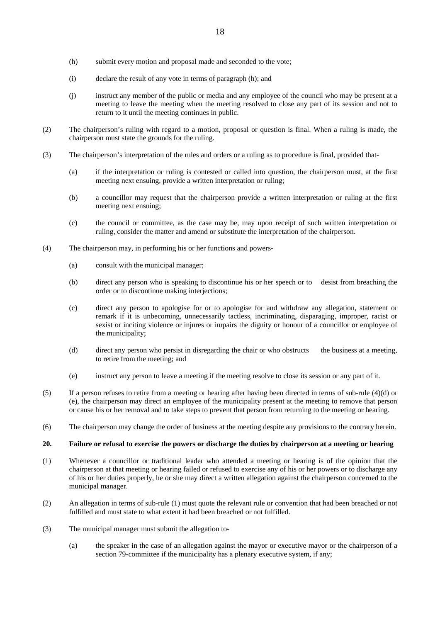- (h) submit every motion and proposal made and seconded to the vote;
- (i) declare the result of any vote in terms of paragraph (h); and
- (j) instruct any member of the public or media and any employee of the council who may be present at a meeting to leave the meeting when the meeting resolved to close any part of its session and not to return to it until the meeting continues in public.
- (2) The chairperson's ruling with regard to a motion, proposal or question is final. When a ruling is made, the chairperson must state the grounds for the ruling.
- (3) The chairperson's interpretation of the rules and orders or a ruling as to procedure is final, provided that-
	- (a) if the interpretation or ruling is contested or called into question, the chairperson must, at the first meeting next ensuing, provide a written interpretation or ruling;
	- (b) a councillor may request that the chairperson provide a written interpretation or ruling at the first meeting next ensuing;
	- (c) the council or committee, as the case may be, may upon receipt of such written interpretation or ruling, consider the matter and amend or substitute the interpretation of the chairperson.
- (4) The chairperson may, in performing his or her functions and powers-
	- (a) consult with the municipal manager;
	- (b) direct any person who is speaking to discontinue his or her speech or to desist from breaching the order or to discontinue making interjections;
	- (c) direct any person to apologise for or to apologise for and withdraw any allegation, statement or remark if it is unbecoming, unnecessarily tactless, incriminating, disparaging, improper, racist or sexist or inciting violence or injures or impairs the dignity or honour of a councillor or employee of the municipality;
	- (d) direct any person who persist in disregarding the chair or who obstructs the business at a meeting, to retire from the meeting; and
	- (e) instruct any person to leave a meeting if the meeting resolve to close its session or any part of it.
- (5) If a person refuses to retire from a meeting or hearing after having been directed in terms of sub-rule  $(4)(d)$  or (e), the chairperson may direct an employee of the municipality present at the meeting to remove that person or cause his or her removal and to take steps to prevent that person from returning to the meeting or hearing.
- (6) The chairperson may change the order of business at the meeting despite any provisions to the contrary herein.

# **20. Failure or refusal to exercise the powers or discharge the duties by chairperson at a meeting or hearing**

- (1) Whenever a councillor or traditional leader who attended a meeting or hearing is of the opinion that the chairperson at that meeting or hearing failed or refused to exercise any of his or her powers or to discharge any of his or her duties properly, he or she may direct a written allegation against the chairperson concerned to the municipal manager.
- (2) An allegation in terms of sub-rule (1) must quote the relevant rule or convention that had been breached or not fulfilled and must state to what extent it had been breached or not fulfilled.
- (3) The municipal manager must submit the allegation to-
	- (a) the speaker in the case of an allegation against the mayor or executive mayor or the chairperson of a section 79-committee if the municipality has a plenary executive system, if any;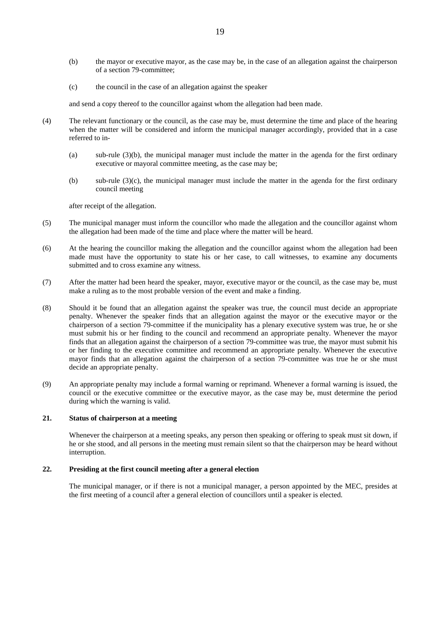- (b) the mayor or executive mayor, as the case may be, in the case of an allegation against the chairperson of a section 79-committee;
- (c) the council in the case of an allegation against the speaker

and send a copy thereof to the councillor against whom the allegation had been made.

- (4) The relevant functionary or the council, as the case may be, must determine the time and place of the hearing when the matter will be considered and inform the municipal manager accordingly, provided that in a case referred to in-
	- (a) sub-rule (3)(b), the municipal manager must include the matter in the agenda for the first ordinary executive or mayoral committee meeting, as the case may be;
	- (b) sub-rule  $(3)(c)$ , the municipal manager must include the matter in the agenda for the first ordinary council meeting

after receipt of the allegation.

- (5) The municipal manager must inform the councillor who made the allegation and the councillor against whom the allegation had been made of the time and place where the matter will be heard.
- (6) At the hearing the councillor making the allegation and the councillor against whom the allegation had been made must have the opportunity to state his or her case, to call witnesses, to examine any documents submitted and to cross examine any witness.
- (7) After the matter had been heard the speaker, mayor, executive mayor or the council, as the case may be, must make a ruling as to the most probable version of the event and make a finding.
- (8) Should it be found that an allegation against the speaker was true, the council must decide an appropriate penalty. Whenever the speaker finds that an allegation against the mayor or the executive mayor or the chairperson of a section 79-committee if the municipality has a plenary executive system was true, he or she must submit his or her finding to the council and recommend an appropriate penalty. Whenever the mayor finds that an allegation against the chairperson of a section 79-committee was true, the mayor must submit his or her finding to the executive committee and recommend an appropriate penalty. Whenever the executive mayor finds that an allegation against the chairperson of a section 79-committee was true he or she must decide an appropriate penalty.
- (9) An appropriate penalty may include a formal warning or reprimand. Whenever a formal warning is issued, the council or the executive committee or the executive mayor, as the case may be, must determine the period during which the warning is valid.

# **21. Status of chairperson at a meeting**

Whenever the chairperson at a meeting speaks, any person then speaking or offering to speak must sit down, if he or she stood, and all persons in the meeting must remain silent so that the chairperson may be heard without interruption.

#### **22. Presiding at the first council meeting after a general election**

 The municipal manager, or if there is not a municipal manager, a person appointed by the MEC, presides at the first meeting of a council after a general election of councillors until a speaker is elected.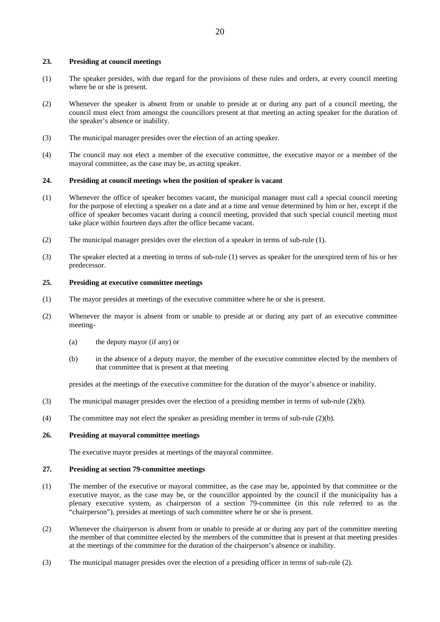### **23. Presiding at council meetings**

- (1) The speaker presides, with due regard for the provisions of these rules and orders, at every council meeting where he or she is present.
- (2) Whenever the speaker is absent from or unable to preside at or during any part of a council meeting, the council must elect from amongst the councillors present at that meeting an acting speaker for the duration of the speaker's absence or inability.
- (3) The municipal manager presides over the election of an acting speaker.
- (4) The council may not elect a member of the executive committee, the executive mayor or a member of the mayoral committee, as the case may be, as acting speaker.

#### **24. Presiding at council meetings when the position of speaker is vacant**

- (1) Whenever the office of speaker becomes vacant, the municipal manager must call a special council meeting for the purpose of electing a speaker on a date and at a time and venue determined by him or her, except if the office of speaker becomes vacant during a council meeting, provided that such special council meeting must take place within fourteen days after the office became vacant.
- (2) The municipal manager presides over the election of a speaker in terms of sub-rule (1).
- (3) The speaker elected at a meeting in terms of sub-rule (1) serves as speaker for the unexpired term of his or her predecessor.

# **25. Presiding at executive committee meetings**

- (1) The mayor presides at meetings of the executive committee where he or she is present.
- (2) Whenever the mayor is absent from or unable to preside at or during any part of an executive committee meeting-
	- (a) the deputy mayor (if any) or
	- (b) in the absence of a deputy mayor, the member of the executive committee elected by the members of that committee that is present at that meeting

presides at the meetings of the executive committee for the duration of the mayor's absence or inability.

- (3) The municipal manager presides over the election of a presiding member in terms of sub-rule (2)(b).
- (4) The committee may not elect the speaker as presiding member in terms of sub-rule (2)(b).

# **26. Presiding at mayoral committee meetings**

The executive mayor presides at meetings of the mayoral committee.

# **27. Presiding at section 79-committee meetings**

- (1) The member of the executive or mayoral committee, as the case may be, appointed by that committee or the executive mayor, as the case may be, or the councillor appointed by the council if the municipality has a plenary executive system, as chairperson of a section 79-committee (in this rule referred to as the "chairperson"), presides at meetings of such committee where he or she is present.
- (2) Whenever the chairperson is absent from or unable to preside at or during any part of the committee meeting the member of that committee elected by the members of the committee that is present at that meeting presides at the meetings of the committee for the duration of the chairperson's absence or inability.
- (3) The municipal manager presides over the election of a presiding officer in terms of sub-rule (2).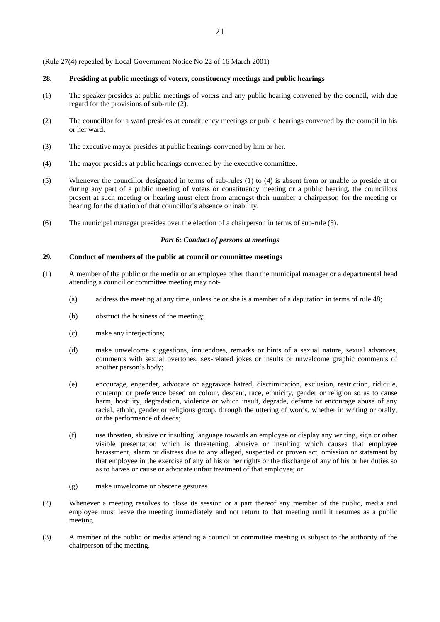(Rule 27(4) repealed by Local Government Notice No 22 of 16 March 2001)

# **28. Presiding at public meetings of voters, constituency meetings and public hearings**

- (1) The speaker presides at public meetings of voters and any public hearing convened by the council, with due regard for the provisions of sub-rule (2).
- (2) The councillor for a ward presides at constituency meetings or public hearings convened by the council in his or her ward.
- (3) The executive mayor presides at public hearings convened by him or her.
- (4) The mayor presides at public hearings convened by the executive committee.
- (5) Whenever the councillor designated in terms of sub-rules (1) to (4) is absent from or unable to preside at or during any part of a public meeting of voters or constituency meeting or a public hearing, the councillors present at such meeting or hearing must elect from amongst their number a chairperson for the meeting or hearing for the duration of that councillor's absence or inability.
- (6) The municipal manager presides over the election of a chairperson in terms of sub-rule (5).

# *Part 6: Conduct of persons at meetings*

### **29. Conduct of members of the public at council or committee meetings**

- (1) A member of the public or the media or an employee other than the municipal manager or a departmental head attending a council or committee meeting may not-
	- (a) address the meeting at any time, unless he or she is a member of a deputation in terms of rule 48;
	- (b) obstruct the business of the meeting;
	- (c) make any interjections;
	- (d) make unwelcome suggestions, innuendoes, remarks or hints of a sexual nature, sexual advances, comments with sexual overtones, sex-related jokes or insults or unwelcome graphic comments of another person's body;
	- (e) encourage, engender, advocate or aggravate hatred, discrimination, exclusion, restriction, ridicule, contempt or preference based on colour, descent, race, ethnicity, gender or religion so as to cause harm, hostility, degradation, violence or which insult, degrade, defame or encourage abuse of any racial, ethnic, gender or religious group, through the uttering of words, whether in writing or orally, or the performance of deeds;
	- (f) use threaten, abusive or insulting language towards an employee or display any writing, sign or other visible presentation which is threatening, abusive or insulting which causes that employee harassment, alarm or distress due to any alleged, suspected or proven act, omission or statement by that employee in the exercise of any of his or her rights or the discharge of any of his or her duties so as to harass or cause or advocate unfair treatment of that employee; or
	- (g) make unwelcome or obscene gestures.
- (2) Whenever a meeting resolves to close its session or a part thereof any member of the public, media and employee must leave the meeting immediately and not return to that meeting until it resumes as a public meeting.
- (3) A member of the public or media attending a council or committee meeting is subject to the authority of the chairperson of the meeting.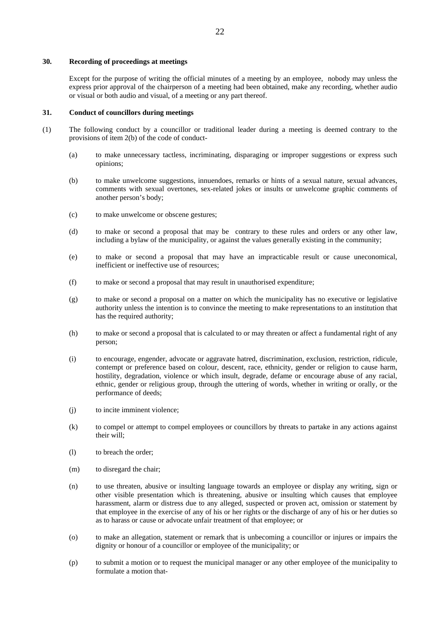### **30. Recording of proceedings at meetings**

 Except for the purpose of writing the official minutes of a meeting by an employee, nobody may unless the express prior approval of the chairperson of a meeting had been obtained, make any recording, whether audio or visual or both audio and visual, of a meeting or any part thereof.

### **31. Conduct of councillors during meetings**

- (1) The following conduct by a councillor or traditional leader during a meeting is deemed contrary to the provisions of item 2(b) of the code of conduct-
	- (a) to make unnecessary tactless, incriminating, disparaging or improper suggestions or express such opinions;
	- (b) to make unwelcome suggestions, innuendoes, remarks or hints of a sexual nature, sexual advances, comments with sexual overtones, sex-related jokes or insults or unwelcome graphic comments of another person's body;
	- (c) to make unwelcome or obscene gestures;
	- (d) to make or second a proposal that may be contrary to these rules and orders or any other law, including a bylaw of the municipality, or against the values generally existing in the community;
	- (e) to make or second a proposal that may have an impracticable result or cause uneconomical, inefficient or ineffective use of resources;
	- (f) to make or second a proposal that may result in unauthorised expenditure;
	- (g) to make or second a proposal on a matter on which the municipality has no executive or legislative authority unless the intention is to convince the meeting to make representations to an institution that has the required authority;
	- (h) to make or second a proposal that is calculated to or may threaten or affect a fundamental right of any person;
	- (i) to encourage, engender, advocate or aggravate hatred, discrimination, exclusion, restriction, ridicule, contempt or preference based on colour, descent, race, ethnicity, gender or religion to cause harm, hostility, degradation, violence or which insult, degrade, defame or encourage abuse of any racial, ethnic, gender or religious group, through the uttering of words, whether in writing or orally, or the performance of deeds;
	- (j) to incite imminent violence;
	- (k) to compel or attempt to compel employees or councillors by threats to partake in any actions against their will;
	- (l) to breach the order;
	- (m) to disregard the chair;
	- (n) to use threaten, abusive or insulting language towards an employee or display any writing, sign or other visible presentation which is threatening, abusive or insulting which causes that employee harassment, alarm or distress due to any alleged, suspected or proven act, omission or statement by that employee in the exercise of any of his or her rights or the discharge of any of his or her duties so as to harass or cause or advocate unfair treatment of that employee; or
	- (o) to make an allegation, statement or remark that is unbecoming a councillor or injures or impairs the dignity or honour of a councillor or employee of the municipality; or
	- (p) to submit a motion or to request the municipal manager or any other employee of the municipality to formulate a motion that-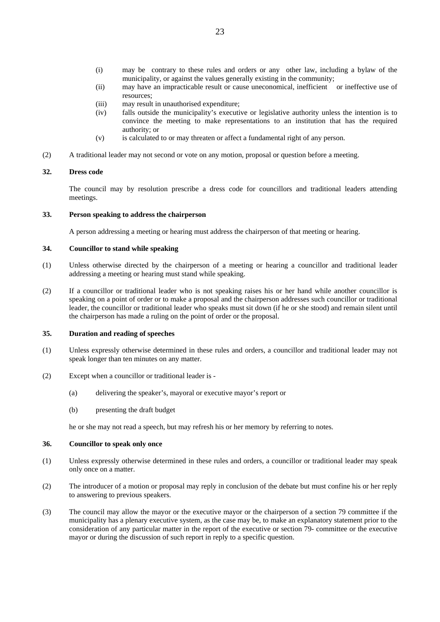- (i) may be contrary to these rules and orders or any other law, including a bylaw of the municipality, or against the values generally existing in the community;
- (ii) may have an impracticable result or cause uneconomical, inefficient or ineffective use of resources;
- (iii) may result in unauthorised expenditure;
- (iv) falls outside the municipality's executive or legislative authority unless the intention is to convince the meeting to make representations to an institution that has the required authority; or
- (v) is calculated to or may threaten or affect a fundamental right of any person.
- (2) A traditional leader may not second or vote on any motion, proposal or question before a meeting.

#### **32. Dress code**

 The council may by resolution prescribe a dress code for councillors and traditional leaders attending meetings.

# **33. Person speaking to address the chairperson**

A person addressing a meeting or hearing must address the chairperson of that meeting or hearing.

# **34. Councillor to stand while speaking**

- (1) Unless otherwise directed by the chairperson of a meeting or hearing a councillor and traditional leader addressing a meeting or hearing must stand while speaking.
- (2) If a councillor or traditional leader who is not speaking raises his or her hand while another councillor is speaking on a point of order or to make a proposal and the chairperson addresses such councillor or traditional leader, the councillor or traditional leader who speaks must sit down (if he or she stood) and remain silent until the chairperson has made a ruling on the point of order or the proposal.

# **35. Duration and reading of speeches**

- (1) Unless expressly otherwise determined in these rules and orders, a councillor and traditional leader may not speak longer than ten minutes on any matter.
- (2) Except when a councillor or traditional leader is
	- (a) delivering the speaker's, mayoral or executive mayor's report or
	- (b) presenting the draft budget

he or she may not read a speech, but may refresh his or her memory by referring to notes.

# **36. Councillor to speak only once**

- (1) Unless expressly otherwise determined in these rules and orders, a councillor or traditional leader may speak only once on a matter.
- (2) The introducer of a motion or proposal may reply in conclusion of the debate but must confine his or her reply to answering to previous speakers.
- (3) The council may allow the mayor or the executive mayor or the chairperson of a section 79 committee if the municipality has a plenary executive system, as the case may be, to make an explanatory statement prior to the consideration of any particular matter in the report of the executive or section 79- committee or the executive mayor or during the discussion of such report in reply to a specific question.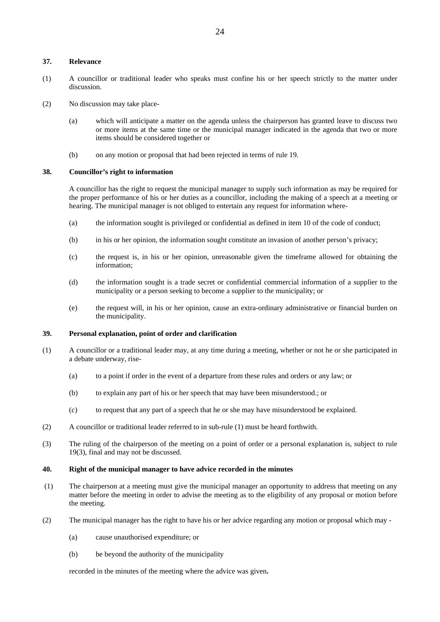### **37. Relevance**

- (1) A councillor or traditional leader who speaks must confine his or her speech strictly to the matter under discussion.
- (2) No discussion may take place-
	- (a) which will anticipate a matter on the agenda unless the chairperson has granted leave to discuss two or more items at the same time or the municipal manager indicated in the agenda that two or more items should be considered together or
	- (b) on any motion or proposal that had been rejected in terms of rule 19.

#### **38. Councillor's right to information**

 A councillor has the right to request the municipal manager to supply such information as may be required for the proper performance of his or her duties as a councillor, including the making of a speech at a meeting or hearing. The municipal manager is not obliged to entertain any request for information where-

- (a) the information sought is privileged or confidential as defined in item 10 of the code of conduct;
- (b) in his or her opinion, the information sought constitute an invasion of another person's privacy;
- (c) the request is, in his or her opinion, unreasonable given the timeframe allowed for obtaining the information;
- (d) the information sought is a trade secret or confidential commercial information of a supplier to the municipality or a person seeking to become a supplier to the municipality; or
- (e) the request will, in his or her opinion, cause an extra-ordinary administrative or financial burden on the municipality.

# **39. Personal explanation, point of order and clarification**

- (1) A councillor or a traditional leader may, at any time during a meeting, whether or not he or she participated in a debate underway, rise-
	- (a) to a point if order in the event of a departure from these rules and orders or any law; or
	- (b) to explain any part of his or her speech that may have been misunderstood.; or
	- (c) to request that any part of a speech that he or she may have misunderstood be explained.
- (2) A councillor or traditional leader referred to in sub-rule (1) must be heard forthwith.
- (3) The ruling of the chairperson of the meeting on a point of order or a personal explanation is, subject to rule 19(3), final and may not be discussed.

# **40. Right of the municipal manager to have advice recorded in the minutes**

- (1) The chairperson at a meeting must give the municipal manager an opportunity to address that meeting on any matter before the meeting in order to advise the meeting as to the eligibility of any proposal or motion before the meeting.
- (2) The municipal manager has the right to have his or her advice regarding any motion or proposal which may
	- (a) cause unauthorised expenditure; or
	- (b) be beyond the authority of the municipality

recorded in the minutes of the meeting where the advice was given**.**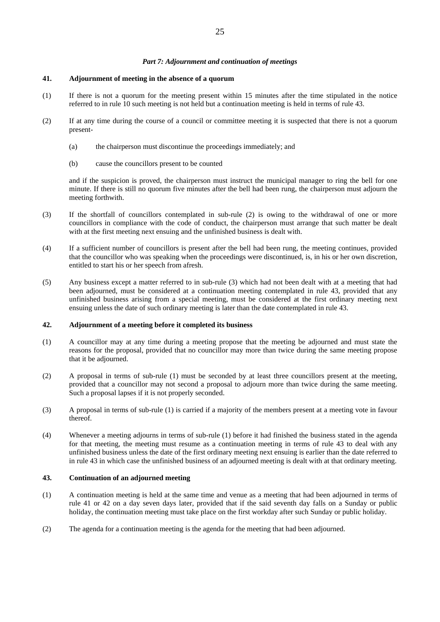# *Part 7: Adjournment and continuation of meetings*

### **41. Adjournment of meeting in the absence of a quorum**

- (1) If there is not a quorum for the meeting present within 15 minutes after the time stipulated in the notice referred to in rule 10 such meeting is not held but a continuation meeting is held in terms of rule 43.
- (2) If at any time during the course of a council or committee meeting it is suspected that there is not a quorum present-
	- (a) the chairperson must discontinue the proceedings immediately; and
	- (b) cause the councillors present to be counted

and if the suspicion is proved, the chairperson must instruct the municipal manager to ring the bell for one minute. If there is still no quorum five minutes after the bell had been rung, the chairperson must adjourn the meeting forthwith.

- (3) If the shortfall of councillors contemplated in sub-rule (2) is owing to the withdrawal of one or more councillors in compliance with the code of conduct, the chairperson must arrange that such matter be dealt with at the first meeting next ensuing and the unfinished business is dealt with.
- (4) If a sufficient number of councillors is present after the bell had been rung, the meeting continues, provided that the councillor who was speaking when the proceedings were discontinued, is, in his or her own discretion, entitled to start his or her speech from afresh.
- (5) Any business except a matter referred to in sub-rule (3) which had not been dealt with at a meeting that had been adjourned, must be considered at a continuation meeting contemplated in rule 43, provided that any unfinished business arising from a special meeting, must be considered at the first ordinary meeting next ensuing unless the date of such ordinary meeting is later than the date contemplated in rule 43.

#### **42. Adjournment of a meeting before it completed its business**

- (1) A councillor may at any time during a meeting propose that the meeting be adjourned and must state the reasons for the proposal, provided that no councillor may more than twice during the same meeting propose that it be adjourned.
- (2) A proposal in terms of sub-rule (1) must be seconded by at least three councillors present at the meeting, provided that a councillor may not second a proposal to adjourn more than twice during the same meeting. Such a proposal lapses if it is not properly seconded.
- (3) A proposal in terms of sub-rule (1) is carried if a majority of the members present at a meeting vote in favour thereof.
- (4) Whenever a meeting adjourns in terms of sub-rule (1) before it had finished the business stated in the agenda for that meeting, the meeting must resume as a continuation meeting in terms of rule 43 to deal with any unfinished business unless the date of the first ordinary meeting next ensuing is earlier than the date referred to in rule 43 in which case the unfinished business of an adjourned meeting is dealt with at that ordinary meeting.

# **43. Continuation of an adjourned meeting**

- (1) A continuation meeting is held at the same time and venue as a meeting that had been adjourned in terms of rule 41 or 42 on a day seven days later, provided that if the said seventh day falls on a Sunday or public holiday, the continuation meeting must take place on the first workday after such Sunday or public holiday.
- (2) The agenda for a continuation meeting is the agenda for the meeting that had been adjourned.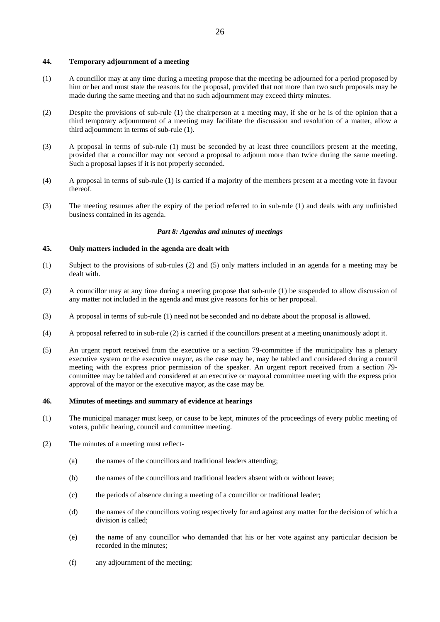# **44. Temporary adjournment of a meeting**

- (1) A councillor may at any time during a meeting propose that the meeting be adjourned for a period proposed by him or her and must state the reasons for the proposal, provided that not more than two such proposals may be made during the same meeting and that no such adjournment may exceed thirty minutes.
- (2) Despite the provisions of sub-rule (1) the chairperson at a meeting may, if she or he is of the opinion that a third temporary adjournment of a meeting may facilitate the discussion and resolution of a matter, allow a third adjournment in terms of sub-rule (1).
- (3) A proposal in terms of sub-rule (1) must be seconded by at least three councillors present at the meeting, provided that a councillor may not second a proposal to adjourn more than twice during the same meeting. Such a proposal lapses if it is not properly seconded.
- (4) A proposal in terms of sub-rule (1) is carried if a majority of the members present at a meeting vote in favour thereof.
- (3) The meeting resumes after the expiry of the period referred to in sub-rule (1) and deals with any unfinished business contained in its agenda.

# *Part 8: Agendas and minutes of meetings*

# **45. Only matters included in the agenda are dealt with**

- (1) Subject to the provisions of sub-rules (2) and (5) only matters included in an agenda for a meeting may be dealt with.
- (2) A councillor may at any time during a meeting propose that sub-rule (1) be suspended to allow discussion of any matter not included in the agenda and must give reasons for his or her proposal.
- (3) A proposal in terms of sub-rule (1) need not be seconded and no debate about the proposal is allowed.
- (4) A proposal referred to in sub-rule (2) is carried if the councillors present at a meeting unanimously adopt it.
- (5) An urgent report received from the executive or a section 79-committee if the municipality has a plenary executive system or the executive mayor, as the case may be, may be tabled and considered during a council meeting with the express prior permission of the speaker. An urgent report received from a section 79 committee may be tabled and considered at an executive or mayoral committee meeting with the express prior approval of the mayor or the executive mayor, as the case may be.

# **46. Minutes of meetings and summary of evidence at hearings**

- (1) The municipal manager must keep, or cause to be kept, minutes of the proceedings of every public meeting of voters, public hearing, council and committee meeting.
- (2) The minutes of a meeting must reflect-
	- (a) the names of the councillors and traditional leaders attending;
	- (b) the names of the councillors and traditional leaders absent with or without leave;
	- (c) the periods of absence during a meeting of a councillor or traditional leader;
	- (d) the names of the councillors voting respectively for and against any matter for the decision of which a division is called;
	- (e) the name of any councillor who demanded that his or her vote against any particular decision be recorded in the minutes;
	- (f) any adjournment of the meeting;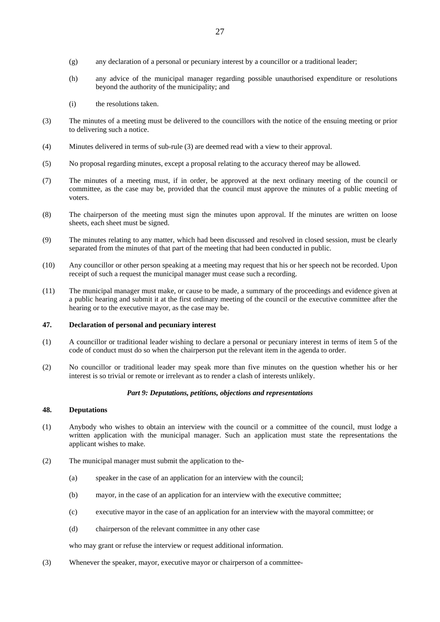- (g) any declaration of a personal or pecuniary interest by a councillor or a traditional leader;
- (h) any advice of the municipal manager regarding possible unauthorised expenditure or resolutions beyond the authority of the municipality; and
- (i) the resolutions taken.
- (3) The minutes of a meeting must be delivered to the councillors with the notice of the ensuing meeting or prior to delivering such a notice.
- (4) Minutes delivered in terms of sub-rule (3) are deemed read with a view to their approval.
- (5) No proposal regarding minutes, except a proposal relating to the accuracy thereof may be allowed.
- (7) The minutes of a meeting must, if in order, be approved at the next ordinary meeting of the council or committee, as the case may be, provided that the council must approve the minutes of a public meeting of voters.
- (8) The chairperson of the meeting must sign the minutes upon approval. If the minutes are written on loose sheets, each sheet must be signed.
- (9) The minutes relating to any matter, which had been discussed and resolved in closed session, must be clearly separated from the minutes of that part of the meeting that had been conducted in public.
- (10) Any councillor or other person speaking at a meeting may request that his or her speech not be recorded. Upon receipt of such a request the municipal manager must cease such a recording.
- (11) The municipal manager must make, or cause to be made, a summary of the proceedings and evidence given at a public hearing and submit it at the first ordinary meeting of the council or the executive committee after the hearing or to the executive mayor, as the case may be.

#### **47. Declaration of personal and pecuniary interest**

- (1) A councillor or traditional leader wishing to declare a personal or pecuniary interest in terms of item 5 of the code of conduct must do so when the chairperson put the relevant item in the agenda to order.
- (2) No councillor or traditional leader may speak more than five minutes on the question whether his or her interest is so trivial or remote or irrelevant as to render a clash of interests unlikely.

# *Part 9: Deputations, petitions, objections and representations*

# **48. Deputations**

- (1) Anybody who wishes to obtain an interview with the council or a committee of the council, must lodge a written application with the municipal manager. Such an application must state the representations the applicant wishes to make.
- (2) The municipal manager must submit the application to the-
	- (a) speaker in the case of an application for an interview with the council;
	- (b) mayor, in the case of an application for an interview with the executive committee;
	- (c) executive mayor in the case of an application for an interview with the mayoral committee; or
	- (d) chairperson of the relevant committee in any other case

who may grant or refuse the interview or request additional information.

(3) Whenever the speaker, mayor, executive mayor or chairperson of a committee-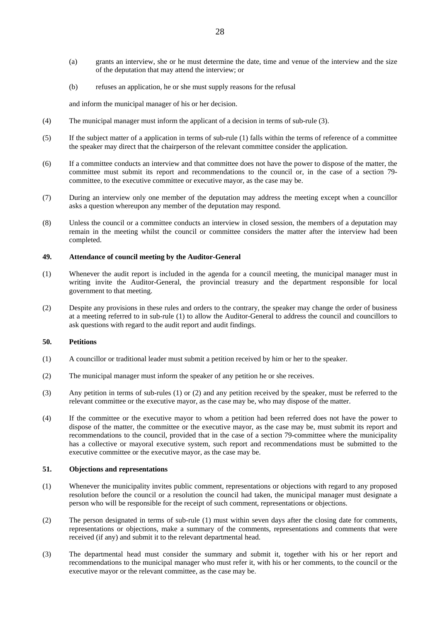- (a) grants an interview, she or he must determine the date, time and venue of the interview and the size of the deputation that may attend the interview; or
- (b) refuses an application, he or she must supply reasons for the refusal

and inform the municipal manager of his or her decision.

- (4) The municipal manager must inform the applicant of a decision in terms of sub-rule (3).
- (5) If the subject matter of a application in terms of sub-rule (1) falls within the terms of reference of a committee the speaker may direct that the chairperson of the relevant committee consider the application.
- (6) If a committee conducts an interview and that committee does not have the power to dispose of the matter, the committee must submit its report and recommendations to the council or, in the case of a section 79 committee, to the executive committee or executive mayor, as the case may be.
- (7) During an interview only one member of the deputation may address the meeting except when a councillor asks a question whereupon any member of the deputation may respond.
- (8) Unless the council or a committee conducts an interview in closed session, the members of a deputation may remain in the meeting whilst the council or committee considers the matter after the interview had been completed.

#### **49. Attendance of council meeting by the Auditor-General**

- (1) Whenever the audit report is included in the agenda for a council meeting, the municipal manager must in writing invite the Auditor-General, the provincial treasury and the department responsible for local government to that meeting.
- (2) Despite any provisions in these rules and orders to the contrary, the speaker may change the order of business at a meeting referred to in sub-rule (1) to allow the Auditor-General to address the council and councillors to ask questions with regard to the audit report and audit findings.

#### **50. Petitions**

- (1) A councillor or traditional leader must submit a petition received by him or her to the speaker.
- (2) The municipal manager must inform the speaker of any petition he or she receives.
- (3) Any petition in terms of sub-rules (1) or (2) and any petition received by the speaker, must be referred to the relevant committee or the executive mayor, as the case may be, who may dispose of the matter.
- (4) If the committee or the executive mayor to whom a petition had been referred does not have the power to dispose of the matter, the committee or the executive mayor, as the case may be, must submit its report and recommendations to the council, provided that in the case of a section 79-committee where the municipality has a collective or mayoral executive system, such report and recommendations must be submitted to the executive committee or the executive mayor, as the case may be.

#### **51. Objections and representations**

- (1) Whenever the municipality invites public comment, representations or objections with regard to any proposed resolution before the council or a resolution the council had taken, the municipal manager must designate a person who will be responsible for the receipt of such comment, representations or objections.
- (2) The person designated in terms of sub-rule (1) must within seven days after the closing date for comments, representations or objections, make a summary of the comments, representations and comments that were received (if any) and submit it to the relevant departmental head.
- (3) The departmental head must consider the summary and submit it, together with his or her report and recommendations to the municipal manager who must refer it, with his or her comments, to the council or the executive mayor or the relevant committee, as the case may be.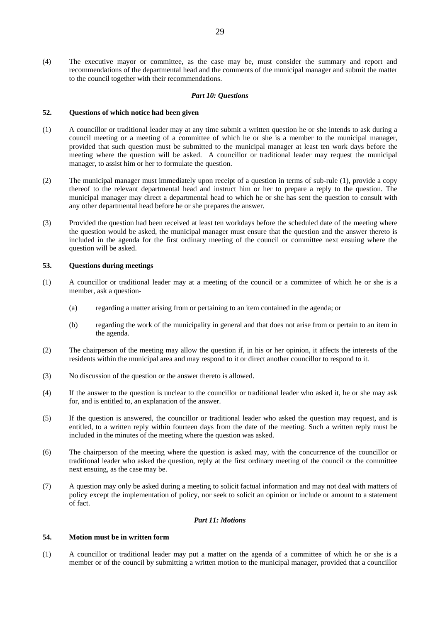(4) The executive mayor or committee, as the case may be, must consider the summary and report and recommendations of the departmental head and the comments of the municipal manager and submit the matter to the council together with their recommendations.

# *Part 10: Questions*

#### **52. Questions of which notice had been given**

- (1) A councillor or traditional leader may at any time submit a written question he or she intends to ask during a council meeting or a meeting of a committee of which he or she is a member to the municipal manager, provided that such question must be submitted to the municipal manager at least ten work days before the meeting where the question will be asked. A councillor or traditional leader may request the municipal manager, to assist him or her to formulate the question.
- (2) The municipal manager must immediately upon receipt of a question in terms of sub-rule (1), provide a copy thereof to the relevant departmental head and instruct him or her to prepare a reply to the question. The municipal manager may direct a departmental head to which he or she has sent the question to consult with any other departmental head before he or she prepares the answer.
- (3) Provided the question had been received at least ten workdays before the scheduled date of the meeting where the question would be asked, the municipal manager must ensure that the question and the answer thereto is included in the agenda for the first ordinary meeting of the council or committee next ensuing where the question will be asked.

# **53. Questions during meetings**

- (1) A councillor or traditional leader may at a meeting of the council or a committee of which he or she is a member, ask a question-
	- (a) regarding a matter arising from or pertaining to an item contained in the agenda; or
	- (b) regarding the work of the municipality in general and that does not arise from or pertain to an item in the agenda.
- (2) The chairperson of the meeting may allow the question if, in his or her opinion, it affects the interests of the residents within the municipal area and may respond to it or direct another councillor to respond to it.
- (3) No discussion of the question or the answer thereto is allowed.
- (4) If the answer to the question is unclear to the councillor or traditional leader who asked it, he or she may ask for, and is entitled to, an explanation of the answer.
- (5) If the question is answered, the councillor or traditional leader who asked the question may request, and is entitled, to a written reply within fourteen days from the date of the meeting. Such a written reply must be included in the minutes of the meeting where the question was asked.
- (6) The chairperson of the meeting where the question is asked may, with the concurrence of the councillor or traditional leader who asked the question, reply at the first ordinary meeting of the council or the committee next ensuing, as the case may be.
- (7) A question may only be asked during a meeting to solicit factual information and may not deal with matters of policy except the implementation of policy, nor seek to solicit an opinion or include or amount to a statement of fact.

### *Part 11: Motions*

# **54. Motion must be in written form**

(1) A councillor or traditional leader may put a matter on the agenda of a committee of which he or she is a member or of the council by submitting a written motion to the municipal manager, provided that a councillor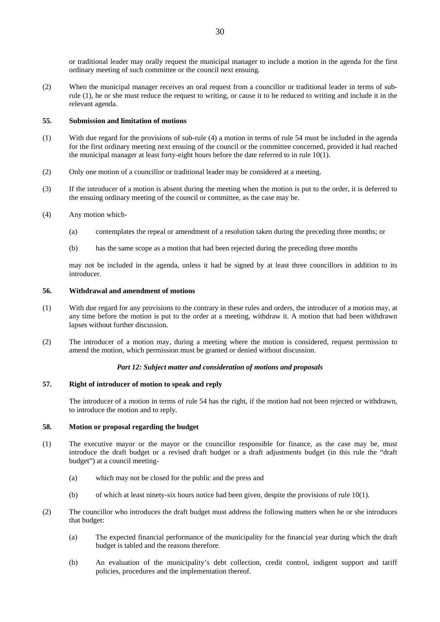or traditional leader may orally request the municipal manager to include a motion in the agenda for the first ordinary meeting of such committee or the council next ensuing.

(2) When the municipal manager receives an oral request from a councillor or traditional leader in terms of subrule (1), he or she must reduce the request to writing, or cause it to be reduced to writing and include it in the relevant agenda.

### **55. Submission and limitation of motions**

- (1) With due regard for the provisions of sub-rule (4) a motion in terms of rule 54 must be included in the agenda for the first ordinary meeting next ensuing of the council or the committee concerned, provided it had reached the municipal manager at least forty-eight hours before the date referred to in rule 10(1).
- (2) Only one motion of a councillor or traditional leader may be considered at a meeting.
- (3) If the introducer of a motion is absent during the meeting when the motion is put to the order, it is deferred to the ensuing ordinary meeting of the council or committee, as the case may be.
- (4) Any motion which-
	- (a) contemplates the repeal or amendment of a resolution taken during the preceding three months; or
	- (b) has the same scope as a motion that had been rejected during the preceding three months

may not be included in the agenda, unless it had be signed by at least three councillors in addition to its introducer.

# **56. Withdrawal and amendment of motions**

- (1) With due regard for any provisions to the contrary in these rules and orders, the introducer of a motion may, at any time before the motion is put to the order at a meeting, withdraw it. A motion that had been withdrawn lapses without further discussion.
- (2) The introducer of a motion may, during a meeting where the motion is considered, request permission to amend the motion, which permission must be granted or denied without discussion.

# *Part 12: Subject matter and consideration of motions and proposals*

# **57. Right of introducer of motion to speak and reply**

 The introducer of a motion in terms of rule 54 has the right, if the motion had not been rejected or withdrawn, to introduce the motion and to reply.

### **58. Motion or proposal regarding the budget**

- (1) The executive mayor or the mayor or the councillor responsible for finance, as the case may be, must introduce the draft budget or a revised draft budget or a draft adjustments budget (in this rule the "draft budget") at a council meeting-
	- (a) which may not be closed for the public and the press and
	- (b) of which at least ninety-six hours notice had been given, despite the provisions of rule 10(1).
- (2) The councillor who introduces the draft budget must address the following matters when he or she introduces that budget:
	- (a) The expected financial performance of the municipality for the financial year during which the draft budget is tabled and the reasons therefore.
	- (b) An evaluation of the municipality's debt collection, credit control, indigent support and tariff policies, procedures and the implementation thereof.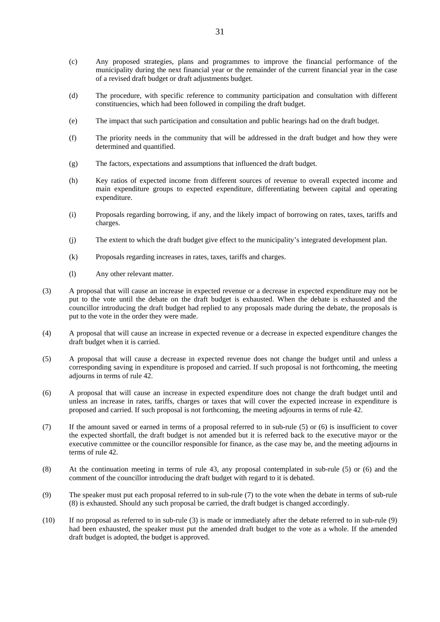- (c) Any proposed strategies, plans and programmes to improve the financial performance of the municipality during the next financial year or the remainder of the current financial year in the case of a revised draft budget or draft adjustments budget.
- (d) The procedure, with specific reference to community participation and consultation with different constituencies, which had been followed in compiling the draft budget.
- (e) The impact that such participation and consultation and public hearings had on the draft budget.
- (f) The priority needs in the community that will be addressed in the draft budget and how they were determined and quantified.
- (g) The factors, expectations and assumptions that influenced the draft budget.
- (h) Key ratios of expected income from different sources of revenue to overall expected income and main expenditure groups to expected expenditure, differentiating between capital and operating expenditure.
- (i) Proposals regarding borrowing, if any, and the likely impact of borrowing on rates, taxes, tariffs and charges.
- (j) The extent to which the draft budget give effect to the municipality's integrated development plan.
- (k) Proposals regarding increases in rates, taxes, tariffs and charges.
- (l) Any other relevant matter.
- (3) A proposal that will cause an increase in expected revenue or a decrease in expected expenditure may not be put to the vote until the debate on the draft budget is exhausted. When the debate is exhausted and the councillor introducing the draft budget had replied to any proposals made during the debate, the proposals is put to the vote in the order they were made.
- (4) A proposal that will cause an increase in expected revenue or a decrease in expected expenditure changes the draft budget when it is carried.
- (5) A proposal that will cause a decrease in expected revenue does not change the budget until and unless a corresponding saving in expenditure is proposed and carried. If such proposal is not forthcoming, the meeting adjourns in terms of rule 42.
- (6) A proposal that will cause an increase in expected expenditure does not change the draft budget until and unless an increase in rates, tariffs, charges or taxes that will cover the expected increase in expenditure is proposed and carried. If such proposal is not forthcoming, the meeting adjourns in terms of rule 42.
- (7) If the amount saved or earned in terms of a proposal referred to in sub-rule (5) or (6) is insufficient to cover the expected shortfall, the draft budget is not amended but it is referred back to the executive mayor or the executive committee or the councillor responsible for finance, as the case may be, and the meeting adjourns in terms of rule 42.
- (8) At the continuation meeting in terms of rule 43, any proposal contemplated in sub-rule (5) or (6) and the comment of the councillor introducing the draft budget with regard to it is debated.
- (9) The speaker must put each proposal referred to in sub-rule (7) to the vote when the debate in terms of sub-rule (8) is exhausted. Should any such proposal be carried, the draft budget is changed accordingly.
- (10) If no proposal as referred to in sub-rule (3) is made or immediately after the debate referred to in sub-rule (9) had been exhausted, the speaker must put the amended draft budget to the vote as a whole. If the amended draft budget is adopted, the budget is approved.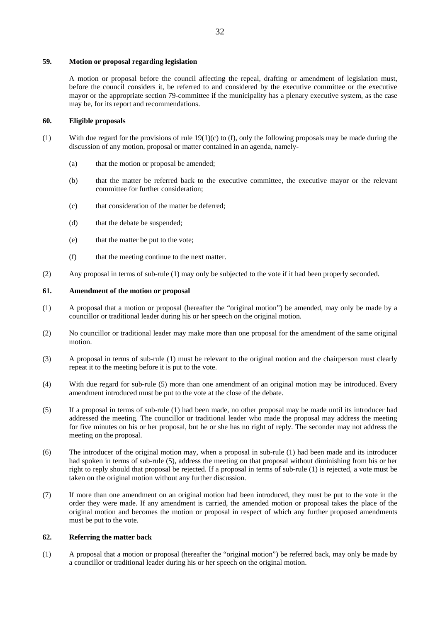# **59. Motion or proposal regarding legislation**

 A motion or proposal before the council affecting the repeal, drafting or amendment of legislation must, before the council considers it, be referred to and considered by the executive committee or the executive mayor or the appropriate section 79-committee if the municipality has a plenary executive system, as the case may be, for its report and recommendations.

# **60. Eligible proposals**

- (1) With due regard for the provisions of rule  $19(1)(c)$  to (f), only the following proposals may be made during the discussion of any motion, proposal or matter contained in an agenda, namely-
	- (a) that the motion or proposal be amended;
	- (b) that the matter be referred back to the executive committee, the executive mayor or the relevant committee for further consideration;
	- (c) that consideration of the matter be deferred;
	- (d) that the debate be suspended;
	- (e) that the matter be put to the vote;
	- (f) that the meeting continue to the next matter.
- (2) Any proposal in terms of sub-rule (1) may only be subjected to the vote if it had been properly seconded.

# **61. Amendment of the motion or proposal**

- (1) A proposal that a motion or proposal (hereafter the "original motion") be amended, may only be made by a councillor or traditional leader during his or her speech on the original motion.
- (2) No councillor or traditional leader may make more than one proposal for the amendment of the same original motion.
- (3) A proposal in terms of sub-rule (1) must be relevant to the original motion and the chairperson must clearly repeat it to the meeting before it is put to the vote.
- (4) With due regard for sub-rule (5) more than one amendment of an original motion may be introduced. Every amendment introduced must be put to the vote at the close of the debate.
- (5) If a proposal in terms of sub-rule (1) had been made, no other proposal may be made until its introducer had addressed the meeting. The councillor or traditional leader who made the proposal may address the meeting for five minutes on his or her proposal, but he or she has no right of reply. The seconder may not address the meeting on the proposal.
- (6) The introducer of the original motion may, when a proposal in sub-rule (1) had been made and its introducer had spoken in terms of sub-rule (5), address the meeting on that proposal without diminishing from his or her right to reply should that proposal be rejected. If a proposal in terms of sub-rule (1) is rejected, a vote must be taken on the original motion without any further discussion.
- (7) If more than one amendment on an original motion had been introduced, they must be put to the vote in the order they were made. If any amendment is carried, the amended motion or proposal takes the place of the original motion and becomes the motion or proposal in respect of which any further proposed amendments must be put to the vote.

# **62. Referring the matter back**

(1) A proposal that a motion or proposal (hereafter the "original motion") be referred back, may only be made by a councillor or traditional leader during his or her speech on the original motion.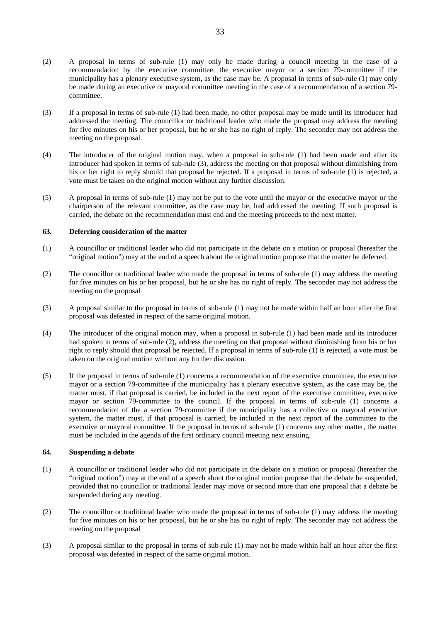- (2) A proposal in terms of sub-rule (1) may only be made during a council meeting in the case of a recommendation by the executive committee, the executive mayor or a section 79-committee if the municipality has a plenary executive system, as the case may be. A proposal in terms of sub-rule (1) may only be made during an executive or mayoral committee meeting in the case of a recommendation of a section 79 committee.
- (3) If a proposal in terms of sub-rule (1) had been made, no other proposal may be made until its introducer had addressed the meeting. The councillor or traditional leader who made the proposal may address the meeting for five minutes on his or her proposal, but he or she has no right of reply. The seconder may not address the meeting on the proposal.
- (4) The introducer of the original motion may, when a proposal in sub-rule (1) had been made and after its introducer had spoken in terms of sub-rule (3), address the meeting on that proposal without diminishing from his or her right to reply should that proposal be rejected. If a proposal in terms of sub-rule (1) is rejected, a vote must be taken on the original motion without any further discussion.
- (5) A proposal in terms of sub-rule (1) may not be put to the vote until the mayor or the executive mayor or the chairperson of the relevant committee, as the case may be, had addressed the meeting. If such proposal is carried, the debate on the recommendation must end and the meeting proceeds to the next matter.

# **63. Deferring consideration of the matter**

- (1) A councillor or traditional leader who did not participate in the debate on a motion or proposal (hereafter the "original motion") may at the end of a speech about the original motion propose that the matter be deferred.
- (2) The councillor or traditional leader who made the proposal in terms of sub-rule (1) may address the meeting for five minutes on his or her proposal, but he or she has no right of reply. The seconder may not address the meeting on the proposal
- (3) A proposal similar to the proposal in terms of sub-rule (1) may not be made within half an hour after the first proposal was defeated in respect of the same original motion.
- (4) The introducer of the original motion may, when a proposal in sub-rule (1) had been made and its introducer had spoken in terms of sub-rule (2), address the meeting on that proposal without diminishing from his or her right to reply should that proposal be rejected. If a proposal in terms of sub-rule (1) is rejected, a vote must be taken on the original motion without any further discussion.
- (5) If the proposal in terms of sub-rule (1) concerns a recommendation of the executive committee, the executive mayor or a section 79-committee if the municipality has a plenary executive system, as the case may be, the matter must, if that proposal is carried, be included in the next report of the executive committee, executive mayor or section 79-committee to the council. If the proposal in terms of sub-rule (1) concerns a recommendation of the a section 79-committee if the municipality has a collective or mayoral executive system, the matter must, if that proposal is carried, be included in the next report of the committee to the executive or mayoral committee. If the proposal in terms of sub-rule (1) concerns any other matter, the matter must be included in the agenda of the first ordinary council meeting next ensuing.

# **64. Suspending a debate**

- (1) A councillor or traditional leader who did not participate in the debate on a motion or proposal (hereafter the "original motion") may at the end of a speech about the original motion propose that the debate be suspended, provided that no councillor or traditional leader may move or second more than one proposal that a debate be suspended during any meeting.
- (2) The councillor or traditional leader who made the proposal in terms of sub-rule (1) may address the meeting for five minutes on his or her proposal, but he or she has no right of reply. The seconder may not address the meeting on the proposal
- (3) A proposal similar to the proposal in terms of sub-rule (1) may not be made within half an hour after the first proposal was defeated in respect of the same original motion.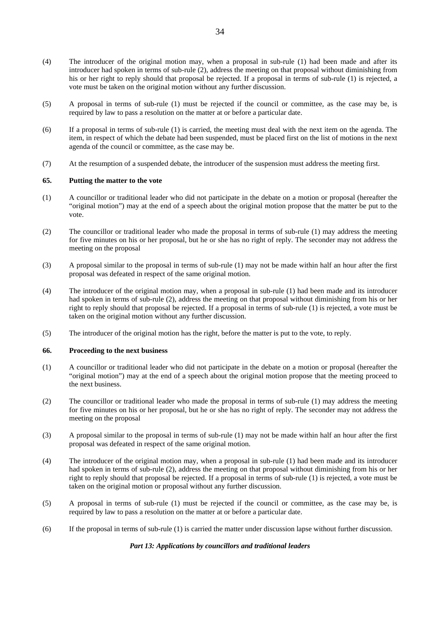- (4) The introducer of the original motion may, when a proposal in sub-rule (1) had been made and after its introducer had spoken in terms of sub-rule (2), address the meeting on that proposal without diminishing from his or her right to reply should that proposal be rejected. If a proposal in terms of sub-rule (1) is rejected, a vote must be taken on the original motion without any further discussion.
- (5) A proposal in terms of sub-rule (1) must be rejected if the council or committee, as the case may be, is required by law to pass a resolution on the matter at or before a particular date.
- (6) If a proposal in terms of sub-rule (1) is carried, the meeting must deal with the next item on the agenda. The item, in respect of which the debate had been suspended, must be placed first on the list of motions in the next agenda of the council or committee, as the case may be.
- (7) At the resumption of a suspended debate, the introducer of the suspension must address the meeting first.

# **65. Putting the matter to the vote**

- (1) A councillor or traditional leader who did not participate in the debate on a motion or proposal (hereafter the "original motion") may at the end of a speech about the original motion propose that the matter be put to the vote.
- (2) The councillor or traditional leader who made the proposal in terms of sub-rule (1) may address the meeting for five minutes on his or her proposal, but he or she has no right of reply. The seconder may not address the meeting on the proposal
- (3) A proposal similar to the proposal in terms of sub-rule (1) may not be made within half an hour after the first proposal was defeated in respect of the same original motion.
- (4) The introducer of the original motion may, when a proposal in sub-rule (1) had been made and its introducer had spoken in terms of sub-rule (2), address the meeting on that proposal without diminishing from his or her right to reply should that proposal be rejected. If a proposal in terms of sub-rule (1) is rejected, a vote must be taken on the original motion without any further discussion.
- (5) The introducer of the original motion has the right, before the matter is put to the vote, to reply.

#### **66. Proceeding to the next business**

- (1) A councillor or traditional leader who did not participate in the debate on a motion or proposal (hereafter the "original motion") may at the end of a speech about the original motion propose that the meeting proceed to the next business.
- (2) The councillor or traditional leader who made the proposal in terms of sub-rule (1) may address the meeting for five minutes on his or her proposal, but he or she has no right of reply. The seconder may not address the meeting on the proposal
- (3) A proposal similar to the proposal in terms of sub-rule (1) may not be made within half an hour after the first proposal was defeated in respect of the same original motion.
- (4) The introducer of the original motion may, when a proposal in sub-rule (1) had been made and its introducer had spoken in terms of sub-rule (2), address the meeting on that proposal without diminishing from his or her right to reply should that proposal be rejected. If a proposal in terms of sub-rule (1) is rejected, a vote must be taken on the original motion or proposal without any further discussion.
- (5) A proposal in terms of sub-rule (1) must be rejected if the council or committee, as the case may be, is required by law to pass a resolution on the matter at or before a particular date.
- (6) If the proposal in terms of sub-rule (1) is carried the matter under discussion lapse without further discussion.

### *Part 13: Applications by councillors and traditional leaders*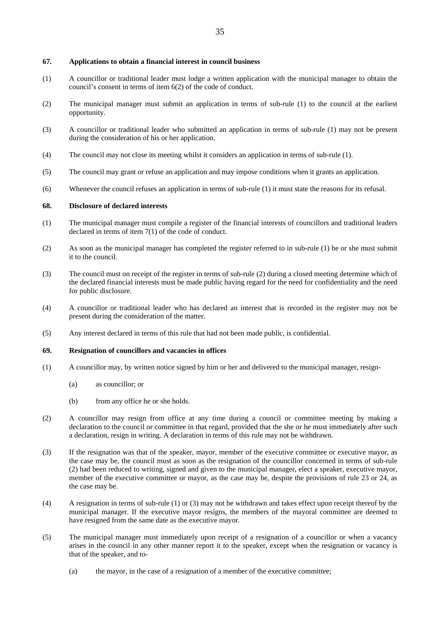### **67. Applications to obtain a financial interest in council business**

- (1) A councillor or traditional leader must lodge a written application with the municipal manager to obtain the council's consent in terms of item 6(2) of the code of conduct.
- (2) The municipal manager must submit an application in terms of sub-rule (1) to the council at the earliest opportunity.
- (3) A councillor or traditional leader who submitted an application in terms of sub-rule (1) may not be present during the consideration of his or her application.
- (4) The council may not close its meeting whilst it considers an application in terms of sub-rule (1).
- (5) The council may grant or refuse an application and may impose conditions when it grants an application.
- (6) Whenever the council refuses an application in terms of sub-rule (1) it must state the reasons for its refusal.

# **68. Disclosure of declared interests**

- (1) The municipal manager must compile a register of the financial interests of councillors and traditional leaders declared in terms of item 7(1) of the code of conduct.
- (2) As soon as the municipal manager has completed the register referred to in sub-rule (1) he or she must submit it to the council.
- (3) The council must on receipt of the register in terms of sub-rule (2) during a closed meeting determine which of the declared financial interests must be made public having regard for the need for confidentiality and the need for public disclosure.
- (4) A councillor or traditional leader who has declared an interest that is recorded in the register may not be present during the consideration of the matter.
- (5) Any interest declared in terms of this rule that had not been made public, is confidential.

#### **69. Resignation of councillors and vacancies in offices**

- (1) A councillor may, by written notice signed by him or her and delivered to the municipal manager, resign-
	- (a) as councillor; or
	- (b) from any office he or she holds.
- (2) A councillor may resign from office at any time during a council or committee meeting by making a declaration to the council or committee in that regard, provided that the she or he must immediately after such a declaration, resign in writing. A declaration in terms of this rule may not be withdrawn.
- (3) If the resignation was that of the speaker, mayor, member of the executive committee or executive mayor, as the case may be, the council must as soon as the resignation of the councillor concerned in terms of sub-rule (2) had been reduced to writing, signed and given to the municipal manager, elect a speaker, executive mayor, member of the executive committee or mayor, as the case may be, despite the provisions of rule 23 or 24, as the case may be.
- (4) A resignation in terms of sub-rule (1) or (3) may not be withdrawn and takes effect upon receipt thereof by the municipal manager. If the executive mayor resigns, the members of the mayoral committee are deemed to have resigned from the same date as the executive mayor.
- (5) The municipal manager must immediately upon receipt of a resignation of a councillor or when a vacancy arises in the council in any other manner report it to the speaker, except when the resignation or vacancy is that of the speaker, and to-
	- (a) the mayor, in the case of a resignation of a member of the executive committee;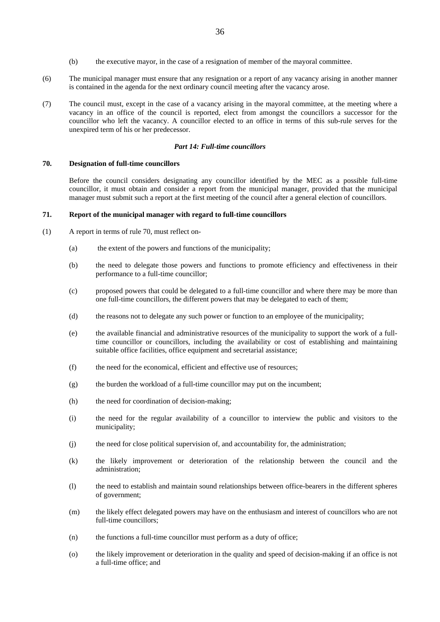- (b) the executive mayor, in the case of a resignation of member of the mayoral committee.
- (6) The municipal manager must ensure that any resignation or a report of any vacancy arising in another manner is contained in the agenda for the next ordinary council meeting after the vacancy arose.
- (7) The council must, except in the case of a vacancy arising in the mayoral committee, at the meeting where a vacancy in an office of the council is reported, elect from amongst the councillors a successor for the councillor who left the vacancy. A councillor elected to an office in terms of this sub-rule serves for the unexpired term of his or her predecessor.

#### *Part 14: Full-time councillors*

#### **70. Designation of full-time councillors**

 Before the council considers designating any councillor identified by the MEC as a possible full-time councillor, it must obtain and consider a report from the municipal manager, provided that the municipal manager must submit such a report at the first meeting of the council after a general election of councillors.

# **71. Report of the municipal manager with regard to full-time councillors**

- (1) A report in terms of rule 70, must reflect on-
	- (a) the extent of the powers and functions of the municipality;
	- (b) the need to delegate those powers and functions to promote efficiency and effectiveness in their performance to a full-time councillor;
	- (c) proposed powers that could be delegated to a full-time councillor and where there may be more than one full-time councillors, the different powers that may be delegated to each of them;
	- (d) the reasons not to delegate any such power or function to an employee of the municipality;
	- (e) the available financial and administrative resources of the municipality to support the work of a fulltime councillor or councillors, including the availability or cost of establishing and maintaining suitable office facilities, office equipment and secretarial assistance;
	- (f) the need for the economical, efficient and effective use of resources;
	- (g) the burden the workload of a full-time councillor may put on the incumbent;
	- (h) the need for coordination of decision-making;
	- (i) the need for the regular availability of a councillor to interview the public and visitors to the municipality;
	- (j) the need for close political supervision of, and accountability for, the administration;
	- (k) the likely improvement or deterioration of the relationship between the council and the administration;
	- (l) the need to establish and maintain sound relationships between office-bearers in the different spheres of government;
	- (m) the likely effect delegated powers may have on the enthusiasm and interest of councillors who are not full-time councillors;
	- (n) the functions a full-time councillor must perform as a duty of office;
	- (o) the likely improvement or deterioration in the quality and speed of decision-making if an office is not a full-time office; and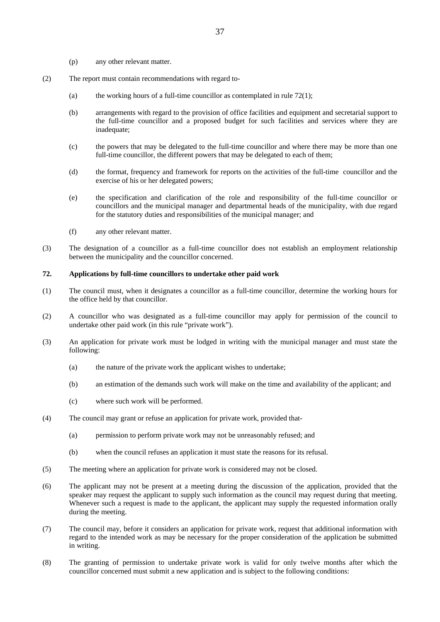- (p) any other relevant matter.
- (2) The report must contain recommendations with regard to-
	- (a) the working hours of a full-time councillor as contemplated in rule  $72(1)$ ;
	- (b) arrangements with regard to the provision of office facilities and equipment and secretarial support to the full-time councillor and a proposed budget for such facilities and services where they are inadequate;
	- (c) the powers that may be delegated to the full-time councillor and where there may be more than one full-time councillor, the different powers that may be delegated to each of them;
	- (d) the format, frequency and framework for reports on the activities of the full-time councillor and the exercise of his or her delegated powers;
	- (e) the specification and clarification of the role and responsibility of the full-time councillor or councillors and the municipal manager and departmental heads of the municipality, with due regard for the statutory duties and responsibilities of the municipal manager; and
	- (f) any other relevant matter.
- (3) The designation of a councillor as a full-time councillor does not establish an employment relationship between the municipality and the councillor concerned.

### **72. Applications by full-time councillors to undertake other paid work**

- (1) The council must, when it designates a councillor as a full-time councillor, determine the working hours for the office held by that councillor.
- (2) A councillor who was designated as a full-time councillor may apply for permission of the council to undertake other paid work (in this rule "private work").
- (3) An application for private work must be lodged in writing with the municipal manager and must state the following:
	- (a) the nature of the private work the applicant wishes to undertake;
	- (b) an estimation of the demands such work will make on the time and availability of the applicant; and
	- (c) where such work will be performed.
- (4) The council may grant or refuse an application for private work, provided that-
	- (a) permission to perform private work may not be unreasonably refused; and
	- (b) when the council refuses an application it must state the reasons for its refusal.
- (5) The meeting where an application for private work is considered may not be closed.
- (6) The applicant may not be present at a meeting during the discussion of the application, provided that the speaker may request the applicant to supply such information as the council may request during that meeting. Whenever such a request is made to the applicant, the applicant may supply the requested information orally during the meeting.
- (7) The council may, before it considers an application for private work, request that additional information with regard to the intended work as may be necessary for the proper consideration of the application be submitted in writing.
- (8) The granting of permission to undertake private work is valid for only twelve months after which the councillor concerned must submit a new application and is subject to the following conditions: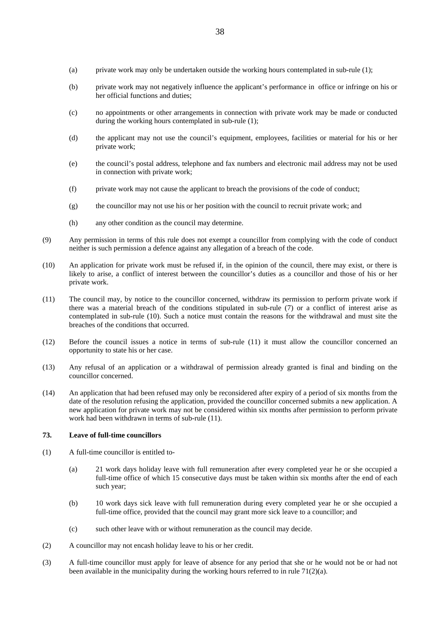- (a) private work may only be undertaken outside the working hours contemplated in sub-rule (1);
- (b) private work may not negatively influence the applicant's performance in office or infringe on his or her official functions and duties;
- (c) no appointments or other arrangements in connection with private work may be made or conducted during the working hours contemplated in sub-rule (1);
- (d) the applicant may not use the council's equipment, employees, facilities or material for his or her private work;
- (e) the council's postal address, telephone and fax numbers and electronic mail address may not be used in connection with private work;
- (f) private work may not cause the applicant to breach the provisions of the code of conduct;
- (g) the councillor may not use his or her position with the council to recruit private work; and
- (h) any other condition as the council may determine.
- (9) Any permission in terms of this rule does not exempt a councillor from complying with the code of conduct neither is such permission a defence against any allegation of a breach of the code.
- (10) An application for private work must be refused if, in the opinion of the council, there may exist, or there is likely to arise, a conflict of interest between the councillor's duties as a councillor and those of his or her private work.
- (11) The council may, by notice to the councillor concerned, withdraw its permission to perform private work if there was a material breach of the conditions stipulated in sub-rule (7) or a conflict of interest arise as contemplated in sub-rule (10). Such a notice must contain the reasons for the withdrawal and must site the breaches of the conditions that occurred.
- (12) Before the council issues a notice in terms of sub-rule (11) it must allow the councillor concerned an opportunity to state his or her case.
- (13) Any refusal of an application or a withdrawal of permission already granted is final and binding on the councillor concerned.
- (14) An application that had been refused may only be reconsidered after expiry of a period of six months from the date of the resolution refusing the application, provided the councillor concerned submits a new application. A new application for private work may not be considered within six months after permission to perform private work had been withdrawn in terms of sub-rule (11).

### **73. Leave of full-time councillors**

- (1) A full-time councillor is entitled to-
	- (a) 21 work days holiday leave with full remuneration after every completed year he or she occupied a full-time office of which 15 consecutive days must be taken within six months after the end of each such year;
	- (b) 10 work days sick leave with full remuneration during every completed year he or she occupied a full-time office, provided that the council may grant more sick leave to a councillor; and
	- (c) such other leave with or without remuneration as the council may decide.
- (2) A councillor may not encash holiday leave to his or her credit.
- (3) A full-time councillor must apply for leave of absence for any period that she or he would not be or had not been available in the municipality during the working hours referred to in rule  $71(2)(a)$ .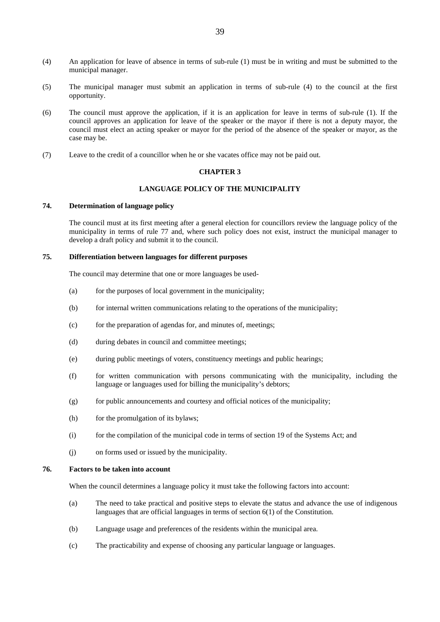- (4) An application for leave of absence in terms of sub-rule (1) must be in writing and must be submitted to the municipal manager.
- (5) The municipal manager must submit an application in terms of sub-rule (4) to the council at the first opportunity.
- (6) The council must approve the application, if it is an application for leave in terms of sub-rule (1). If the council approves an application for leave of the speaker or the mayor if there is not a deputy mayor, the council must elect an acting speaker or mayor for the period of the absence of the speaker or mayor, as the case may be.
- (7) Leave to the credit of a councillor when he or she vacates office may not be paid out.

#### **CHAPTER 3**

### **LANGUAGE POLICY OF THE MUNICIPALITY**

# **74. Determination of language policy**

 The council must at its first meeting after a general election for councillors review the language policy of the municipality in terms of rule 77 and, where such policy does not exist, instruct the municipal manager to develop a draft policy and submit it to the council.

# **75. Differentiation between languages for different purposes**

The council may determine that one or more languages be used-

- (a) for the purposes of local government in the municipality;
- (b) for internal written communications relating to the operations of the municipality;
- (c) for the preparation of agendas for, and minutes of, meetings;
- (d) during debates in council and committee meetings;
- (e) during public meetings of voters, constituency meetings and public hearings;
- (f) for written communication with persons communicating with the municipality, including the language or languages used for billing the municipality's debtors;
- $(g)$  for public announcements and courtesy and official notices of the municipality;
- (h) for the promulgation of its bylaws;
- (i) for the compilation of the municipal code in terms of section 19 of the Systems Act; and
- (j) on forms used or issued by the municipality.

### **76. Factors to be taken into account**

When the council determines a language policy it must take the following factors into account:

- (a) The need to take practical and positive steps to elevate the status and advance the use of indigenous languages that are official languages in terms of section 6(1) of the Constitution.
- (b) Language usage and preferences of the residents within the municipal area.
- (c) The practicability and expense of choosing any particular language or languages.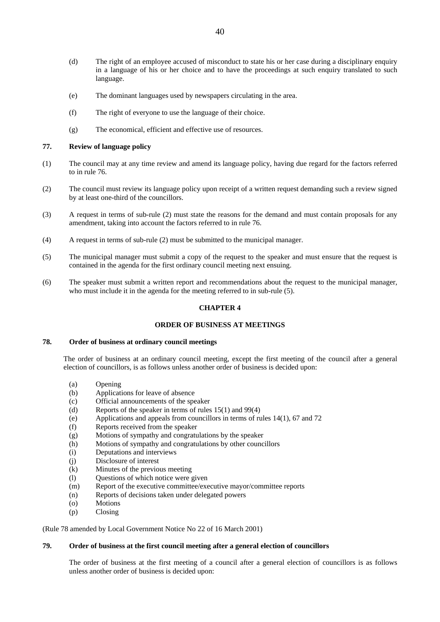- (d) The right of an employee accused of misconduct to state his or her case during a disciplinary enquiry in a language of his or her choice and to have the proceedings at such enquiry translated to such language.
- (e) The dominant languages used by newspapers circulating in the area.
- (f) The right of everyone to use the language of their choice.
- (g) The economical, efficient and effective use of resources.

#### **77. Review of language policy**

- (1) The council may at any time review and amend its language policy, having due regard for the factors referred to in rule 76.
- (2) The council must review its language policy upon receipt of a written request demanding such a review signed by at least one-third of the councillors.
- (3) A request in terms of sub-rule (2) must state the reasons for the demand and must contain proposals for any amendment, taking into account the factors referred to in rule 76.
- (4) A request in terms of sub-rule (2) must be submitted to the municipal manager.
- (5) The municipal manager must submit a copy of the request to the speaker and must ensure that the request is contained in the agenda for the first ordinary council meeting next ensuing.
- (6) The speaker must submit a written report and recommendations about the request to the municipal manager, who must include it in the agenda for the meeting referred to in sub-rule (5).

### **CHAPTER 4**

### **ORDER OF BUSINESS AT MEETINGS**

#### **78. Order of business at ordinary council meetings**

 The order of business at an ordinary council meeting, except the first meeting of the council after a general election of councillors, is as follows unless another order of business is decided upon:

- (a) Opening
- (b) Applications for leave of absence
- (c) Official announcements of the speaker
- (d) Reports of the speaker in terms of rules 15(1) and 99(4)
- (e) Applications and appeals from councillors in terms of rules 14(1), 67 and 72
- (f) Reports received from the speaker
- (g) Motions of sympathy and congratulations by the speaker
- (h) Motions of sympathy and congratulations by other councillors
- (i) Deputations and interviews
- (j) Disclosure of interest
- (k) Minutes of the previous meeting
- (l) Questions of which notice were given
- (m) Report of the executive committee/executive mayor/committee reports
- (n) Reports of decisions taken under delegated powers
- (o) Motions
- (p) Closing

(Rule 78 amended by Local Government Notice No 22 of 16 March 2001)

## **79. Order of business at the first council meeting after a general election of councillors**

 The order of business at the first meeting of a council after a general election of councillors is as follows unless another order of business is decided upon: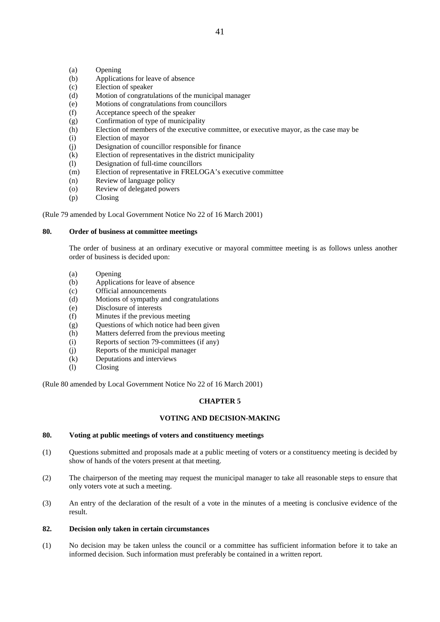- (a) Opening
- (b) Applications for leave of absence
- (c) Election of speaker
- (d) Motion of congratulations of the municipal manager
- (e) Motions of congratulations from councillors
- (f) Acceptance speech of the speaker
- (g) Confirmation of type of municipality
- (h) Election of members of the executive committee, or executive mayor, as the case may be
- (i) Election of mayor
- (j) Designation of councillor responsible for finance
- (k) Election of representatives in the district municipality
- (l) Designation of full-time councillors
- (m) Election of representative in FRELOGA's executive committee
- (n) Review of language policy
- (o) Review of delegated powers
- (p) Closing

(Rule 79 amended by Local Government Notice No 22 of 16 March 2001)

# **80. Order of business at committee meetings**

 The order of business at an ordinary executive or mayoral committee meeting is as follows unless another order of business is decided upon:

- (a) Opening
- (b) Applications for leave of absence
- (c) Official announcements
- (d) Motions of sympathy and congratulations
- (e) Disclosure of interests
- (f) Minutes if the previous meeting
- (g) Questions of which notice had been given
- (h) Matters deferred from the previous meeting
- (i) Reports of section 79-committees (if any)
- (j) Reports of the municipal manager
- (k) Deputations and interviews
- (l) Closing

(Rule 80 amended by Local Government Notice No 22 of 16 March 2001)

# **CHAPTER 5**

# **VOTING AND DECISION-MAKING**

# **80. Voting at public meetings of voters and constituency meetings**

- (1) Questions submitted and proposals made at a public meeting of voters or a constituency meeting is decided by show of hands of the voters present at that meeting.
- (2) The chairperson of the meeting may request the municipal manager to take all reasonable steps to ensure that only voters vote at such a meeting.
- (3) An entry of the declaration of the result of a vote in the minutes of a meeting is conclusive evidence of the result.

# **82. Decision only taken in certain circumstances**

(1) No decision may be taken unless the council or a committee has sufficient information before it to take an informed decision. Such information must preferably be contained in a written report.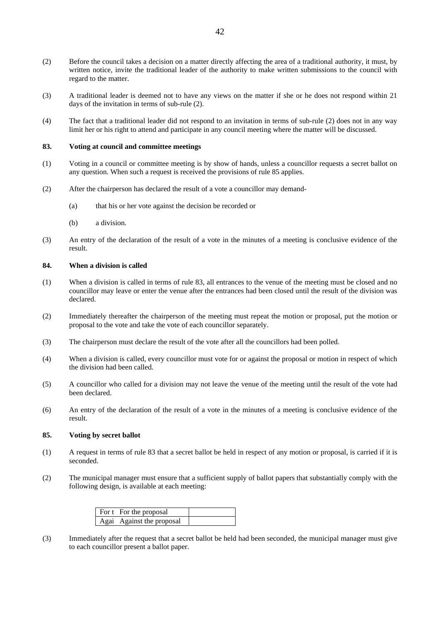- (2) Before the council takes a decision on a matter directly affecting the area of a traditional authority, it must, by written notice, invite the traditional leader of the authority to make written submissions to the council with regard to the matter.
- (3) A traditional leader is deemed not to have any views on the matter if she or he does not respond within 21 days of the invitation in terms of sub-rule (2).
- (4) The fact that a traditional leader did not respond to an invitation in terms of sub-rule (2) does not in any way limit her or his right to attend and participate in any council meeting where the matter will be discussed.

#### **83. Voting at council and committee meetings**

- (1) Voting in a council or committee meeting is by show of hands, unless a councillor requests a secret ballot on any question. When such a request is received the provisions of rule 85 applies.
- (2) After the chairperson has declared the result of a vote a councillor may demand-
	- (a) that his or her vote against the decision be recorded or
	- (b) a division.
- (3) An entry of the declaration of the result of a vote in the minutes of a meeting is conclusive evidence of the result.

#### **84. When a division is called**

- (1) When a division is called in terms of rule 83, all entrances to the venue of the meeting must be closed and no councillor may leave or enter the venue after the entrances had been closed until the result of the division was declared.
- (2) Immediately thereafter the chairperson of the meeting must repeat the motion or proposal, put the motion or proposal to the vote and take the vote of each councillor separately.
- (3) The chairperson must declare the result of the vote after all the councillors had been polled.
- (4) When a division is called, every councillor must vote for or against the proposal or motion in respect of which the division had been called.
- (5) A councillor who called for a division may not leave the venue of the meeting until the result of the vote had been declared.
- (6) An entry of the declaration of the result of a vote in the minutes of a meeting is conclusive evidence of the result.

#### **85. Voting by secret ballot**

- (1) A request in terms of rule 83 that a secret ballot be held in respect of any motion or proposal, is carried if it is seconded.
- (2) The municipal manager must ensure that a sufficient supply of ballot papers that substantially comply with the following design, is available at each meeting:

| For t For the proposal    |  |
|---------------------------|--|
| Agai Against the proposal |  |

(3) Immediately after the request that a secret ballot be held had been seconded, the municipal manager must give to each councillor present a ballot paper.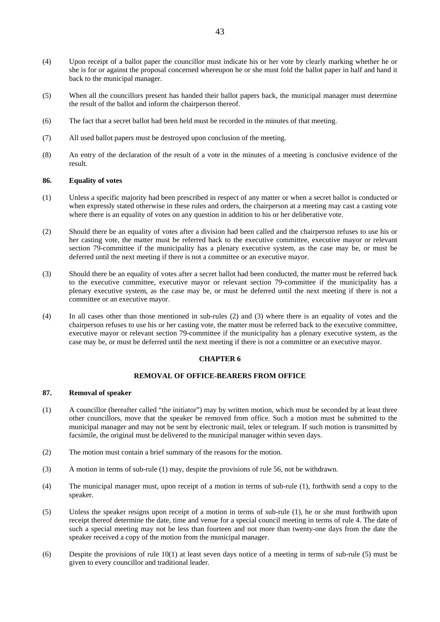- (4) Upon receipt of a ballot paper the councillor must indicate his or her vote by clearly marking whether he or she is for or against the proposal concerned whereupon he or she must fold the ballot paper in half and hand it back to the municipal manager.
- (5) When all the councillors present has handed their ballot papers back, the municipal manager must determine the result of the ballot and inform the chairperson thereof.
- (6) The fact that a secret ballot had been held must be recorded in the minutes of that meeting.
- (7) All used ballot papers must be destroyed upon conclusion of the meeting.
- (8) An entry of the declaration of the result of a vote in the minutes of a meeting is conclusive evidence of the result.

#### **86. Equality of votes**

- (1) Unless a specific majority had been prescribed in respect of any matter or when a secret ballot is conducted or when expressly stated otherwise in these rules and orders, the chairperson at a meeting may cast a casting vote where there is an equality of votes on any question in addition to his or her deliberative vote.
- (2) Should there be an equality of votes after a division had been called and the chairperson refuses to use his or her casting vote, the matter must be referred back to the executive committee, executive mayor or relevant section 79-committee if the municipality has a plenary executive system, as the case may be, or must be deferred until the next meeting if there is not a committee or an executive mayor.
- (3) Should there be an equality of votes after a secret ballot had been conducted, the matter must be referred back to the executive committee, executive mayor or relevant section 79-committee if the municipality has a plenary executive system, as the case may be, or must be deferred until the next meeting if there is not a committee or an executive mayor.
- (4) In all cases other than those mentioned in sub-rules (2) and (3) where there is an equality of votes and the chairperson refuses to use his or her casting vote, the matter must be referred back to the executive committee, executive mayor or relevant section 79-committee if the municipality has a plenary executive system, as the case may be, or must be deferred until the next meeting if there is not a committee or an executive mayor.

### **CHAPTER 6**

# **REMOVAL OF OFFICE-BEARERS FROM OFFICE**

# **87. Removal of speaker**

- (1) A councillor (hereafter called "the initiator") may by written motion, which must be seconded by at least three other councillors, move that the speaker be removed from office. Such a motion must be submitted to the municipal manager and may not be sent by electronic mail, telex or telegram. If such motion is transmitted by facsimile, the original must be delivered to the municipal manager within seven days.
- (2) The motion must contain a brief summary of the reasons for the motion.
- (3) A motion in terms of sub-rule (1) may, despite the provisions of rule 56, not be withdrawn.
- (4) The municipal manager must, upon receipt of a motion in terms of sub-rule (1), forthwith send a copy to the speaker.
- (5) Unless the speaker resigns upon receipt of a motion in terms of sub-rule (1), he or she must forthwith upon receipt thereof determine the date, time and venue for a special council meeting in terms of rule 4. The date of such a special meeting may not be less than fourteen and not more than twenty-one days from the date the speaker received a copy of the motion from the municipal manager.
- (6) Despite the provisions of rule 10(1) at least seven days notice of a meeting in terms of sub-rule (5) must be given to every councillor and traditional leader.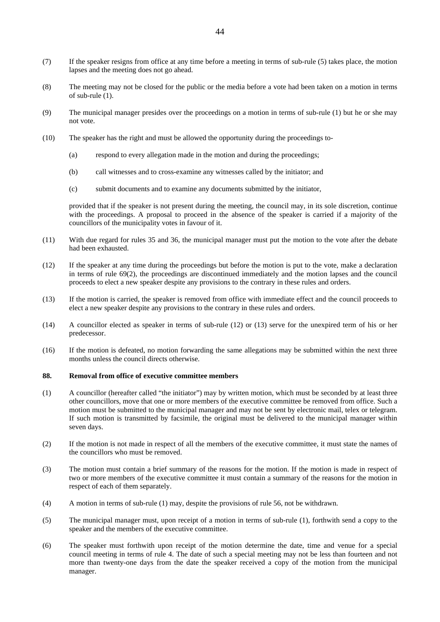- (7) If the speaker resigns from office at any time before a meeting in terms of sub-rule (5) takes place, the motion lapses and the meeting does not go ahead.
- (8) The meeting may not be closed for the public or the media before a vote had been taken on a motion in terms of sub-rule (1).
- (9) The municipal manager presides over the proceedings on a motion in terms of sub-rule (1) but he or she may not vote.
- (10) The speaker has the right and must be allowed the opportunity during the proceedings to-
	- (a) respond to every allegation made in the motion and during the proceedings;
	- (b) call witnesses and to cross-examine any witnesses called by the initiator; and
	- (c) submit documents and to examine any documents submitted by the initiator,

provided that if the speaker is not present during the meeting, the council may, in its sole discretion, continue with the proceedings. A proposal to proceed in the absence of the speaker is carried if a majority of the councillors of the municipality votes in favour of it.

- (11) With due regard for rules 35 and 36, the municipal manager must put the motion to the vote after the debate had been exhausted.
- (12) If the speaker at any time during the proceedings but before the motion is put to the vote, make a declaration in terms of rule 69(2), the proceedings are discontinued immediately and the motion lapses and the council proceeds to elect a new speaker despite any provisions to the contrary in these rules and orders.
- (13) If the motion is carried, the speaker is removed from office with immediate effect and the council proceeds to elect a new speaker despite any provisions to the contrary in these rules and orders.
- (14) A councillor elected as speaker in terms of sub-rule (12) or (13) serve for the unexpired term of his or her predecessor.
- (16) If the motion is defeated, no motion forwarding the same allegations may be submitted within the next three months unless the council directs otherwise.

# **88. Removal from office of executive committee members**

- (1) A councillor (hereafter called "the initiator") may by written motion, which must be seconded by at least three other councillors, move that one or more members of the executive committee be removed from office. Such a motion must be submitted to the municipal manager and may not be sent by electronic mail, telex or telegram. If such motion is transmitted by facsimile, the original must be delivered to the municipal manager within seven days.
- (2) If the motion is not made in respect of all the members of the executive committee, it must state the names of the councillors who must be removed.
- (3) The motion must contain a brief summary of the reasons for the motion. If the motion is made in respect of two or more members of the executive committee it must contain a summary of the reasons for the motion in respect of each of them separately.
- (4) A motion in terms of sub-rule (1) may, despite the provisions of rule 56, not be withdrawn.
- (5) The municipal manager must, upon receipt of a motion in terms of sub-rule (1), forthwith send a copy to the speaker and the members of the executive committee.
- (6) The speaker must forthwith upon receipt of the motion determine the date, time and venue for a special council meeting in terms of rule 4. The date of such a special meeting may not be less than fourteen and not more than twenty-one days from the date the speaker received a copy of the motion from the municipal manager.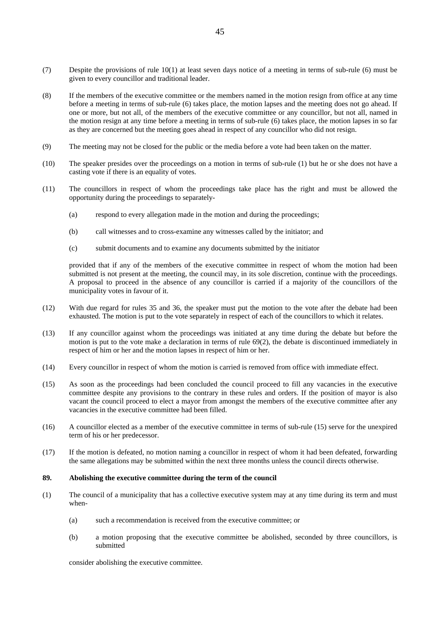- (7) Despite the provisions of rule 10(1) at least seven days notice of a meeting in terms of sub-rule (6) must be given to every councillor and traditional leader.
- (8) If the members of the executive committee or the members named in the motion resign from office at any time before a meeting in terms of sub-rule (6) takes place, the motion lapses and the meeting does not go ahead. If one or more, but not all, of the members of the executive committee or any councillor, but not all, named in the motion resign at any time before a meeting in terms of sub-rule (6) takes place, the motion lapses in so far as they are concerned but the meeting goes ahead in respect of any councillor who did not resign.
- (9) The meeting may not be closed for the public or the media before a vote had been taken on the matter.
- (10) The speaker presides over the proceedings on a motion in terms of sub-rule (1) but he or she does not have a casting vote if there is an equality of votes.
- (11) The councillors in respect of whom the proceedings take place has the right and must be allowed the opportunity during the proceedings to separately-
	- (a) respond to every allegation made in the motion and during the proceedings;
	- (b) call witnesses and to cross-examine any witnesses called by the initiator; and
	- (c) submit documents and to examine any documents submitted by the initiator

provided that if any of the members of the executive committee in respect of whom the motion had been submitted is not present at the meeting, the council may, in its sole discretion, continue with the proceedings. A proposal to proceed in the absence of any councillor is carried if a majority of the councillors of the municipality votes in favour of it.

- (12) With due regard for rules 35 and 36, the speaker must put the motion to the vote after the debate had been exhausted. The motion is put to the vote separately in respect of each of the councillors to which it relates.
- (13) If any councillor against whom the proceedings was initiated at any time during the debate but before the motion is put to the vote make a declaration in terms of rule 69(2), the debate is discontinued immediately in respect of him or her and the motion lapses in respect of him or her.
- (14) Every councillor in respect of whom the motion is carried is removed from office with immediate effect.
- (15) As soon as the proceedings had been concluded the council proceed to fill any vacancies in the executive committee despite any provisions to the contrary in these rules and orders. If the position of mayor is also vacant the council proceed to elect a mayor from amongst the members of the executive committee after any vacancies in the executive committee had been filled.
- (16) A councillor elected as a member of the executive committee in terms of sub-rule (15) serve for the unexpired term of his or her predecessor.
- (17) If the motion is defeated, no motion naming a councillor in respect of whom it had been defeated, forwarding the same allegations may be submitted within the next three months unless the council directs otherwise.

### **89. Abolishing the executive committee during the term of the council**

- (1) The council of a municipality that has a collective executive system may at any time during its term and must when-
	- (a) such a recommendation is received from the executive committee; or
	- (b) a motion proposing that the executive committee be abolished, seconded by three councillors, is submitted

consider abolishing the executive committee.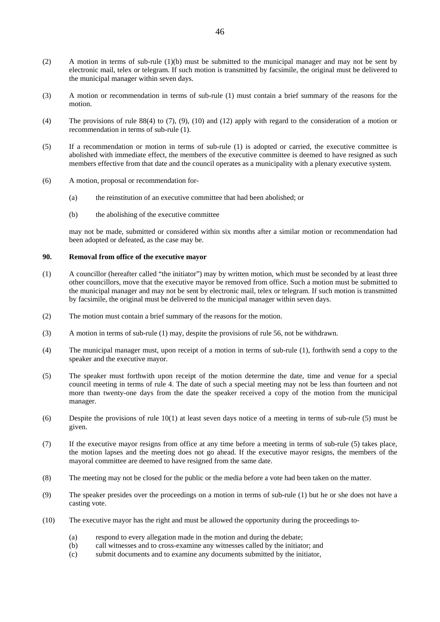- (2) A motion in terms of sub-rule (1)(b) must be submitted to the municipal manager and may not be sent by electronic mail, telex or telegram. If such motion is transmitted by facsimile, the original must be delivered to the municipal manager within seven days.
- (3) A motion or recommendation in terms of sub-rule (1) must contain a brief summary of the reasons for the motion.
- (4) The provisions of rule 88(4) to (7), (9), (10) and (12) apply with regard to the consideration of a motion or recommendation in terms of sub-rule (1).
- (5) If a recommendation or motion in terms of sub-rule (1) is adopted or carried, the executive committee is abolished with immediate effect, the members of the executive committee is deemed to have resigned as such members effective from that date and the council operates as a municipality with a plenary executive system.
- (6) A motion, proposal or recommendation for-
	- (a) the reinstitution of an executive committee that had been abolished; or
	- (b) the abolishing of the executive committee

may not be made, submitted or considered within six months after a similar motion or recommendation had been adopted or defeated, as the case may be.

### **90. Removal from office of the executive mayor**

- (1) A councillor (hereafter called "the initiator") may by written motion, which must be seconded by at least three other councillors, move that the executive mayor be removed from office. Such a motion must be submitted to the municipal manager and may not be sent by electronic mail, telex or telegram. If such motion is transmitted by facsimile, the original must be delivered to the municipal manager within seven days.
- (2) The motion must contain a brief summary of the reasons for the motion.
- (3) A motion in terms of sub-rule (1) may, despite the provisions of rule 56, not be withdrawn.
- (4) The municipal manager must, upon receipt of a motion in terms of sub-rule (1), forthwith send a copy to the speaker and the executive mayor.
- (5) The speaker must forthwith upon receipt of the motion determine the date, time and venue for a special council meeting in terms of rule 4. The date of such a special meeting may not be less than fourteen and not more than twenty-one days from the date the speaker received a copy of the motion from the municipal manager.
- (6) Despite the provisions of rule 10(1) at least seven days notice of a meeting in terms of sub-rule (5) must be given.
- (7) If the executive mayor resigns from office at any time before a meeting in terms of sub-rule (5) takes place, the motion lapses and the meeting does not go ahead. If the executive mayor resigns, the members of the mayoral committee are deemed to have resigned from the same date.
- (8) The meeting may not be closed for the public or the media before a vote had been taken on the matter.
- (9) The speaker presides over the proceedings on a motion in terms of sub-rule (1) but he or she does not have a casting vote.
- (10) The executive mayor has the right and must be allowed the opportunity during the proceedings to-
	- (a) respond to every allegation made in the motion and during the debate;
	- (b) call witnesses and to cross-examine any witnesses called by the initiator; and
	- (c) submit documents and to examine any documents submitted by the initiator,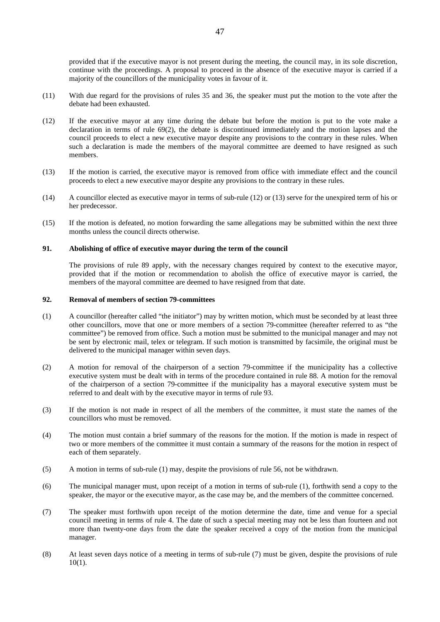provided that if the executive mayor is not present during the meeting, the council may, in its sole discretion, continue with the proceedings. A proposal to proceed in the absence of the executive mayor is carried if a majority of the councillors of the municipality votes in favour of it.

- (11) With due regard for the provisions of rules 35 and 36, the speaker must put the motion to the vote after the debate had been exhausted.
- (12) If the executive mayor at any time during the debate but before the motion is put to the vote make a declaration in terms of rule 69(2), the debate is discontinued immediately and the motion lapses and the council proceeds to elect a new executive mayor despite any provisions to the contrary in these rules. When such a declaration is made the members of the mayoral committee are deemed to have resigned as such members.
- (13) If the motion is carried, the executive mayor is removed from office with immediate effect and the council proceeds to elect a new executive mayor despite any provisions to the contrary in these rules.
- (14) A councillor elected as executive mayor in terms of sub-rule (12) or (13) serve for the unexpired term of his or her predecessor.
- (15) If the motion is defeated, no motion forwarding the same allegations may be submitted within the next three months unless the council directs otherwise.

#### **91. Abolishing of office of executive mayor during the term of the council**

 The provisions of rule 89 apply, with the necessary changes required by context to the executive mayor, provided that if the motion or recommendation to abolish the office of executive mayor is carried, the members of the mayoral committee are deemed to have resigned from that date.

### **92. Removal of members of section 79-committees**

- (1) A councillor (hereafter called "the initiator") may by written motion, which must be seconded by at least three other councillors, move that one or more members of a section 79-committee (hereafter referred to as "the committee") be removed from office. Such a motion must be submitted to the municipal manager and may not be sent by electronic mail, telex or telegram. If such motion is transmitted by facsimile, the original must be delivered to the municipal manager within seven days.
- (2) A motion for removal of the chairperson of a section 79-committee if the municipality has a collective executive system must be dealt with in terms of the procedure contained in rule 88. A motion for the removal of the chairperson of a section 79-committee if the municipality has a mayoral executive system must be referred to and dealt with by the executive mayor in terms of rule 93.
- (3) If the motion is not made in respect of all the members of the committee, it must state the names of the councillors who must be removed.
- (4) The motion must contain a brief summary of the reasons for the motion. If the motion is made in respect of two or more members of the committee it must contain a summary of the reasons for the motion in respect of each of them separately.
- (5) A motion in terms of sub-rule (1) may, despite the provisions of rule 56, not be withdrawn.
- (6) The municipal manager must, upon receipt of a motion in terms of sub-rule (1), forthwith send a copy to the speaker, the mayor or the executive mayor, as the case may be, and the members of the committee concerned.
- (7) The speaker must forthwith upon receipt of the motion determine the date, time and venue for a special council meeting in terms of rule 4. The date of such a special meeting may not be less than fourteen and not more than twenty-one days from the date the speaker received a copy of the motion from the municipal manager.
- (8) At least seven days notice of a meeting in terms of sub-rule (7) must be given, despite the provisions of rule 10(1).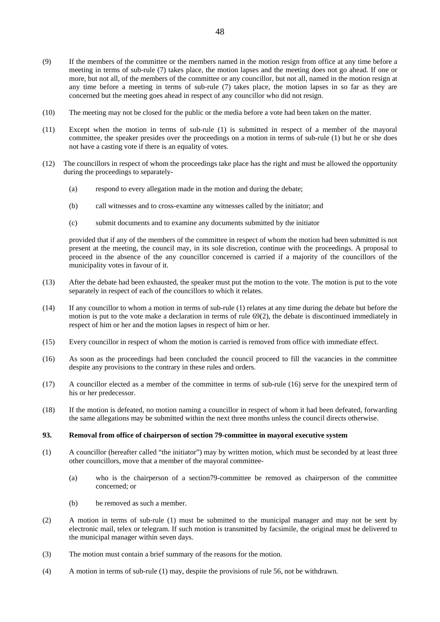- (9) If the members of the committee or the members named in the motion resign from office at any time before a meeting in terms of sub-rule (7) takes place, the motion lapses and the meeting does not go ahead. If one or more, but not all, of the members of the committee or any councillor, but not all, named in the motion resign at any time before a meeting in terms of sub-rule (7) takes place, the motion lapses in so far as they are concerned but the meeting goes ahead in respect of any councillor who did not resign.
- (10) The meeting may not be closed for the public or the media before a vote had been taken on the matter.
- (11) Except when the motion in terms of sub-rule (1) is submitted in respect of a member of the mayoral committee, the speaker presides over the proceedings on a motion in terms of sub-rule (1) but he or she does not have a casting vote if there is an equality of votes.
- (12) The councillors in respect of whom the proceedings take place has the right and must be allowed the opportunity during the proceedings to separately-
	- (a) respond to every allegation made in the motion and during the debate;
	- (b) call witnesses and to cross-examine any witnesses called by the initiator; and
	- (c) submit documents and to examine any documents submitted by the initiator

provided that if any of the members of the committee in respect of whom the motion had been submitted is not present at the meeting, the council may, in its sole discretion, continue with the proceedings. A proposal to proceed in the absence of the any councillor concerned is carried if a majority of the councillors of the municipality votes in favour of it.

- (13) After the debate had been exhausted, the speaker must put the motion to the vote. The motion is put to the vote separately in respect of each of the councillors to which it relates.
- (14) If any councillor to whom a motion in terms of sub-rule (1) relates at any time during the debate but before the motion is put to the vote make a declaration in terms of rule 69(2), the debate is discontinued immediately in respect of him or her and the motion lapses in respect of him or her.
- (15) Every councillor in respect of whom the motion is carried is removed from office with immediate effect.
- (16) As soon as the proceedings had been concluded the council proceed to fill the vacancies in the committee despite any provisions to the contrary in these rules and orders.
- (17) A councillor elected as a member of the committee in terms of sub-rule (16) serve for the unexpired term of his or her predecessor.
- (18) If the motion is defeated, no motion naming a councillor in respect of whom it had been defeated, forwarding the same allegations may be submitted within the next three months unless the council directs otherwise.

# **93. Removal from office of chairperson of section 79-committee in mayoral executive system**

- (1) A councillor (hereafter called "the initiator") may by written motion, which must be seconded by at least three other councillors, move that a member of the mayoral committee-
	- (a) who is the chairperson of a section79-committee be removed as chairperson of the committee concerned; or
	- (b) be removed as such a member.
- (2) A motion in terms of sub-rule (1) must be submitted to the municipal manager and may not be sent by electronic mail, telex or telegram. If such motion is transmitted by facsimile, the original must be delivered to the municipal manager within seven days.
- (3) The motion must contain a brief summary of the reasons for the motion.
- (4) A motion in terms of sub-rule (1) may, despite the provisions of rule 56, not be withdrawn.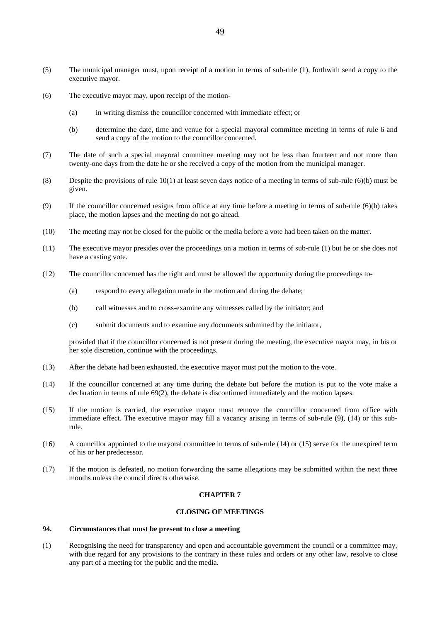- (5) The municipal manager must, upon receipt of a motion in terms of sub-rule (1), forthwith send a copy to the executive mayor.
- (6) The executive mayor may, upon receipt of the motion-
	- (a) in writing dismiss the councillor concerned with immediate effect; or
	- (b) determine the date, time and venue for a special mayoral committee meeting in terms of rule 6 and send a copy of the motion to the councillor concerned.
- (7) The date of such a special mayoral committee meeting may not be less than fourteen and not more than twenty-one days from the date he or she received a copy of the motion from the municipal manager.
- (8) Despite the provisions of rule  $10(1)$  at least seven days notice of a meeting in terms of sub-rule (6)(b) must be given.
- (9) If the councillor concerned resigns from office at any time before a meeting in terms of sub-rule (6)(b) takes place, the motion lapses and the meeting do not go ahead.
- (10) The meeting may not be closed for the public or the media before a vote had been taken on the matter.
- (11) The executive mayor presides over the proceedings on a motion in terms of sub-rule (1) but he or she does not have a casting vote.
- (12) The councillor concerned has the right and must be allowed the opportunity during the proceedings to-
	- (a) respond to every allegation made in the motion and during the debate;
	- (b) call witnesses and to cross-examine any witnesses called by the initiator; and
	- (c) submit documents and to examine any documents submitted by the initiator,

provided that if the councillor concerned is not present during the meeting, the executive mayor may, in his or her sole discretion, continue with the proceedings.

- (13) After the debate had been exhausted, the executive mayor must put the motion to the vote.
- (14) If the councillor concerned at any time during the debate but before the motion is put to the vote make a declaration in terms of rule 69(2), the debate is discontinued immediately and the motion lapses.
- (15) If the motion is carried, the executive mayor must remove the councillor concerned from office with immediate effect. The executive mayor may fill a vacancy arising in terms of sub-rule (9), (14) or this subrule.
- (16) A councillor appointed to the mayoral committee in terms of sub-rule (14) or (15) serve for the unexpired term of his or her predecessor.
- (17) If the motion is defeated, no motion forwarding the same allegations may be submitted within the next three months unless the council directs otherwise.

#### **CHAPTER 7**

#### **CLOSING OF MEETINGS**

### **94. Circumstances that must be present to close a meeting**

(1) Recognising the need for transparency and open and accountable government the council or a committee may, with due regard for any provisions to the contrary in these rules and orders or any other law, resolve to close any part of a meeting for the public and the media.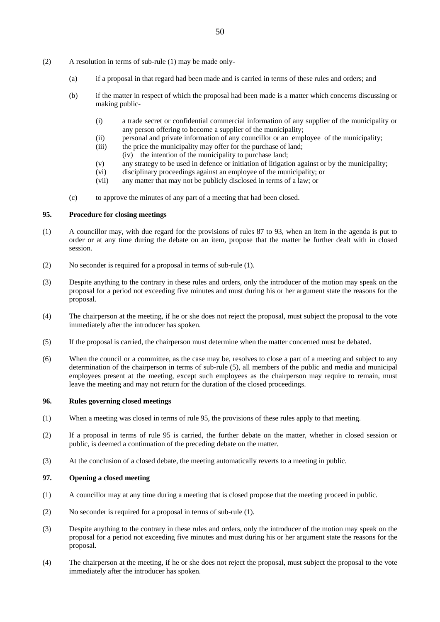- (a) if a proposal in that regard had been made and is carried in terms of these rules and orders; and
- (b) if the matter in respect of which the proposal had been made is a matter which concerns discussing or making public-
	- (i) a trade secret or confidential commercial information of any supplier of the municipality or any person offering to become a supplier of the municipality;
	- (ii) personal and private information of any councillor or an employee of the municipality;
	- (iii) the price the municipality may offer for the purchase of land;
	- (iv) the intention of the municipality to purchase land;
	- (v) any strategy to be used in defence or initiation of litigation against or by the municipality;
	- (vi) disciplinary proceedings against an employee of the municipality; or
	- (vii) any matter that may not be publicly disclosed in terms of a law; or
- (c) to approve the minutes of any part of a meeting that had been closed.

# **95. Procedure for closing meetings**

- (1) A councillor may, with due regard for the provisions of rules 87 to 93, when an item in the agenda is put to order or at any time during the debate on an item, propose that the matter be further dealt with in closed session.
- (2) No seconder is required for a proposal in terms of sub-rule (1).
- (3) Despite anything to the contrary in these rules and orders, only the introducer of the motion may speak on the proposal for a period not exceeding five minutes and must during his or her argument state the reasons for the proposal.
- (4) The chairperson at the meeting, if he or she does not reject the proposal, must subject the proposal to the vote immediately after the introducer has spoken.
- (5) If the proposal is carried, the chairperson must determine when the matter concerned must be debated.
- (6) When the council or a committee, as the case may be, resolves to close a part of a meeting and subject to any determination of the chairperson in terms of sub-rule (5), all members of the public and media and municipal employees present at the meeting, except such employees as the chairperson may require to remain, must leave the meeting and may not return for the duration of the closed proceedings.

# **96. Rules governing closed meetings**

- (1) When a meeting was closed in terms of rule 95, the provisions of these rules apply to that meeting.
- (2) If a proposal in terms of rule 95 is carried, the further debate on the matter, whether in closed session or public, is deemed a continuation of the preceding debate on the matter.
- (3) At the conclusion of a closed debate, the meeting automatically reverts to a meeting in public.

# **97. Opening a closed meeting**

- (1) A councillor may at any time during a meeting that is closed propose that the meeting proceed in public.
- (2) No seconder is required for a proposal in terms of sub-rule (1).
- (3) Despite anything to the contrary in these rules and orders, only the introducer of the motion may speak on the proposal for a period not exceeding five minutes and must during his or her argument state the reasons for the proposal.
- (4) The chairperson at the meeting, if he or she does not reject the proposal, must subject the proposal to the vote immediately after the introducer has spoken.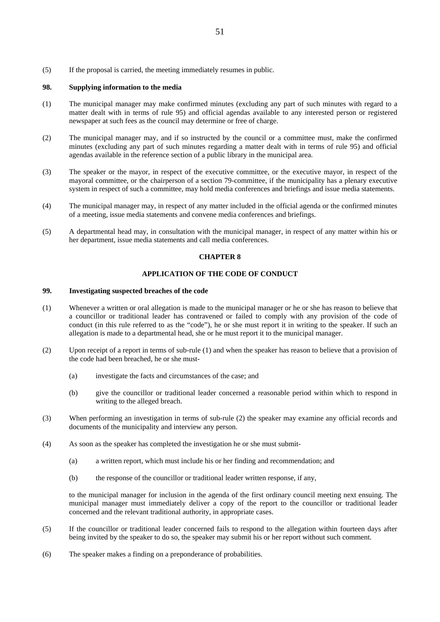(5) If the proposal is carried, the meeting immediately resumes in public.

#### **98. Supplying information to the media**

- (1) The municipal manager may make confirmed minutes (excluding any part of such minutes with regard to a matter dealt with in terms of rule 95) and official agendas available to any interested person or registered newspaper at such fees as the council may determine or free of charge.
- (2) The municipal manager may, and if so instructed by the council or a committee must, make the confirmed minutes (excluding any part of such minutes regarding a matter dealt with in terms of rule 95) and official agendas available in the reference section of a public library in the municipal area.
- (3) The speaker or the mayor, in respect of the executive committee, or the executive mayor, in respect of the mayoral committee, or the chairperson of a section 79-committee, if the municipality has a plenary executive system in respect of such a committee, may hold media conferences and briefings and issue media statements.
- (4) The municipal manager may, in respect of any matter included in the official agenda or the confirmed minutes of a meeting, issue media statements and convene media conferences and briefings.
- (5) A departmental head may, in consultation with the municipal manager, in respect of any matter within his or her department, issue media statements and call media conferences.

### **CHAPTER 8**

# **APPLICATION OF THE CODE OF CONDUCT**

### **99. Investigating suspected breaches of the code**

- (1) Whenever a written or oral allegation is made to the municipal manager or he or she has reason to believe that a councillor or traditional leader has contravened or failed to comply with any provision of the code of conduct (in this rule referred to as the "code"), he or she must report it in writing to the speaker. If such an allegation is made to a departmental head, she or he must report it to the municipal manager.
- (2) Upon receipt of a report in terms of sub-rule (1) and when the speaker has reason to believe that a provision of the code had been breached, he or she must-
	- (a) investigate the facts and circumstances of the case; and
	- (b) give the councillor or traditional leader concerned a reasonable period within which to respond in writing to the alleged breach.
- (3) When performing an investigation in terms of sub-rule (2) the speaker may examine any official records and documents of the municipality and interview any person.
- (4) As soon as the speaker has completed the investigation he or she must submit-
	- (a) a written report, which must include his or her finding and recommendation; and
	- (b) the response of the councillor or traditional leader written response, if any,

to the municipal manager for inclusion in the agenda of the first ordinary council meeting next ensuing. The municipal manager must immediately deliver a copy of the report to the councillor or traditional leader concerned and the relevant traditional authority, in appropriate cases.

- (5) If the councillor or traditional leader concerned fails to respond to the allegation within fourteen days after being invited by the speaker to do so, the speaker may submit his or her report without such comment.
- (6) The speaker makes a finding on a preponderance of probabilities.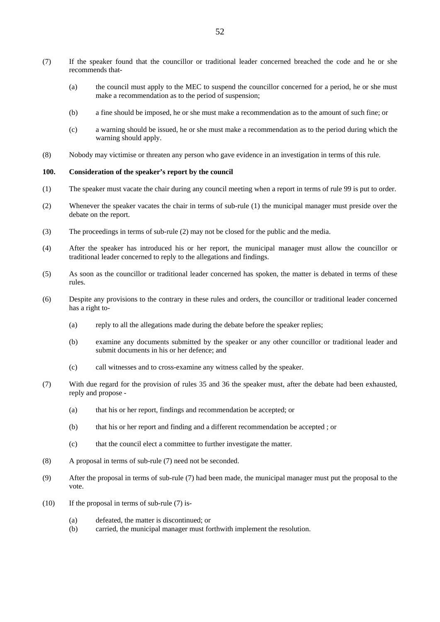- (7) If the speaker found that the councillor or traditional leader concerned breached the code and he or she recommends that-
	- (a) the council must apply to the MEC to suspend the councillor concerned for a period, he or she must make a recommendation as to the period of suspension;
	- (b) a fine should be imposed, he or she must make a recommendation as to the amount of such fine; or
	- (c) a warning should be issued, he or she must make a recommendation as to the period during which the warning should apply.
- (8) Nobody may victimise or threaten any person who gave evidence in an investigation in terms of this rule.

#### **100. Consideration of the speaker's report by the council**

- (1) The speaker must vacate the chair during any council meeting when a report in terms of rule 99 is put to order.
- (2) Whenever the speaker vacates the chair in terms of sub-rule (1) the municipal manager must preside over the debate on the report.
- (3) The proceedings in terms of sub-rule (2) may not be closed for the public and the media.
- (4) After the speaker has introduced his or her report, the municipal manager must allow the councillor or traditional leader concerned to reply to the allegations and findings.
- (5) As soon as the councillor or traditional leader concerned has spoken, the matter is debated in terms of these rules.
- (6) Despite any provisions to the contrary in these rules and orders, the councillor or traditional leader concerned has a right to-
	- (a) reply to all the allegations made during the debate before the speaker replies;
	- (b) examine any documents submitted by the speaker or any other councillor or traditional leader and submit documents in his or her defence; and
	- (c) call witnesses and to cross-examine any witness called by the speaker.
- (7) With due regard for the provision of rules 35 and 36 the speaker must, after the debate had been exhausted, reply and propose -
	- (a) that his or her report, findings and recommendation be accepted; or
	- (b) that his or her report and finding and a different recommendation be accepted ; or
	- (c) that the council elect a committee to further investigate the matter.
- (8) A proposal in terms of sub-rule (7) need not be seconded.
- (9) After the proposal in terms of sub-rule (7) had been made, the municipal manager must put the proposal to the vote.
- (10) If the proposal in terms of sub-rule (7) is-
	- (a) defeated, the matter is discontinued; or
	- (b) carried, the municipal manager must forthwith implement the resolution.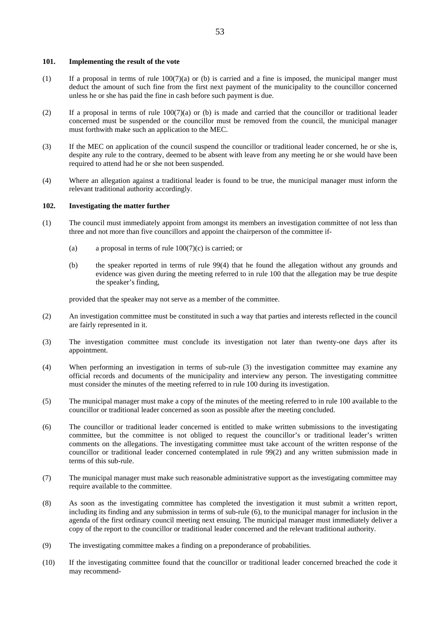#### **101. Implementing the result of the vote**

- (1) If a proposal in terms of rule  $100(7)(a)$  or (b) is carried and a fine is imposed, the municipal manger must deduct the amount of such fine from the first next payment of the municipality to the councillor concerned unless he or she has paid the fine in cash before such payment is due.
- (2) If a proposal in terms of rule  $100(7)(a)$  or (b) is made and carried that the councillor or traditional leader concerned must be suspended or the councillor must be removed from the council, the municipal manager must forthwith make such an application to the MEC.
- (3) If the MEC on application of the council suspend the councillor or traditional leader concerned, he or she is, despite any rule to the contrary, deemed to be absent with leave from any meeting he or she would have been required to attend had he or she not been suspended.
- (4) Where an allegation against a traditional leader is found to be true, the municipal manager must inform the relevant traditional authority accordingly.

#### **102. Investigating the matter further**

- (1) The council must immediately appoint from amongst its members an investigation committee of not less than three and not more than five councillors and appoint the chairperson of the committee if-
	- (a) a proposal in terms of rule  $100(7)(c)$  is carried; or
	- (b) the speaker reported in terms of rule 99(4) that he found the allegation without any grounds and evidence was given during the meeting referred to in rule 100 that the allegation may be true despite the speaker's finding,

provided that the speaker may not serve as a member of the committee.

- (2) An investigation committee must be constituted in such a way that parties and interests reflected in the council are fairly represented in it.
- (3) The investigation committee must conclude its investigation not later than twenty-one days after its appointment.
- (4) When performing an investigation in terms of sub-rule (3) the investigation committee may examine any official records and documents of the municipality and interview any person. The investigating committee must consider the minutes of the meeting referred to in rule 100 during its investigation.
- (5) The municipal manager must make a copy of the minutes of the meeting referred to in rule 100 available to the councillor or traditional leader concerned as soon as possible after the meeting concluded.
- (6) The councillor or traditional leader concerned is entitled to make written submissions to the investigating committee, but the committee is not obliged to request the councillor's or traditional leader's written comments on the allegations. The investigating committee must take account of the written response of the councillor or traditional leader concerned contemplated in rule 99(2) and any written submission made in terms of this sub-rule.
- (7) The municipal manager must make such reasonable administrative support as the investigating committee may require available to the committee.
- (8) As soon as the investigating committee has completed the investigation it must submit a written report, including its finding and any submission in terms of sub-rule (6), to the municipal manager for inclusion in the agenda of the first ordinary council meeting next ensuing. The municipal manager must immediately deliver a copy of the report to the councillor or traditional leader concerned and the relevant traditional authority.
- (9) The investigating committee makes a finding on a preponderance of probabilities.
- (10) If the investigating committee found that the councillor or traditional leader concerned breached the code it may recommend-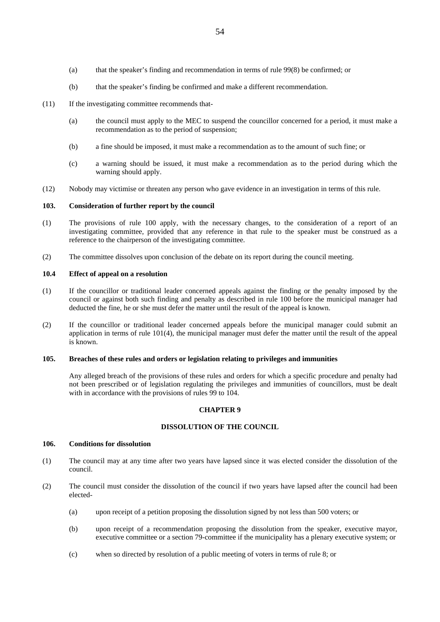- (a) that the speaker's finding and recommendation in terms of rule 99(8) be confirmed; or
- (b) that the speaker's finding be confirmed and make a different recommendation.
- (11) If the investigating committee recommends that-
	- (a) the council must apply to the MEC to suspend the councillor concerned for a period, it must make a recommendation as to the period of suspension;
	- (b) a fine should be imposed, it must make a recommendation as to the amount of such fine; or
	- (c) a warning should be issued, it must make a recommendation as to the period during which the warning should apply.
- (12) Nobody may victimise or threaten any person who gave evidence in an investigation in terms of this rule.

# **103. Consideration of further report by the council**

- (1) The provisions of rule 100 apply, with the necessary changes, to the consideration of a report of an investigating committee, provided that any reference in that rule to the speaker must be construed as a reference to the chairperson of the investigating committee.
- (2) The committee dissolves upon conclusion of the debate on its report during the council meeting.

#### **10.4 Effect of appeal on a resolution**

- (1) If the councillor or traditional leader concerned appeals against the finding or the penalty imposed by the council or against both such finding and penalty as described in rule 100 before the municipal manager had deducted the fine, he or she must defer the matter until the result of the appeal is known.
- (2) If the councillor or traditional leader concerned appeals before the municipal manager could submit an application in terms of rule 101(4), the municipal manager must defer the matter until the result of the appeal is known.

# **105. Breaches of these rules and orders or legislation relating to privileges and immunities**

 Any alleged breach of the provisions of these rules and orders for which a specific procedure and penalty had not been prescribed or of legislation regulating the privileges and immunities of councillors, must be dealt with in accordance with the provisions of rules 99 to 104.

### **CHAPTER 9**

#### **DISSOLUTION OF THE COUNCIL**

### **106. Conditions for dissolution**

- (1) The council may at any time after two years have lapsed since it was elected consider the dissolution of the council.
- (2) The council must consider the dissolution of the council if two years have lapsed after the council had been elected-
	- (a) upon receipt of a petition proposing the dissolution signed by not less than 500 voters; or
	- (b) upon receipt of a recommendation proposing the dissolution from the speaker, executive mayor, executive committee or a section 79-committee if the municipality has a plenary executive system; or
	- (c) when so directed by resolution of a public meeting of voters in terms of rule 8; or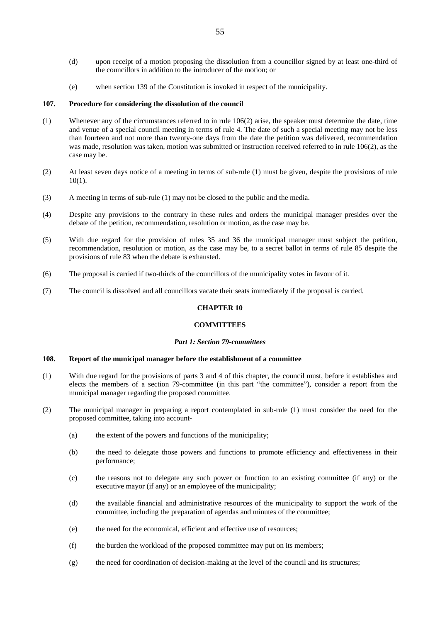- (d) upon receipt of a motion proposing the dissolution from a councillor signed by at least one-third of the councillors in addition to the introducer of the motion; or
- (e) when section 139 of the Constitution is invoked in respect of the municipality.

#### **107. Procedure for considering the dissolution of the council**

- (1) Whenever any of the circumstances referred to in rule 106(2) arise, the speaker must determine the date, time and venue of a special council meeting in terms of rule 4. The date of such a special meeting may not be less than fourteen and not more than twenty-one days from the date the petition was delivered, recommendation was made, resolution was taken, motion was submitted or instruction received referred to in rule 106(2), as the case may be.
- (2) At least seven days notice of a meeting in terms of sub-rule (1) must be given, despite the provisions of rule 10(1).
- (3) A meeting in terms of sub-rule (1) may not be closed to the public and the media.
- (4) Despite any provisions to the contrary in these rules and orders the municipal manager presides over the debate of the petition, recommendation, resolution or motion, as the case may be.
- (5) With due regard for the provision of rules 35 and 36 the municipal manager must subject the petition, recommendation, resolution or motion, as the case may be, to a secret ballot in terms of rule 85 despite the provisions of rule 83 when the debate is exhausted.
- (6) The proposal is carried if two-thirds of the councillors of the municipality votes in favour of it.
- (7) The council is dissolved and all councillors vacate their seats immediately if the proposal is carried.

### **CHAPTER 10**

#### **COMMITTEES**

#### *Part 1: Section 79-committees*

# **108. Report of the municipal manager before the establishment of a committee**

- (1) With due regard for the provisions of parts 3 and 4 of this chapter, the council must, before it establishes and elects the members of a section 79-committee (in this part "the committee"), consider a report from the municipal manager regarding the proposed committee.
- (2) The municipal manager in preparing a report contemplated in sub-rule (1) must consider the need for the proposed committee, taking into account-
	- (a) the extent of the powers and functions of the municipality;
	- (b) the need to delegate those powers and functions to promote efficiency and effectiveness in their performance;
	- (c) the reasons not to delegate any such power or function to an existing committee (if any) or the executive mayor (if any) or an employee of the municipality;
	- (d) the available financial and administrative resources of the municipality to support the work of the committee, including the preparation of agendas and minutes of the committee;
	- (e) the need for the economical, efficient and effective use of resources;
	- (f) the burden the workload of the proposed committee may put on its members;
	- (g) the need for coordination of decision-making at the level of the council and its structures;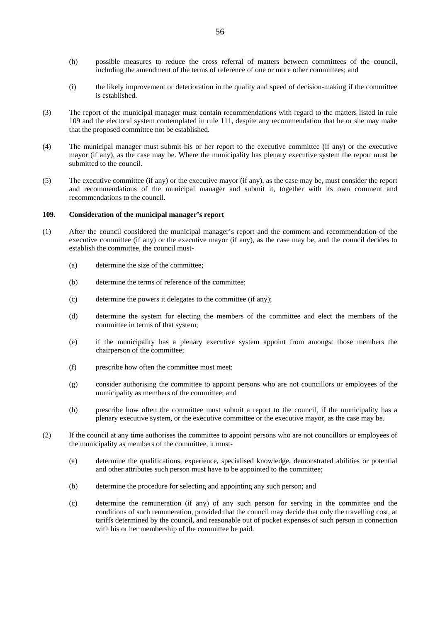- (h) possible measures to reduce the cross referral of matters between committees of the council, including the amendment of the terms of reference of one or more other committees; and
- (i) the likely improvement or deterioration in the quality and speed of decision-making if the committee is established.
- (3) The report of the municipal manager must contain recommendations with regard to the matters listed in rule 109 and the electoral system contemplated in rule 111, despite any recommendation that he or she may make that the proposed committee not be established.
- (4) The municipal manager must submit his or her report to the executive committee (if any) or the executive mayor (if any), as the case may be. Where the municipality has plenary executive system the report must be submitted to the council.
- (5) The executive committee (if any) or the executive mayor (if any), as the case may be, must consider the report and recommendations of the municipal manager and submit it, together with its own comment and recommendations to the council.

# **109. Consideration of the municipal manager's report**

- (1) After the council considered the municipal manager's report and the comment and recommendation of the executive committee (if any) or the executive mayor (if any), as the case may be, and the council decides to establish the committee, the council must-
	- (a) determine the size of the committee;
	- (b) determine the terms of reference of the committee;
	- (c) determine the powers it delegates to the committee (if any);
	- (d) determine the system for electing the members of the committee and elect the members of the committee in terms of that system;
	- (e) if the municipality has a plenary executive system appoint from amongst those members the chairperson of the committee;
	- (f) prescribe how often the committee must meet;
	- (g) consider authorising the committee to appoint persons who are not councillors or employees of the municipality as members of the committee; and
	- (h) prescribe how often the committee must submit a report to the council, if the municipality has a plenary executive system, or the executive committee or the executive mayor, as the case may be.
- (2) If the council at any time authorises the committee to appoint persons who are not councillors or employees of the municipality as members of the committee, it must-
	- (a) determine the qualifications, experience, specialised knowledge, demonstrated abilities or potential and other attributes such person must have to be appointed to the committee;
	- (b) determine the procedure for selecting and appointing any such person; and
	- (c) determine the remuneration (if any) of any such person for serving in the committee and the conditions of such remuneration, provided that the council may decide that only the travelling cost, at tariffs determined by the council, and reasonable out of pocket expenses of such person in connection with his or her membership of the committee be paid.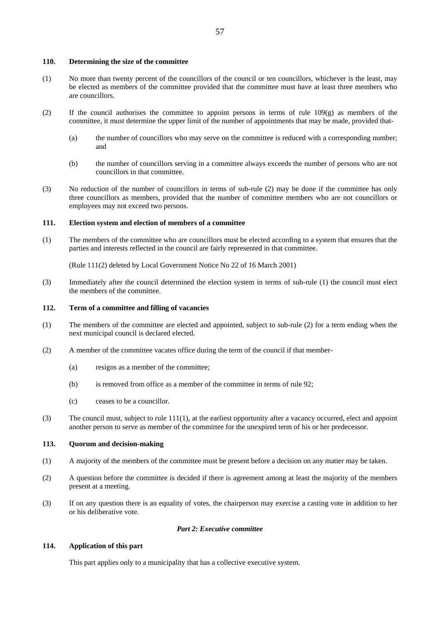#### **110. Determining the size of the committee**

- (1) No more than twenty percent of the councillors of the council or ten councillors, whichever is the least, may be elected as members of the committee provided that the committee must have at least three members who are councillors.
- (2) If the council authorises the committee to appoint persons in terms of rule 109(g) as members of the committee, it must determine the upper limit of the number of appointments that may be made, provided that-
	- (a) the number of councillors who may serve on the committee is reduced with a corresponding number; and
	- (b) the number of councillors serving in a committee always exceeds the number of persons who are not councillors in that committee.
- (3) No reduction of the number of councillors in terms of sub-rule (2) may be done if the committee has only three councillors as members, provided that the number of committee members who are not councillors or employees may not exceed two persons.

# **111. Election system and election of members of a committee**

(1) The members of the committee who are councillors must be elected according to a system that ensures that the parties and interests reflected in the council are fairly represented in that committee.

(Rule 111(2) deleted by Local Government Notice No 22 of 16 March 2001)

(3) Immediately after the council determined the election system in terms of sub-rule (1) the council must elect the members of the committee.

### **112. Term of a committee and filling of vacancies**

- (1) The members of the committee are elected and appointed, subject to sub-rule (2) for a term ending when the next municipal council is declared elected.
- (2) A member of the committee vacates office during the term of the council if that member-
	- (a) resigns as a member of the committee;
	- (b) is removed from office as a member of the committee in terms of rule 92;
	- (c) ceases to be a councillor.
- (3) The council must, subject to rule 111(1), at the earliest opportunity after a vacancy occurred, elect and appoint another person to serve as member of the committee for the unexpired term of his or her predecessor.

### **113. Quorum and decision-making**

- (1) A majority of the members of the committee must be present before a decision on any matter may be taken.
- (2) A question before the committee is decided if there is agreement among at least the majority of the members present at a meeting.
- (3) If on any question there is an equality of votes, the chairperson may exercise a casting vote in addition to her or his deliberative vote.

### *Part 2: Executive committee*

# **114. Application of this part**

This part applies only to a municipality that has a collective executive system.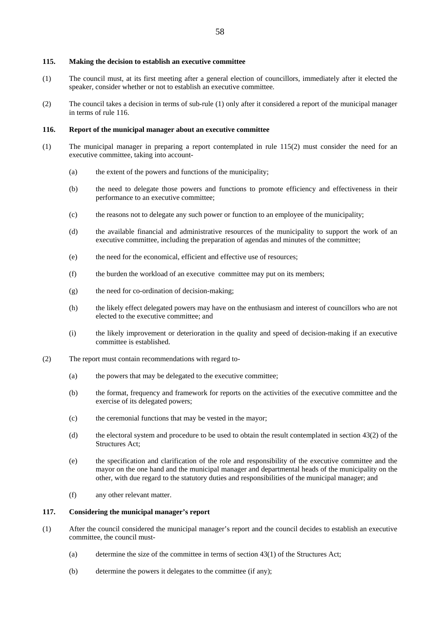#### **115. Making the decision to establish an executive committee**

- (1) The council must, at its first meeting after a general election of councillors, immediately after it elected the speaker, consider whether or not to establish an executive committee.
- (2) The council takes a decision in terms of sub-rule (1) only after it considered a report of the municipal manager in terms of rule 116.

### **116. Report of the municipal manager about an executive committee**

- (1) The municipal manager in preparing a report contemplated in rule 115(2) must consider the need for an executive committee, taking into account-
	- (a) the extent of the powers and functions of the municipality;
	- (b) the need to delegate those powers and functions to promote efficiency and effectiveness in their performance to an executive committee;
	- (c) the reasons not to delegate any such power or function to an employee of the municipality;
	- (d) the available financial and administrative resources of the municipality to support the work of an executive committee, including the preparation of agendas and minutes of the committee;
	- (e) the need for the economical, efficient and effective use of resources;
	- (f) the burden the workload of an executive committee may put on its members;
	- (g) the need for co-ordination of decision-making;
	- (h) the likely effect delegated powers may have on the enthusiasm and interest of councillors who are not elected to the executive committee; and
	- (i) the likely improvement or deterioration in the quality and speed of decision-making if an executive committee is established.
- (2) The report must contain recommendations with regard to-
	- (a) the powers that may be delegated to the executive committee;
	- (b) the format, frequency and framework for reports on the activities of the executive committee and the exercise of its delegated powers;
	- (c) the ceremonial functions that may be vested in the mayor;
	- (d) the electoral system and procedure to be used to obtain the result contemplated in section  $43(2)$  of the Structures Act;
	- (e) the specification and clarification of the role and responsibility of the executive committee and the mayor on the one hand and the municipal manager and departmental heads of the municipality on the other, with due regard to the statutory duties and responsibilities of the municipal manager; and
	- (f) any other relevant matter.

### **117. Considering the municipal manager's report**

- (1) After the council considered the municipal manager's report and the council decides to establish an executive committee, the council must-
	- (a) determine the size of the committee in terms of section  $43(1)$  of the Structures Act;
	- (b) determine the powers it delegates to the committee (if any);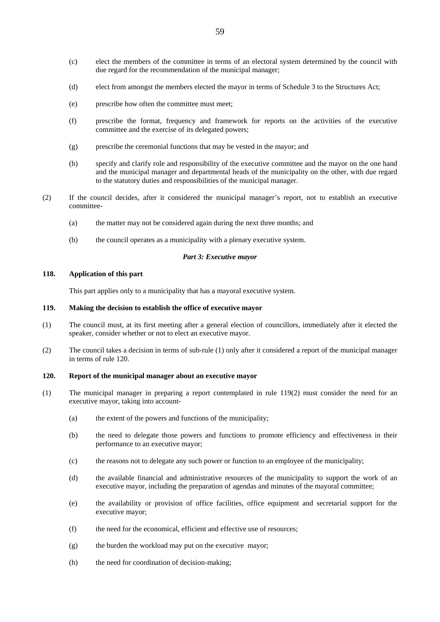- (c) elect the members of the committee in terms of an electoral system determined by the council with due regard for the recommendation of the municipal manager;
- (d) elect from amongst the members elected the mayor in terms of Schedule 3 to the Structures Act;
- (e) prescribe how often the committee must meet;
- (f) prescribe the format, frequency and framework for reports on the activities of the executive committee and the exercise of its delegated powers;
- (g) prescribe the ceremonial functions that may be vested in the mayor; and
- (h) specify and clarify role and responsibility of the executive committee and the mayor on the one hand and the municipal manager and departmental heads of the municipality on the other, with due regard to the statutory duties and responsibilities of the municipal manager.
- (2) If the council decides, after it considered the municipal manager's report, not to establish an executive committee-
	- (a) the matter may not be considered again during the next three months; and
	- (b) the council operates as a municipality with a plenary executive system.

#### *Part 3: Executive mayor*

### **118. Application of this part**

This part applies only to a municipality that has a mayoral executive system.

## **119. Making the decision to establish the office of executive mayor**

- (1) The council must, at its first meeting after a general election of councillors, immediately after it elected the speaker, consider whether or not to elect an executive mayor.
- (2) The council takes a decision in terms of sub-rule (1) only after it considered a report of the municipal manager in terms of rule 120.

# **120. Report of the municipal manager about an executive mayor**

- (1) The municipal manager in preparing a report contemplated in rule 119(2) must consider the need for an executive mayor, taking into account-
	- (a) the extent of the powers and functions of the municipality;
	- (b) the need to delegate those powers and functions to promote efficiency and effectiveness in their performance to an executive mayor;
	- (c) the reasons not to delegate any such power or function to an employee of the municipality;
	- (d) the available financial and administrative resources of the municipality to support the work of an executive mayor, including the preparation of agendas and minutes of the mayoral committee;
	- (e) the availability or provision of office facilities, office equipment and secretarial support for the executive mayor;
	- (f) the need for the economical, efficient and effective use of resources;
	- (g) the burden the workload may put on the executive mayor;
	- (h) the need for coordination of decision-making;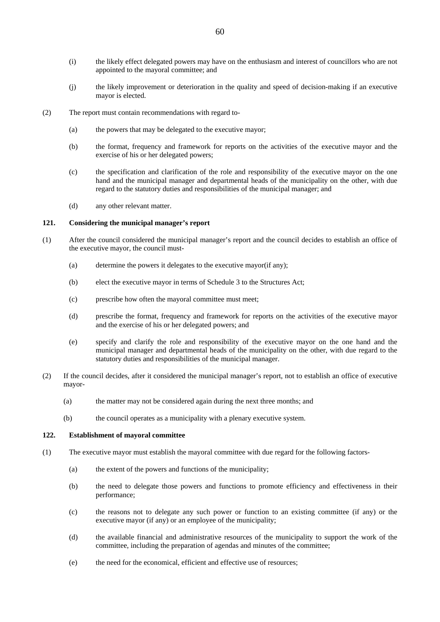- (i) the likely effect delegated powers may have on the enthusiasm and interest of councillors who are not appointed to the mayoral committee; and
- (j) the likely improvement or deterioration in the quality and speed of decision-making if an executive mayor is elected.
- (2) The report must contain recommendations with regard to-
	- (a) the powers that may be delegated to the executive mayor;
	- (b) the format, frequency and framework for reports on the activities of the executive mayor and the exercise of his or her delegated powers;
	- (c) the specification and clarification of the role and responsibility of the executive mayor on the one hand and the municipal manager and departmental heads of the municipality on the other, with due regard to the statutory duties and responsibilities of the municipal manager; and
	- (d) any other relevant matter.

# **121. Considering the municipal manager's report**

- (1) After the council considered the municipal manager's report and the council decides to establish an office of the executive mayor, the council must-
	- (a) determine the powers it delegates to the executive mayor(if any);
	- (b) elect the executive mayor in terms of Schedule 3 to the Structures Act;
	- (c) prescribe how often the mayoral committee must meet;
	- (d) prescribe the format, frequency and framework for reports on the activities of the executive mayor and the exercise of his or her delegated powers; and
	- (e) specify and clarify the role and responsibility of the executive mayor on the one hand and the municipal manager and departmental heads of the municipality on the other, with due regard to the statutory duties and responsibilities of the municipal manager.
- (2) If the council decides, after it considered the municipal manager's report, not to establish an office of executive mayor-
	- (a) the matter may not be considered again during the next three months; and
	- (b) the council operates as a municipality with a plenary executive system.

### **122. Establishment of mayoral committee**

- (1) The executive mayor must establish the mayoral committee with due regard for the following factors-
	- (a) the extent of the powers and functions of the municipality;
	- (b) the need to delegate those powers and functions to promote efficiency and effectiveness in their performance;
	- (c) the reasons not to delegate any such power or function to an existing committee (if any) or the executive mayor (if any) or an employee of the municipality;
	- (d) the available financial and administrative resources of the municipality to support the work of the committee, including the preparation of agendas and minutes of the committee;
	- (e) the need for the economical, efficient and effective use of resources;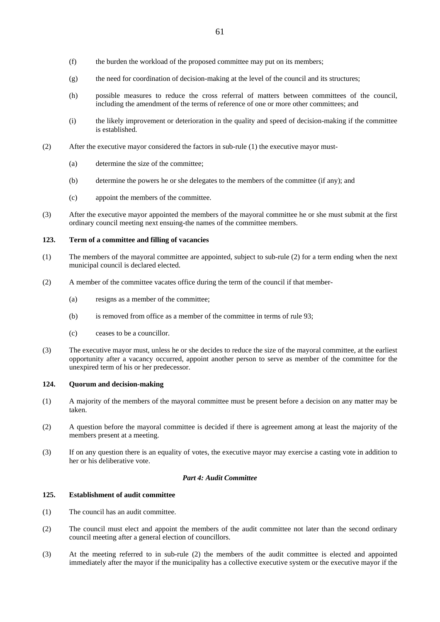- (f) the burden the workload of the proposed committee may put on its members;
- (g) the need for coordination of decision-making at the level of the council and its structures;
- (h) possible measures to reduce the cross referral of matters between committees of the council, including the amendment of the terms of reference of one or more other committees; and
- (i) the likely improvement or deterioration in the quality and speed of decision-making if the committee is established.
- (2) After the executive mayor considered the factors in sub-rule (1) the executive mayor must-
	- (a) determine the size of the committee;
	- (b) determine the powers he or she delegates to the members of the committee (if any); and
	- (c) appoint the members of the committee.
- (3) After the executive mayor appointed the members of the mayoral committee he or she must submit at the first ordinary council meeting next ensuing-the names of the committee members.

### **123. Term of a committee and filling of vacancies**

- (1) The members of the mayoral committee are appointed, subject to sub-rule (2) for a term ending when the next municipal council is declared elected.
- (2) A member of the committee vacates office during the term of the council if that member-
	- (a) resigns as a member of the committee;
	- (b) is removed from office as a member of the committee in terms of rule 93;
	- (c) ceases to be a councillor.
- (3) The executive mayor must, unless he or she decides to reduce the size of the mayoral committee, at the earliest opportunity after a vacancy occurred, appoint another person to serve as member of the committee for the unexpired term of his or her predecessor.

#### **124. Quorum and decision-making**

- (1) A majority of the members of the mayoral committee must be present before a decision on any matter may be taken.
- (2) A question before the mayoral committee is decided if there is agreement among at least the majority of the members present at a meeting.
- (3) If on any question there is an equality of votes, the executive mayor may exercise a casting vote in addition to her or his deliberative vote.

### *Part 4: Audit Committee*

#### **125. Establishment of audit committee**

- (1) The council has an audit committee.
- (2) The council must elect and appoint the members of the audit committee not later than the second ordinary council meeting after a general election of councillors.
- (3) At the meeting referred to in sub-rule (2) the members of the audit committee is elected and appointed immediately after the mayor if the municipality has a collective executive system or the executive mayor if the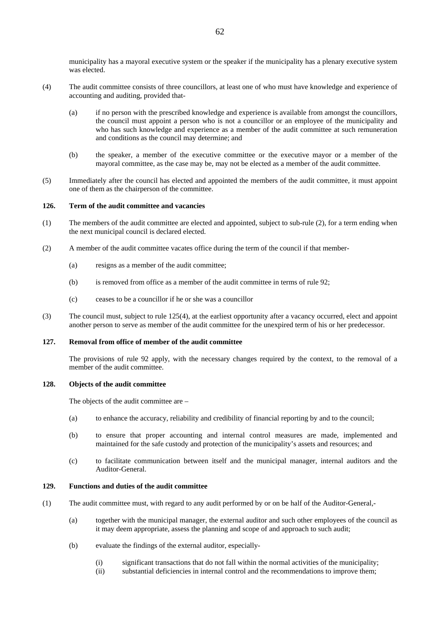municipality has a mayoral executive system or the speaker if the municipality has a plenary executive system was elected.

- (4) The audit committee consists of three councillors, at least one of who must have knowledge and experience of accounting and auditing, provided that-
	- (a) if no person with the prescribed knowledge and experience is available from amongst the councillors, the council must appoint a person who is not a councillor or an employee of the municipality and who has such knowledge and experience as a member of the audit committee at such remuneration and conditions as the council may determine; and
	- (b) the speaker, a member of the executive committee or the executive mayor or a member of the mayoral committee, as the case may be, may not be elected as a member of the audit committee.
- (5) Immediately after the council has elected and appointed the members of the audit committee, it must appoint one of them as the chairperson of the committee.

# **126. Term of the audit committee and vacancies**

- (1) The members of the audit committee are elected and appointed, subject to sub-rule (2), for a term ending when the next municipal council is declared elected.
- (2) A member of the audit committee vacates office during the term of the council if that member-
	- (a) resigns as a member of the audit committee;
	- (b) is removed from office as a member of the audit committee in terms of rule 92;
	- (c) ceases to be a councillor if he or she was a councillor
- (3) The council must, subject to rule 125(4), at the earliest opportunity after a vacancy occurred, elect and appoint another person to serve as member of the audit committee for the unexpired term of his or her predecessor.

#### **127. Removal from office of member of the audit committee**

 The provisions of rule 92 apply, with the necessary changes required by the context, to the removal of a member of the audit committee.

#### **128. Objects of the audit committee**

The objects of the audit committee are –

- (a) to enhance the accuracy, reliability and credibility of financial reporting by and to the council;
- (b) to ensure that proper accounting and internal control measures are made, implemented and maintained for the safe custody and protection of the municipality's assets and resources; and
- (c) to facilitate communication between itself and the municipal manager, internal auditors and the Auditor-General.

#### **129. Functions and duties of the audit committee**

- (1) The audit committee must, with regard to any audit performed by or on be half of the Auditor-General,-
	- (a) together with the municipal manager, the external auditor and such other employees of the council as it may deem appropriate, assess the planning and scope of and approach to such audit;
	- (b) evaluate the findings of the external auditor, especially-
		- (i) significant transactions that do not fall within the normal activities of the municipality;
		- (ii) substantial deficiencies in internal control and the recommendations to improve them;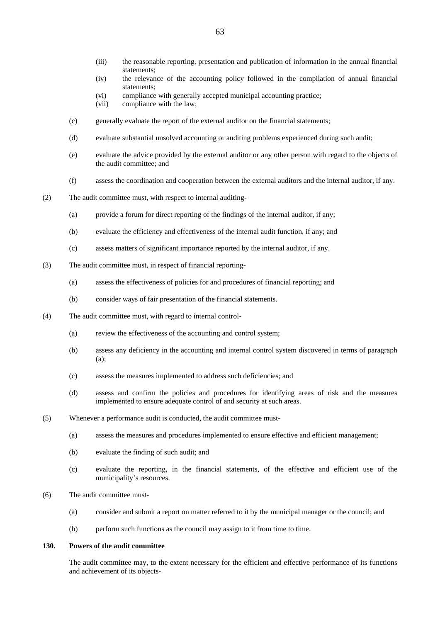- (iii) the reasonable reporting, presentation and publication of information in the annual financial statements;
- (iv) the relevance of the accounting policy followed in the compilation of annual financial statements;
- (vi) compliance with generally accepted municipal accounting practice;
- (vii) compliance with the law;
- (c) generally evaluate the report of the external auditor on the financial statements;
- (d) evaluate substantial unsolved accounting or auditing problems experienced during such audit;
- (e) evaluate the advice provided by the external auditor or any other person with regard to the objects of the audit committee; and
- (f) assess the coordination and cooperation between the external auditors and the internal auditor, if any.
- (2) The audit committee must, with respect to internal auditing-
	- (a) provide a forum for direct reporting of the findings of the internal auditor, if any;
	- (b) evaluate the efficiency and effectiveness of the internal audit function, if any; and
	- (c) assess matters of significant importance reported by the internal auditor, if any.
- (3) The audit committee must, in respect of financial reporting-
	- (a) assess the effectiveness of policies for and procedures of financial reporting; and
	- (b) consider ways of fair presentation of the financial statements.
- (4) The audit committee must, with regard to internal control-
	- (a) review the effectiveness of the accounting and control system;
	- (b) assess any deficiency in the accounting and internal control system discovered in terms of paragraph (a);
	- (c) assess the measures implemented to address such deficiencies; and
	- (d) assess and confirm the policies and procedures for identifying areas of risk and the measures implemented to ensure adequate control of and security at such areas.
- (5) Whenever a performance audit is conducted, the audit committee must-
	- (a) assess the measures and procedures implemented to ensure effective and efficient management;
	- (b) evaluate the finding of such audit; and
	- (c) evaluate the reporting, in the financial statements, of the effective and efficient use of the municipality's resources.
- (6) The audit committee must-
	- (a) consider and submit a report on matter referred to it by the municipal manager or the council; and
	- (b) perform such functions as the council may assign to it from time to time.

# **130. Powers of the audit committee**

 The audit committee may, to the extent necessary for the efficient and effective performance of its functions and achievement of its objects-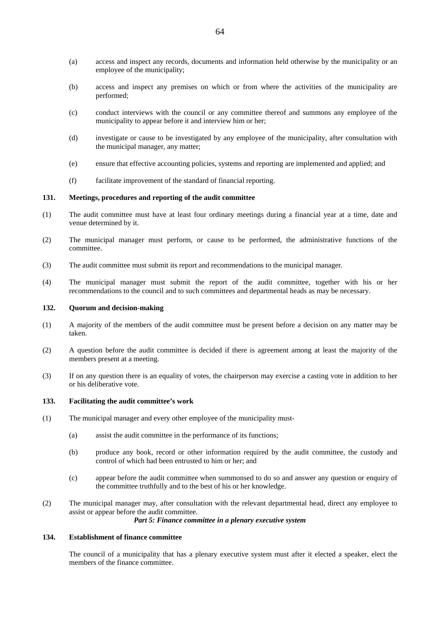- (a) access and inspect any records, documents and information held otherwise by the municipality or an employee of the municipality;
- (b) access and inspect any premises on which or from where the activities of the municipality are performed;
- (c) conduct interviews with the council or any committee thereof and summons any employee of the municipality to appear before it and interview him or her;
- (d) investigate or cause to be investigated by any employee of the municipality, after consultation with the municipal manager, any matter;
- (e) ensure that effective accounting policies, systems and reporting are implemented and applied; and
- (f) facilitate improvement of the standard of financial reporting.

## **131. Meetings, procedures and reporting of the audit committee**

- (1) The audit committee must have at least four ordinary meetings during a financial year at a time, date and venue determined by it.
- (2) The municipal manager must perform, or cause to be performed, the administrative functions of the committee.
- (3) The audit committee must submit its report and recommendations to the municipal manager.
- (4) The municipal manager must submit the report of the audit committee, together with his or her recommendations to the council and to such committees and departmental heads as may be necessary.

### **132. Quorum and decision-making**

- (1) A majority of the members of the audit committee must be present before a decision on any matter may be taken.
- (2) A question before the audit committee is decided if there is agreement among at least the majority of the members present at a meeting.
- (3) If on any question there is an equality of votes, the chairperson may exercise a casting vote in addition to her or his deliberative vote.

# **133. Facilitating the audit committee's work**

- (1) The municipal manager and every other employee of the municipality must-
	- (a) assist the audit committee in the performance of its functions;
	- (b) produce any book, record or other information required by the audit committee, the custody and control of which had been entrusted to him or her; and
	- (c) appear before the audit committee when summonsed to do so and answer any question or enquiry of the committee truthfully and to the best of his or her knowledge.
- (2) The municipal manager may, after consultation with the relevant departmental head, direct any employee to assist or appear before the audit committee.

#### *Part 5: Finance committee in a plenary executive system*

# **134. Establishment of finance committee**

 The council of a municipality that has a plenary executive system must after it elected a speaker, elect the members of the finance committee.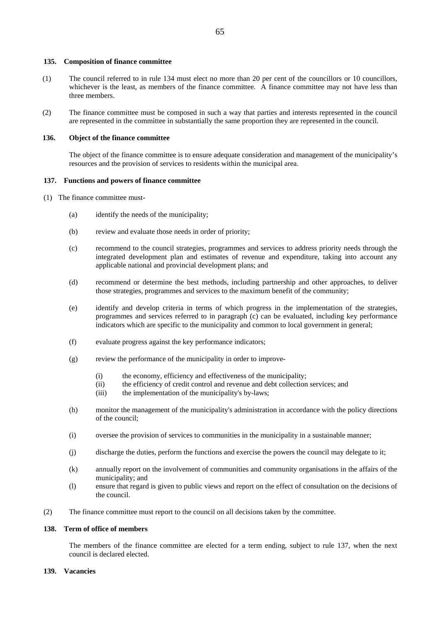#### **135. Composition of finance committee**

- (1) The council referred to in rule 134 must elect no more than 20 per cent of the councillors or 10 councillors, whichever is the least, as members of the finance committee. A finance committee may not have less than three members.
- (2) The finance committee must be composed in such a way that parties and interests represented in the council are represented in the committee in substantially the same proportion they are represented in the council.

#### **136. Object of the finance committee**

 The object of the finance committee is to ensure adequate consideration and management of the municipality's resources and the provision of services to residents within the municipal area.

#### **137. Functions and powers of finance committee**

- (1) The finance committee must-
	- (a) identify the needs of the municipality;
	- (b) review and evaluate those needs in order of priority;
	- (c) recommend to the council strategies, programmes and services to address priority needs through the integrated development plan and estimates of revenue and expenditure, taking into account any applicable national and provincial development plans; and
	- (d) recommend or determine the best methods, including partnership and other approaches, to deliver those strategies, programmes and services to the maximum benefit of the community;
	- (e) identify and develop criteria in terms of which progress in the implementation of the strategies, programmes and services referred to in paragraph (c) can be evaluated, including key performance indicators which are specific to the municipality and common to local government in general;
	- (f) evaluate progress against the key performance indicators;
	- (g) review the performance of the municipality in order to improve-
		- (i) the economy, efficiency and effectiveness of the municipality;
		- (ii) the efficiency of credit control and revenue and debt collection services; and
		- (iii) the implementation of the municipality's by-laws;
	- (h) monitor the management of the municipality's administration in accordance with the policy directions of the council;
	- (i) oversee the provision of services to communities in the municipality in a sustainable manner;
	- (j) discharge the duties, perform the functions and exercise the powers the council may delegate to it;
	- (k) annually report on the involvement of communities and community organisations in the affairs of the municipality; and
	- (l) ensure that regard is given to public views and report on the effect of consultation on the decisions of the council.
- (2) The finance committee must report to the council on all decisions taken by the committee.

#### **138. Term of office of members**

 The members of the finance committee are elected for a term ending, subject to rule 137, when the next council is declared elected.

#### **139. Vacancies**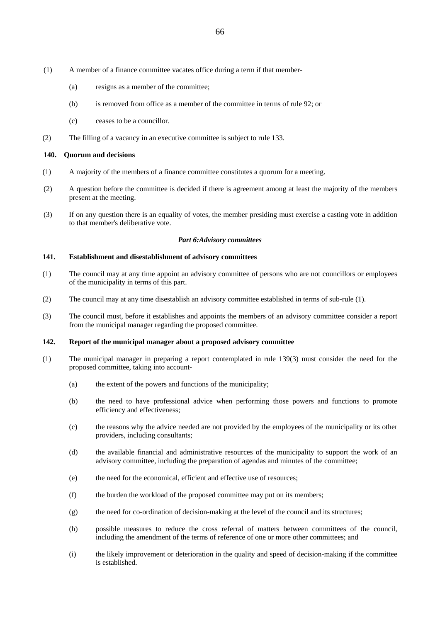- (1) A member of a finance committee vacates office during a term if that member-
	- (a) resigns as a member of the committee;
	- (b) is removed from office as a member of the committee in terms of rule 92; or
	- (c) ceases to be a councillor.
- (2) The filling of a vacancy in an executive committee is subject to rule 133.

# **140. Quorum and decisions**

- (1) A majority of the members of a finance committee constitutes a quorum for a meeting.
- (2) A question before the committee is decided if there is agreement among at least the majority of the members present at the meeting.
- (3) If on any question there is an equality of votes, the member presiding must exercise a casting vote in addition to that member's deliberative vote.

# *Part 6:Advisory committees*

## **141. Establishment and disestablishment of advisory committees**

- (1) The council may at any time appoint an advisory committee of persons who are not councillors or employees of the municipality in terms of this part.
- (2) The council may at any time disestablish an advisory committee established in terms of sub-rule (1).
- (3) The council must, before it establishes and appoints the members of an advisory committee consider a report from the municipal manager regarding the proposed committee.

# **142. Report of the municipal manager about a proposed advisory committee**

- (1) The municipal manager in preparing a report contemplated in rule 139(3) must consider the need for the proposed committee, taking into account-
	- (a) the extent of the powers and functions of the municipality;
	- (b) the need to have professional advice when performing those powers and functions to promote efficiency and effectiveness;
	- (c) the reasons why the advice needed are not provided by the employees of the municipality or its other providers, including consultants;
	- (d) the available financial and administrative resources of the municipality to support the work of an advisory committee, including the preparation of agendas and minutes of the committee;
	- (e) the need for the economical, efficient and effective use of resources;
	- (f) the burden the workload of the proposed committee may put on its members;
	- (g) the need for co-ordination of decision-making at the level of the council and its structures;
	- (h) possible measures to reduce the cross referral of matters between committees of the council, including the amendment of the terms of reference of one or more other committees; and
	- (i) the likely improvement or deterioration in the quality and speed of decision-making if the committee is established.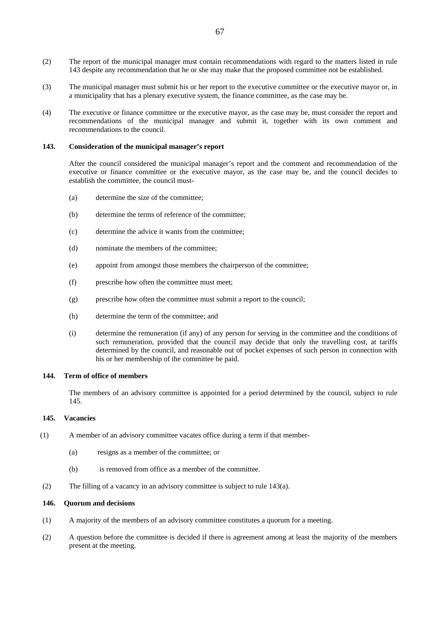- (2) The report of the municipal manager must contain recommendations with regard to the matters listed in rule 143 despite any recommendation that he or she may make that the proposed committee not be established.
- (3) The municipal manager must submit his or her report to the executive committee or the executive mayor or, in a municipality that has a plenary executive system, the finance committee, as the case may be.
- (4) The executive or finance committee or the executive mayor, as the case may be, must consider the report and recommendations of the municipal manager and submit it, together with its own comment and recommendations to the council.

#### **143. Consideration of the municipal manager's report**

 After the council considered the municipal manager's report and the comment and recommendation of the executive or finance committee or the executive mayor, as the case may be, and the council decides to establish the committee, the council must-

- (a) determine the size of the committee;
- (b) determine the terms of reference of the committee;
- (c) determine the advice it wants from the committee;
- (d) nominate the members of the committee;
- (e) appoint from amongst those members the chairperson of the committee;
- (f) prescribe how often the committee must meet;
- (g) prescribe how often the committee must submit a report to the council;
- (h) determine the term of the committee; and
- (i) determine the remuneration (if any) of any person for serving in the committee and the conditions of such remuneration, provided that the council may decide that only the travelling cost, at tariffs determined by the council, and reasonable out of pocket expenses of such person in connection with his or her membership of the committee be paid.

# **144. Term of office of members**

 The members of an advisory committee is appointed for a period determined by the council, subject to rule 145.

### **145. Vacancies**

- (1) A member of an advisory committee vacates office during a term if that member-
	- (a) resigns as a member of the committee; or
	- (b) is removed from office as a member of the committee.
- (2) The filling of a vacancy in an advisory committee is subject to rule 143(a).

#### **146. Quorum and decisions**

- (1) A majority of the members of an advisory committee constitutes a quorum for a meeting.
- (2) A question before the committee is decided if there is agreement among at least the majority of the members present at the meeting.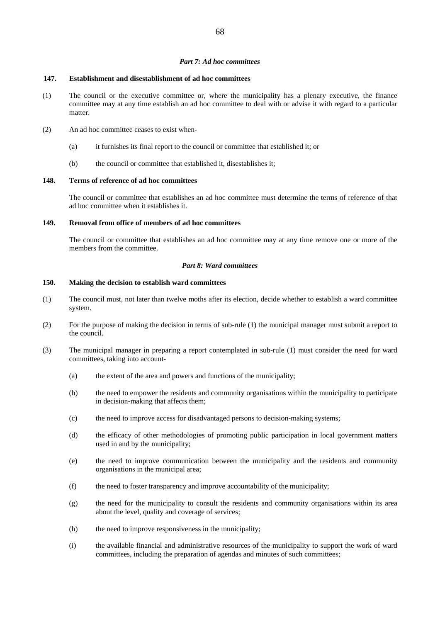#### *Part 7: Ad hoc committees*

#### **147. Establishment and disestablishment of ad hoc committees**

- (1) The council or the executive committee or, where the municipality has a plenary executive, the finance committee may at any time establish an ad hoc committee to deal with or advise it with regard to a particular matter.
- (2) An ad hoc committee ceases to exist when-
	- (a) it furnishes its final report to the council or committee that established it; or
	- (b) the council or committee that established it, disestablishes it;

#### **148. Terms of reference of ad hoc committees**

 The council or committee that establishes an ad hoc committee must determine the terms of reference of that ad hoc committee when it establishes it.

# **149. Removal from office of members of ad hoc committees**

 The council or committee that establishes an ad hoc committee may at any time remove one or more of the members from the committee.

### *Part 8: Ward committees*

#### **150. Making the decision to establish ward committees**

- (1) The council must, not later than twelve moths after its election, decide whether to establish a ward committee system.
- (2) For the purpose of making the decision in terms of sub-rule (1) the municipal manager must submit a report to the council.
- (3) The municipal manager in preparing a report contemplated in sub-rule (1) must consider the need for ward committees, taking into account-
	- (a) the extent of the area and powers and functions of the municipality;
	- (b) the need to empower the residents and community organisations within the municipality to participate in decision-making that affects them;
	- (c) the need to improve access for disadvantaged persons to decision-making systems;
	- (d) the efficacy of other methodologies of promoting public participation in local government matters used in and by the municipality;
	- (e) the need to improve communication between the municipality and the residents and community organisations in the municipal area;
	- (f) the need to foster transparency and improve accountability of the municipality;
	- (g) the need for the municipality to consult the residents and community organisations within its area about the level, quality and coverage of services;
	- (h) the need to improve responsiveness in the municipality;
	- (i) the available financial and administrative resources of the municipality to support the work of ward committees, including the preparation of agendas and minutes of such committees;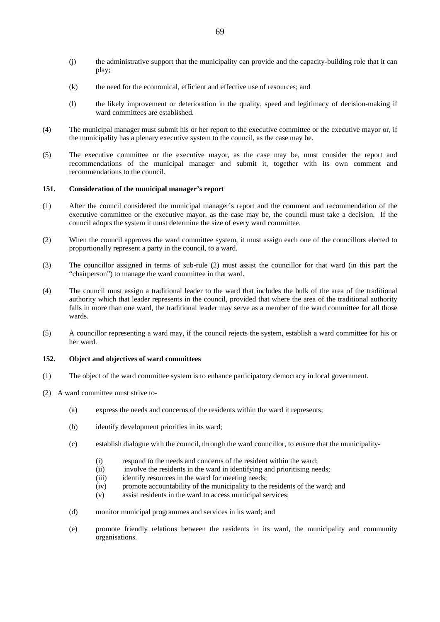- (j) the administrative support that the municipality can provide and the capacity-building role that it can play;
- (k) the need for the economical, efficient and effective use of resources; and
- (l) the likely improvement or deterioration in the quality, speed and legitimacy of decision-making if ward committees are established.
- (4) The municipal manager must submit his or her report to the executive committee or the executive mayor or, if the municipality has a plenary executive system to the council, as the case may be.
- (5) The executive committee or the executive mayor, as the case may be, must consider the report and recommendations of the municipal manager and submit it, together with its own comment and recommendations to the council.

### **151. Consideration of the municipal manager's report**

- (1) After the council considered the municipal manager's report and the comment and recommendation of the executive committee or the executive mayor, as the case may be, the council must take a decision. If the council adopts the system it must determine the size of every ward committee.
- (2) When the council approves the ward committee system, it must assign each one of the councillors elected to proportionally represent a party in the council, to a ward.
- (3) The councillor assigned in terms of sub-rule (2) must assist the councillor for that ward (in this part the "chairperson") to manage the ward committee in that ward.
- (4) The council must assign a traditional leader to the ward that includes the bulk of the area of the traditional authority which that leader represents in the council, provided that where the area of the traditional authority falls in more than one ward, the traditional leader may serve as a member of the ward committee for all those wards.
- (5) A councillor representing a ward may, if the council rejects the system, establish a ward committee for his or her ward.

# **152. Object and objectives of ward committees**

- (1) The object of the ward committee system is to enhance participatory democracy in local government.
- (2) A ward committee must strive to-
	- (a) express the needs and concerns of the residents within the ward it represents;
	- (b) identify development priorities in its ward;
	- (c) establish dialogue with the council, through the ward councillor, to ensure that the municipality-
		- (i) respond to the needs and concerns of the resident within the ward;
		- (ii) involve the residents in the ward in identifying and prioritising needs;
		- (iii) identify resources in the ward for meeting needs;
		- (iv) promote accountability of the municipality to the residents of the ward; and
		- (v) assist residents in the ward to access municipal services;
	- (d) monitor municipal programmes and services in its ward; and
	- (e) promote friendly relations between the residents in its ward, the municipality and community organisations.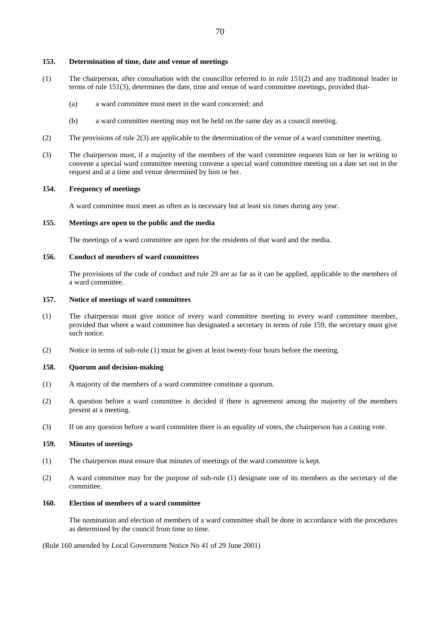#### **153. Determination of time, date and venue of meetings**

- (1) The chairperson, after consultation with the councillor referred to in rule 151(2) and any traditional leader in terms of rule 151(3), determines the date, time and venue of ward committee meetings, provided that-
	- (a) a ward committee must meet in the ward concerned; and
	- (b) a ward committee meeting may not be held on the same day as a council meeting.
- (2) The provisions of rule 2(3) are applicable to the determination of the venue of a ward committee meeting.
- (3) The chairperson must, if a majority of the members of the ward committee requests him or her in writing to convene a special ward committee meeting convene a special ward committee meeting on a date set out in the request and at a time and venue determined by him or her.

# **154. Frequency of meetings**

A ward committee must meet as often as is necessary but at least six times during any year.

# **155. Meetings are open to the public and the media**

The meetings of a ward committee are open for the residents of that ward and the media.

### **156. Conduct of members of ward committees**

 The provisions of the code of conduct and rule 29 are as far as it can be applied, applicable to the members of a ward committee.

### **157. Notice of meetings of ward committees**

- (1) The chairperson must give notice of every ward committee meeting to every ward committee member, provided that where a ward committee has designated a secretary in terms of rule 159, the secretary must give such notice.
- (2) Notice in terms of sub-rule (1) must be given at least twenty-four hours before the meeting.

## **158. Quorum and decision-making**

- (1) A majority of the members of a ward committee constitute a quorum.
- (2) A question before a ward committee is decided if there is agreement among the majority of the members present at a meeting.
- (3) If on any question before a ward committee there is an equality of votes, the chairperson has a casting vote.

### **159. Minutes of meetings**

- (1) The chairperson must ensure that minutes of meetings of the ward committee is kept.
- (2) A ward committee may for the purpose of sub-rule (1) designate one of its members as the secretary of the committee.

### **160. Election of members of a ward committee**

 The nomination and election of members of a ward committee shall be done in accordance with the procedures as determined by the council from time to time.

(Rule 160 amended by Local Government Notice No 41 of 29 June 2001)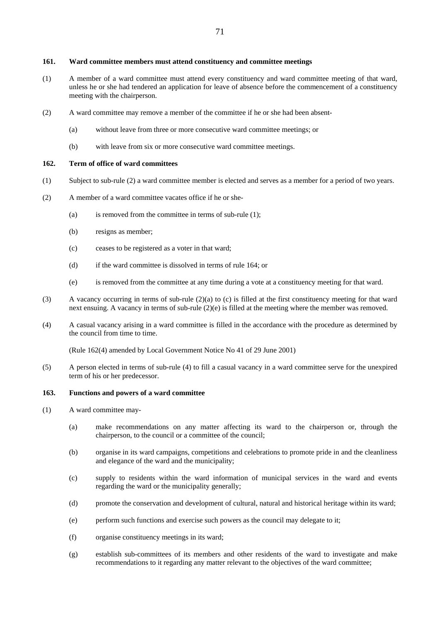### **161. Ward committee members must attend constituency and committee meetings**

- (1) A member of a ward committee must attend every constituency and ward committee meeting of that ward, unless he or she had tendered an application for leave of absence before the commencement of a constituency meeting with the chairperson.
- (2) A ward committee may remove a member of the committee if he or she had been absent-
	- (a) without leave from three or more consecutive ward committee meetings; or
	- (b) with leave from six or more consecutive ward committee meetings.

### **162. Term of office of ward committees**

- (1) Subject to sub-rule (2) a ward committee member is elected and serves as a member for a period of two years.
- (2) A member of a ward committee vacates office if he or she-
	- (a) is removed from the committee in terms of sub-rule (1);
	- (b) resigns as member;
	- (c) ceases to be registered as a voter in that ward;
	- (d) if the ward committee is dissolved in terms of rule 164; or
	- (e) is removed from the committee at any time during a vote at a constituency meeting for that ward.
- (3) A vacancy occurring in terms of sub-rule (2)(a) to (c) is filled at the first constituency meeting for that ward next ensuing. A vacancy in terms of sub-rule (2)(e) is filled at the meeting where the member was removed.
- (4) A casual vacancy arising in a ward committee is filled in the accordance with the procedure as determined by the council from time to time.

(Rule 162(4) amended by Local Government Notice No 41 of 29 June 2001)

(5) A person elected in terms of sub-rule (4) to fill a casual vacancy in a ward committee serve for the unexpired term of his or her predecessor.

# **163. Functions and powers of a ward committee**

- (1) A ward committee may-
	- (a) make recommendations on any matter affecting its ward to the chairperson or, through the chairperson, to the council or a committee of the council;
	- (b) organise in its ward campaigns, competitions and celebrations to promote pride in and the cleanliness and elegance of the ward and the municipality;
	- (c) supply to residents within the ward information of municipal services in the ward and events regarding the ward or the municipality generally;
	- (d) promote the conservation and development of cultural, natural and historical heritage within its ward;
	- (e) perform such functions and exercise such powers as the council may delegate to it;
	- (f) organise constituency meetings in its ward;
	- (g) establish sub-committees of its members and other residents of the ward to investigate and make recommendations to it regarding any matter relevant to the objectives of the ward committee;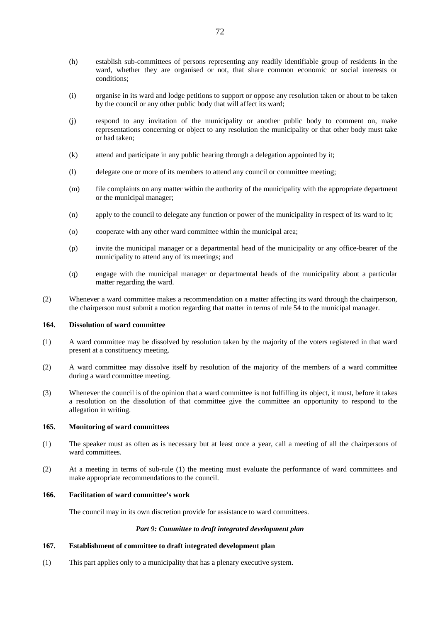- (h) establish sub-committees of persons representing any readily identifiable group of residents in the ward, whether they are organised or not, that share common economic or social interests or conditions;
- (i) organise in its ward and lodge petitions to support or oppose any resolution taken or about to be taken by the council or any other public body that will affect its ward;
- (j) respond to any invitation of the municipality or another public body to comment on, make representations concerning or object to any resolution the municipality or that other body must take or had taken;
- (k) attend and participate in any public hearing through a delegation appointed by it;
- (l) delegate one or more of its members to attend any council or committee meeting;
- (m) file complaints on any matter within the authority of the municipality with the appropriate department or the municipal manager;
- (n) apply to the council to delegate any function or power of the municipality in respect of its ward to it;
- (o) cooperate with any other ward committee within the municipal area;
- (p) invite the municipal manager or a departmental head of the municipality or any office-bearer of the municipality to attend any of its meetings; and
- (q) engage with the municipal manager or departmental heads of the municipality about a particular matter regarding the ward.
- (2) Whenever a ward committee makes a recommendation on a matter affecting its ward through the chairperson, the chairperson must submit a motion regarding that matter in terms of rule 54 to the municipal manager.

#### **164. Dissolution of ward committee**

- (1) A ward committee may be dissolved by resolution taken by the majority of the voters registered in that ward present at a constituency meeting.
- (2) A ward committee may dissolve itself by resolution of the majority of the members of a ward committee during a ward committee meeting.
- (3) Whenever the council is of the opinion that a ward committee is not fulfilling its object, it must, before it takes a resolution on the dissolution of that committee give the committee an opportunity to respond to the allegation in writing.

#### **165. Monitoring of ward committees**

- (1) The speaker must as often as is necessary but at least once a year, call a meeting of all the chairpersons of ward committees.
- (2) At a meeting in terms of sub-rule (1) the meeting must evaluate the performance of ward committees and make appropriate recommendations to the council.

#### **166. Facilitation of ward committee's work**

The council may in its own discretion provide for assistance to ward committees.

# *Part 9: Committee to draft integrated development plan*

# **167. Establishment of committee to draft integrated development plan**

(1) This part applies only to a municipality that has a plenary executive system.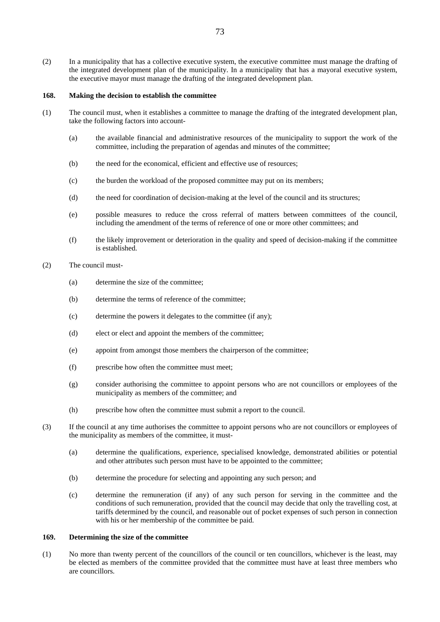(2) In a municipality that has a collective executive system, the executive committee must manage the drafting of the integrated development plan of the municipality. In a municipality that has a mayoral executive system, the executive mayor must manage the drafting of the integrated development plan.

#### **168. Making the decision to establish the committee**

- (1) The council must, when it establishes a committee to manage the drafting of the integrated development plan, take the following factors into account-
	- (a) the available financial and administrative resources of the municipality to support the work of the committee, including the preparation of agendas and minutes of the committee;
	- (b) the need for the economical, efficient and effective use of resources;
	- (c) the burden the workload of the proposed committee may put on its members;
	- (d) the need for coordination of decision-making at the level of the council and its structures;
	- (e) possible measures to reduce the cross referral of matters between committees of the council, including the amendment of the terms of reference of one or more other committees; and
	- (f) the likely improvement or deterioration in the quality and speed of decision-making if the committee is established.
- (2) The council must-
	- (a) determine the size of the committee;
	- (b) determine the terms of reference of the committee;
	- (c) determine the powers it delegates to the committee (if any);
	- (d) elect or elect and appoint the members of the committee;
	- (e) appoint from amongst those members the chairperson of the committee;
	- (f) prescribe how often the committee must meet;
	- (g) consider authorising the committee to appoint persons who are not councillors or employees of the municipality as members of the committee; and
	- (h) prescribe how often the committee must submit a report to the council.
- (3) If the council at any time authorises the committee to appoint persons who are not councillors or employees of the municipality as members of the committee, it must-
	- (a) determine the qualifications, experience, specialised knowledge, demonstrated abilities or potential and other attributes such person must have to be appointed to the committee;
	- (b) determine the procedure for selecting and appointing any such person; and
	- (c) determine the remuneration (if any) of any such person for serving in the committee and the conditions of such remuneration, provided that the council may decide that only the travelling cost, at tariffs determined by the council, and reasonable out of pocket expenses of such person in connection with his or her membership of the committee be paid.

## **169. Determining the size of the committee**

(1) No more than twenty percent of the councillors of the council or ten councillors, whichever is the least, may be elected as members of the committee provided that the committee must have at least three members who are councillors.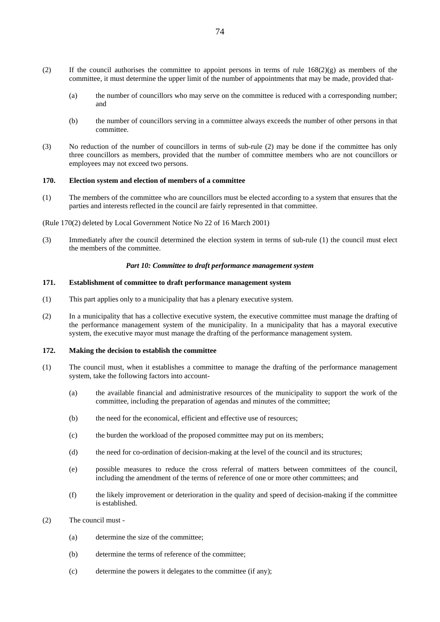- (2) If the council authorises the committee to appoint persons in terms of rule  $168(2)(g)$  as members of the committee, it must determine the upper limit of the number of appointments that may be made, provided that-
	- (a) the number of councillors who may serve on the committee is reduced with a corresponding number; and
	- (b) the number of councillors serving in a committee always exceeds the number of other persons in that committee.
- (3) No reduction of the number of councillors in terms of sub-rule (2) may be done if the committee has only three councillors as members, provided that the number of committee members who are not councillors or employees may not exceed two persons.

#### **170. Election system and election of members of a committee**

(1) The members of the committee who are councillors must be elected according to a system that ensures that the parties and interests reflected in the council are fairly represented in that committee.

(Rule 170(2) deleted by Local Government Notice No 22 of 16 March 2001)

(3) Immediately after the council determined the election system in terms of sub-rule (1) the council must elect the members of the committee.

#### *Part 10: Committee to draft performance management system*

# **171. Establishment of committee to draft performance management system**

- (1) This part applies only to a municipality that has a plenary executive system.
- (2) In a municipality that has a collective executive system, the executive committee must manage the drafting of the performance management system of the municipality. In a municipality that has a mayoral executive system, the executive mayor must manage the drafting of the performance management system.

#### **172. Making the decision to establish the committee**

- (1) The council must, when it establishes a committee to manage the drafting of the performance management system, take the following factors into account-
	- (a) the available financial and administrative resources of the municipality to support the work of the committee, including the preparation of agendas and minutes of the committee;
	- (b) the need for the economical, efficient and effective use of resources;
	- (c) the burden the workload of the proposed committee may put on its members;
	- (d) the need for co-ordination of decision-making at the level of the council and its structures;
	- (e) possible measures to reduce the cross referral of matters between committees of the council, including the amendment of the terms of reference of one or more other committees; and
	- (f) the likely improvement or deterioration in the quality and speed of decision-making if the committee is established.
- (2) The council must
	- (a) determine the size of the committee;
	- (b) determine the terms of reference of the committee;
	- (c) determine the powers it delegates to the committee (if any);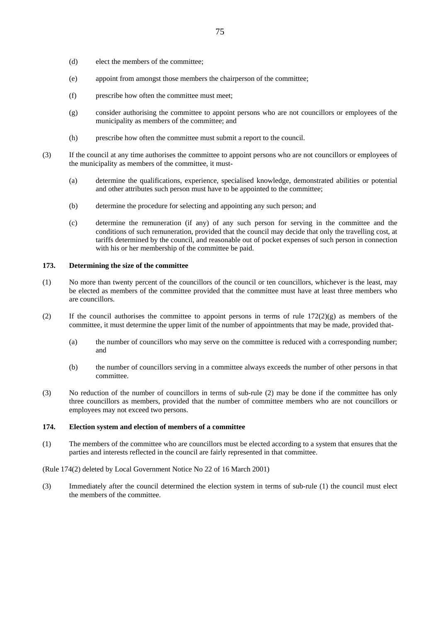- (d) elect the members of the committee;
- (e) appoint from amongst those members the chairperson of the committee;
- (f) prescribe how often the committee must meet;
- (g) consider authorising the committee to appoint persons who are not councillors or employees of the municipality as members of the committee; and
- (h) prescribe how often the committee must submit a report to the council.
- (3) If the council at any time authorises the committee to appoint persons who are not councillors or employees of the municipality as members of the committee, it must-
	- (a) determine the qualifications, experience, specialised knowledge, demonstrated abilities or potential and other attributes such person must have to be appointed to the committee;
	- (b) determine the procedure for selecting and appointing any such person; and
	- (c) determine the remuneration (if any) of any such person for serving in the committee and the conditions of such remuneration, provided that the council may decide that only the travelling cost, at tariffs determined by the council, and reasonable out of pocket expenses of such person in connection with his or her membership of the committee be paid.

## **173. Determining the size of the committee**

- (1) No more than twenty percent of the councillors of the council or ten councillors, whichever is the least, may be elected as members of the committee provided that the committee must have at least three members who are councillors.
- (2) If the council authorises the committee to appoint persons in terms of rule  $172(2)(g)$  as members of the committee, it must determine the upper limit of the number of appointments that may be made, provided that-
	- (a) the number of councillors who may serve on the committee is reduced with a corresponding number; and
	- (b) the number of councillors serving in a committee always exceeds the number of other persons in that committee.
- (3) No reduction of the number of councillors in terms of sub-rule (2) may be done if the committee has only three councillors as members, provided that the number of committee members who are not councillors or employees may not exceed two persons.

# **174. Election system and election of members of a committee**

(1) The members of the committee who are councillors must be elected according to a system that ensures that the parties and interests reflected in the council are fairly represented in that committee.

(Rule 174(2) deleted by Local Government Notice No 22 of 16 March 2001)

(3) Immediately after the council determined the election system in terms of sub-rule (1) the council must elect the members of the committee.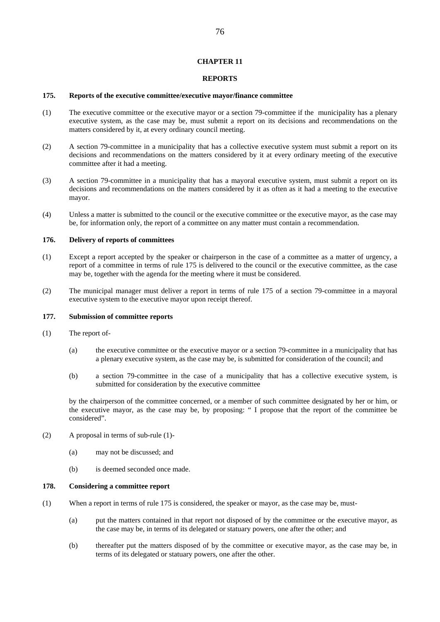### **CHAPTER 11**

## **REPORTS**

### **175. Reports of the executive committee/executive mayor/finance committee**

- (1) The executive committee or the executive mayor or a section 79-committee if the municipality has a plenary executive system, as the case may be, must submit a report on its decisions and recommendations on the matters considered by it, at every ordinary council meeting.
- (2) A section 79-committee in a municipality that has a collective executive system must submit a report on its decisions and recommendations on the matters considered by it at every ordinary meeting of the executive committee after it had a meeting.
- (3) A section 79-committee in a municipality that has a mayoral executive system, must submit a report on its decisions and recommendations on the matters considered by it as often as it had a meeting to the executive mayor.
- (4) Unless a matter is submitted to the council or the executive committee or the executive mayor, as the case may be, for information only, the report of a committee on any matter must contain a recommendation.

#### **176. Delivery of reports of committees**

- (1) Except a report accepted by the speaker or chairperson in the case of a committee as a matter of urgency, a report of a committee in terms of rule 175 is delivered to the council or the executive committee, as the case may be, together with the agenda for the meeting where it must be considered.
- (2) The municipal manager must deliver a report in terms of rule 175 of a section 79-committee in a mayoral executive system to the executive mayor upon receipt thereof.

# **177. Submission of committee reports**

- (1) The report of-
	- (a) the executive committee or the executive mayor or a section 79-committee in a municipality that has a plenary executive system, as the case may be, is submitted for consideration of the council; and
	- (b) a section 79-committee in the case of a municipality that has a collective executive system, is submitted for consideration by the executive committee

by the chairperson of the committee concerned, or a member of such committee designated by her or him, or the executive mayor, as the case may be, by proposing: " I propose that the report of the committee be considered".

- (2) A proposal in terms of sub-rule (1)-
	- (a) may not be discussed; and
	- (b) is deemed seconded once made.

### **178. Considering a committee report**

- (1) When a report in terms of rule 175 is considered, the speaker or mayor, as the case may be, must-
	- (a) put the matters contained in that report not disposed of by the committee or the executive mayor, as the case may be, in terms of its delegated or statuary powers, one after the other; and
	- (b) thereafter put the matters disposed of by the committee or executive mayor, as the case may be, in terms of its delegated or statuary powers, one after the other.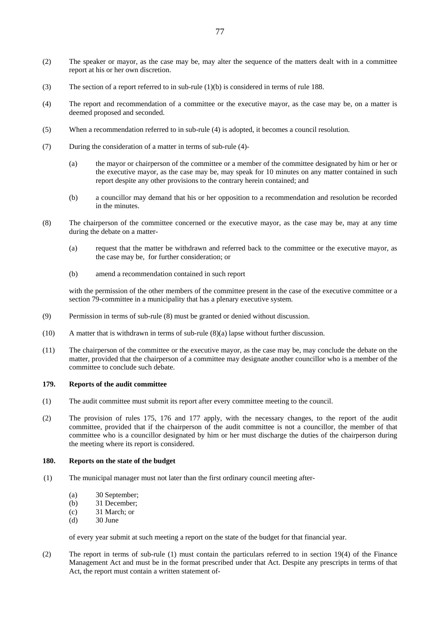- (2) The speaker or mayor, as the case may be, may alter the sequence of the matters dealt with in a committee report at his or her own discretion.
- (3) The section of a report referred to in sub-rule (1)(b) is considered in terms of rule 188.
- (4) The report and recommendation of a committee or the executive mayor, as the case may be, on a matter is deemed proposed and seconded.
- (5) When a recommendation referred to in sub-rule (4) is adopted, it becomes a council resolution.
- (7) During the consideration of a matter in terms of sub-rule (4)-
	- (a) the mayor or chairperson of the committee or a member of the committee designated by him or her or the executive mayor, as the case may be, may speak for 10 minutes on any matter contained in such report despite any other provisions to the contrary herein contained; and
	- (b) a councillor may demand that his or her opposition to a recommendation and resolution be recorded in the minutes.
- (8) The chairperson of the committee concerned or the executive mayor, as the case may be, may at any time during the debate on a matter-
	- (a) request that the matter be withdrawn and referred back to the committee or the executive mayor, as the case may be, for further consideration; or
	- (b) amend a recommendation contained in such report

with the permission of the other members of the committee present in the case of the executive committee or a section 79-committee in a municipality that has a plenary executive system.

- (9) Permission in terms of sub-rule (8) must be granted or denied without discussion.
- (10) A matter that is withdrawn in terms of sub-rule (8)(a) lapse without further discussion.
- (11) The chairperson of the committee or the executive mayor, as the case may be, may conclude the debate on the matter, provided that the chairperson of a committee may designate another councillor who is a member of the committee to conclude such debate.

#### **179. Reports of the audit committee**

- (1) The audit committee must submit its report after every committee meeting to the council.
- (2) The provision of rules 175, 176 and 177 apply, with the necessary changes, to the report of the audit committee, provided that if the chairperson of the audit committee is not a councillor, the member of that committee who is a councillor designated by him or her must discharge the duties of the chairperson during the meeting where its report is considered.

### **180. Reports on the state of the budget**

- (1) The municipal manager must not later than the first ordinary council meeting after-
	- (a) 30 September;
	- (b) 31 December;
	- (c) 31 March; or
	- (d) 30 June

of every year submit at such meeting a report on the state of the budget for that financial year.

(2) The report in terms of sub-rule (1) must contain the particulars referred to in section 19(4) of the Finance Management Act and must be in the format prescribed under that Act. Despite any prescripts in terms of that Act, the report must contain a written statement of-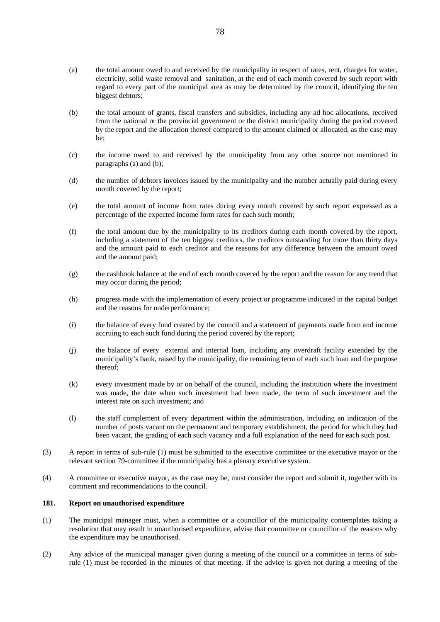- (a) the total amount owed to and received by the municipality in respect of rates, rent, charges for water, electricity, solid waste removal and sanitation, at the end of each month covered by such report with regard to every part of the municipal area as may be determined by the council, identifying the ten biggest debtors;
- (b) the total amount of grants, fiscal transfers and subsidies, including any ad hoc allocations, received from the national or the provincial government or the district municipality during the period covered by the report and the allocation thereof compared to the amount claimed or allocated, as the case may be;
- (c) the income owed to and received by the municipality from any other source not mentioned in paragraphs (a) and (b);
- (d) the number of debtors invoices issued by the municipality and the number actually paid during every month covered by the report;
- (e) the total amount of income from rates during every month covered by such report expressed as a percentage of the expected income form rates for each such month;
- (f) the total amount due by the municipality to its creditors during each month covered by the report, including a statement of the ten biggest creditors, the creditors outstanding for more than thirty days and the amount paid to each creditor and the reasons for any difference between the amount owed and the amount paid;
- (g) the cashbook balance at the end of each month covered by the report and the reason for any trend that may occur during the period;
- (h) progress made with the implementation of every project or programme indicated in the capital budget and the reasons for underperformance;
- (i) the balance of every fund created by the council and a statement of payments made from and income accruing to each such fund during the period covered by the report;
- (j) the balance of every external and internal loan, including any overdraft facility extended by the municipality's bank, raised by the municipality, the remaining term of each such loan and the purpose thereof;
- (k) every investment made by or on behalf of the council, including the institution where the investment was made, the date when such investment had been made, the term of such investment and the interest rate on such investment; and
- (l) the staff complement of every department within the administration, including an indication of the number of posts vacant on the permanent and temporary establishment, the period for which they had been vacant, the grading of each such vacancy and a full explanation of the need for each such post.
- (3) A report in terms of sub-rule (1) must be submitted to the executive committee or the executive mayor or the relevant section 79-committee if the municipality has a plenary executive system.
- (4) A committee or executive mayor, as the case may be, must consider the report and submit it, together with its comment and recommendations to the council.

# **181. Report on unauthorised expenditure**

- (1) The municipal manager must, when a committee or a councillor of the municipality contemplates taking a resolution that may result in unauthorised expenditure, advise that committee or councillor of the reasons why the expenditure may be unauthorised.
- (2) Any advice of the municipal manager given during a meeting of the council or a committee in terms of subrule (1) must be recorded in the minutes of that meeting. If the advice is given not during a meeting of the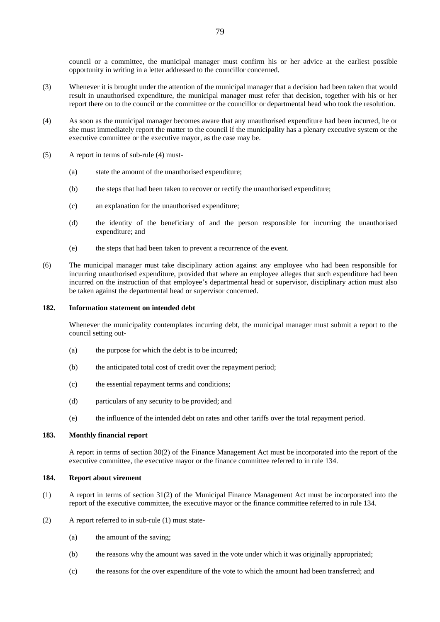council or a committee, the municipal manager must confirm his or her advice at the earliest possible opportunity in writing in a letter addressed to the councillor concerned.

- (3) Whenever it is brought under the attention of the municipal manager that a decision had been taken that would result in unauthorised expenditure, the municipal manager must refer that decision, together with his or her report there on to the council or the committee or the councillor or departmental head who took the resolution.
- (4) As soon as the municipal manager becomes aware that any unauthorised expenditure had been incurred, he or she must immediately report the matter to the council if the municipality has a plenary executive system or the executive committee or the executive mayor, as the case may be.
- (5) A report in terms of sub-rule (4) must-
	- (a) state the amount of the unauthorised expenditure;
	- (b) the steps that had been taken to recover or rectify the unauthorised expenditure;
	- (c) an explanation for the unauthorised expenditure;
	- (d) the identity of the beneficiary of and the person responsible for incurring the unauthorised expenditure; and
	- (e) the steps that had been taken to prevent a recurrence of the event.
- (6) The municipal manager must take disciplinary action against any employee who had been responsible for incurring unauthorised expenditure, provided that where an employee alleges that such expenditure had been incurred on the instruction of that employee's departmental head or supervisor, disciplinary action must also be taken against the departmental head or supervisor concerned.

## **182. Information statement on intended debt**

 Whenever the municipality contemplates incurring debt, the municipal manager must submit a report to the council setting out-

- (a) the purpose for which the debt is to be incurred;
- (b) the anticipated total cost of credit over the repayment period;
- (c) the essential repayment terms and conditions;
- (d) particulars of any security to be provided; and
- (e) the influence of the intended debt on rates and other tariffs over the total repayment period.

### **183. Monthly financial report**

 A report in terms of section 30(2) of the Finance Management Act must be incorporated into the report of the executive committee, the executive mayor or the finance committee referred to in rule 134.

#### **184. Report about virement**

- (1) A report in terms of section 31(2) of the Municipal Finance Management Act must be incorporated into the report of the executive committee, the executive mayor or the finance committee referred to in rule 134.
- (2) A report referred to in sub-rule (1) must state-
	- (a) the amount of the saving;
	- (b) the reasons why the amount was saved in the vote under which it was originally appropriated;
	- (c) the reasons for the over expenditure of the vote to which the amount had been transferred; and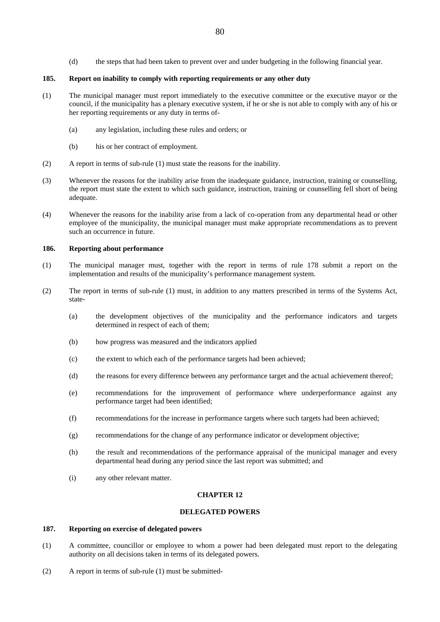(d) the steps that had been taken to prevent over and under budgeting in the following financial year.

# **185. Report on inability to comply with reporting requirements or any other duty**

- (1) The municipal manager must report immediately to the executive committee or the executive mayor or the council, if the municipality has a plenary executive system, if he or she is not able to comply with any of his or her reporting requirements or any duty in terms of-
	- (a) any legislation, including these rules and orders; or
	- (b) his or her contract of employment.
- (2) A report in terms of sub-rule (1) must state the reasons for the inability.
- (3) Whenever the reasons for the inability arise from the inadequate guidance, instruction, training or counselling, the report must state the extent to which such guidance, instruction, training or counselling fell short of being adequate.
- (4) Whenever the reasons for the inability arise from a lack of co-operation from any departmental head or other employee of the municipality, the municipal manager must make appropriate recommendations as to prevent such an occurrence in future.

# **186. Reporting about performance**

- (1) The municipal manager must, together with the report in terms of rule 178 submit a report on the implementation and results of the municipality's performance management system.
- (2) The report in terms of sub-rule (1) must, in addition to any matters prescribed in terms of the Systems Act, state-
	- (a) the development objectives of the municipality and the performance indicators and targets determined in respect of each of them;
	- (b) how progress was measured and the indicators applied
	- (c) the extent to which each of the performance targets had been achieved;
	- (d) the reasons for every difference between any performance target and the actual achievement thereof;
	- (e) recommendations for the improvement of performance where underperformance against any performance target had been identified;
	- (f) recommendations for the increase in performance targets where such targets had been achieved;
	- (g) recommendations for the change of any performance indicator or development objective;
	- (h) the result and recommendations of the performance appraisal of the municipal manager and every departmental head during any period since the last report was submitted; and
	- (i) any other relevant matter.

#### **CHAPTER 12**

## **DELEGATED POWERS**

# **187. Reporting on exercise of delegated powers**

- (1) A committee, councillor or employee to whom a power had been delegated must report to the delegating authority on all decisions taken in terms of its delegated powers.
- (2) A report in terms of sub-rule (1) must be submitted-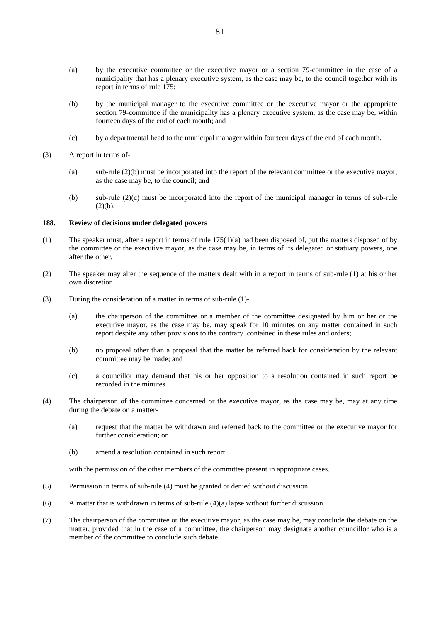- (a) by the executive committee or the executive mayor or a section 79-committee in the case of a municipality that has a plenary executive system, as the case may be, to the council together with its report in terms of rule 175;
- (b) by the municipal manager to the executive committee or the executive mayor or the appropriate section 79-committee if the municipality has a plenary executive system, as the case may be, within fourteen days of the end of each month; and
- (c) by a departmental head to the municipal manager within fourteen days of the end of each month.

### (3) A report in terms of-

- (a) sub-rule (2)(b) must be incorporated into the report of the relevant committee or the executive mayor, as the case may be, to the council; and
- (b) sub-rule (2)(c) must be incorporated into the report of the municipal manager in terms of sub-rule  $(2)(b).$

# **188. Review of decisions under delegated powers**

- (1) The speaker must, after a report in terms of rule  $175(1)(a)$  had been disposed of, put the matters disposed of by the committee or the executive mayor, as the case may be, in terms of its delegated or statuary powers, one after the other.
- (2) The speaker may alter the sequence of the matters dealt with in a report in terms of sub-rule (1) at his or her own discretion.
- (3) During the consideration of a matter in terms of sub-rule (1)-
	- (a) the chairperson of the committee or a member of the committee designated by him or her or the executive mayor, as the case may be, may speak for 10 minutes on any matter contained in such report despite any other provisions to the contrary contained in these rules and orders;
	- (b) no proposal other than a proposal that the matter be referred back for consideration by the relevant committee may be made; and
	- (c) a councillor may demand that his or her opposition to a resolution contained in such report be recorded in the minutes.
- (4) The chairperson of the committee concerned or the executive mayor, as the case may be, may at any time during the debate on a matter-
	- (a) request that the matter be withdrawn and referred back to the committee or the executive mayor for further consideration; or
	- (b) amend a resolution contained in such report

with the permission of the other members of the committee present in appropriate cases.

- (5) Permission in terms of sub-rule (4) must be granted or denied without discussion.
- (6) A matter that is withdrawn in terms of sub-rule  $(4)(a)$  lapse without further discussion.
- (7) The chairperson of the committee or the executive mayor, as the case may be, may conclude the debate on the matter, provided that in the case of a committee, the chairperson may designate another councillor who is a member of the committee to conclude such debate.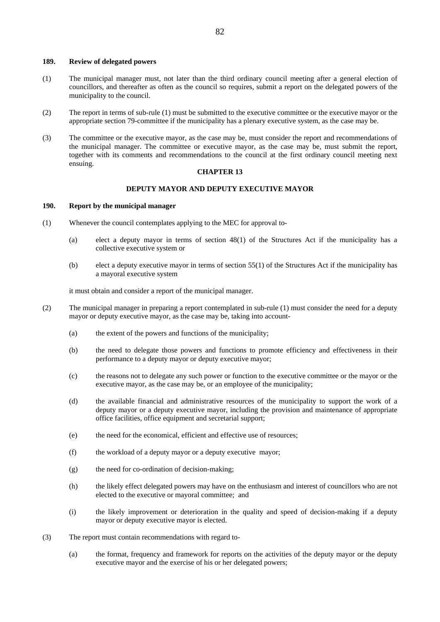#### **189. Review of delegated powers**

- (1) The municipal manager must, not later than the third ordinary council meeting after a general election of councillors, and thereafter as often as the council so requires, submit a report on the delegated powers of the municipality to the council.
- (2) The report in terms of sub-rule (1) must be submitted to the executive committee or the executive mayor or the appropriate section 79-committee if the municipality has a plenary executive system, as the case may be.
- (3) The committee or the executive mayor, as the case may be, must consider the report and recommendations of the municipal manager. The committee or executive mayor, as the case may be, must submit the report, together with its comments and recommendations to the council at the first ordinary council meeting next ensuing.

### **CHAPTER 13**

## **DEPUTY MAYOR AND DEPUTY EXECUTIVE MAYOR**

# **190. Report by the municipal manager**

- (1) Whenever the council contemplates applying to the MEC for approval to-
	- (a) elect a deputy mayor in terms of section 48(1) of the Structures Act if the municipality has a collective executive system or
	- (b) elect a deputy executive mayor in terms of section 55(1) of the Structures Act if the municipality has a mayoral executive system

it must obtain and consider a report of the municipal manager.

- (2) The municipal manager in preparing a report contemplated in sub-rule (1) must consider the need for a deputy mayor or deputy executive mayor, as the case may be, taking into account-
	- (a) the extent of the powers and functions of the municipality;
	- (b) the need to delegate those powers and functions to promote efficiency and effectiveness in their performance to a deputy mayor or deputy executive mayor;
	- (c) the reasons not to delegate any such power or function to the executive committee or the mayor or the executive mayor, as the case may be, or an employee of the municipality;
	- (d) the available financial and administrative resources of the municipality to support the work of a deputy mayor or a deputy executive mayor, including the provision and maintenance of appropriate office facilities, office equipment and secretarial support;
	- (e) the need for the economical, efficient and effective use of resources;
	- (f) the workload of a deputy mayor or a deputy executive mayor;
	- (g) the need for co-ordination of decision-making;
	- (h) the likely effect delegated powers may have on the enthusiasm and interest of councillors who are not elected to the executive or mayoral committee; and
	- (i) the likely improvement or deterioration in the quality and speed of decision-making if a deputy mayor or deputy executive mayor is elected.
- (3) The report must contain recommendations with regard to-
	- (a) the format, frequency and framework for reports on the activities of the deputy mayor or the deputy executive mayor and the exercise of his or her delegated powers;